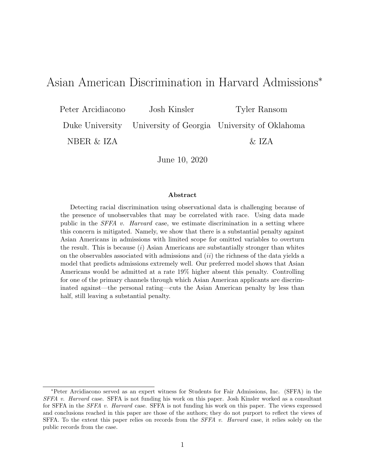# Asian American Discrimination in Harvard Admissions<sup>∗</sup>

Peter Arcidiacono Josh Kinsler Tyler Ransom

Duke University University of Georgia University of Oklahoma

NBER & IZA  $\&$  IZA

June 10, 2020

#### Abstract

Detecting racial discrimination using observational data is challenging because of the presence of unobservables that may be correlated with race. Using data made public in the SFFA v. Harvard case, we estimate discrimination in a setting where this concern is mitigated. Namely, we show that there is a substantial penalty against Asian Americans in admissions with limited scope for omitted variables to overturn the result. This is because  $(i)$  Asian Americans are substantially stronger than whites on the observables associated with admissions and  $(ii)$  the richness of the data yields a model that predicts admissions extremely well. Our preferred model shows that Asian Americans would be admitted at a rate 19% higher absent this penalty. Controlling for one of the primary channels through which Asian American applicants are discriminated against—the personal rating—cuts the Asian American penalty by less than half, still leaving a substantial penalty.

<sup>∗</sup>Peter Arcidiacono served as an expert witness for Students for Fair Admissions, Inc. (SFFA) in the SFFA v. Harvard case. SFFA is not funding his work on this paper. Josh Kinsler worked as a consultant for SFFA in the *SFFA v. Harvard* case. SFFA is not funding his work on this paper. The views expressed and conclusions reached in this paper are those of the authors; they do not purport to reflect the views of SFFA. To the extent this paper relies on records from the *SFFA v. Harvard* case, it relies solely on the public records from the case.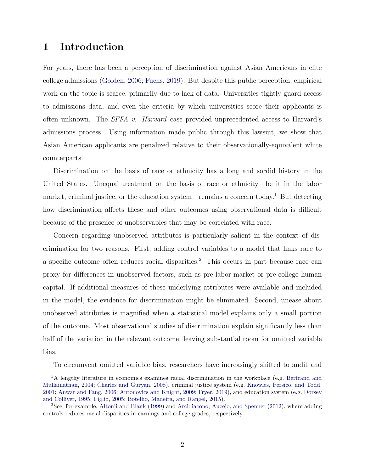## 1 Introduction

For years, there has been a perception of discrimination against Asian Americans in elite college admissions [\(Golden,](#page-38-0) [2006;](#page-38-0) [Fuchs,](#page-38-1) [2019\)](#page-38-1). But despite this public perception, empirical work on the topic is scarce, primarily due to lack of data. Universities tightly guard access to admissions data, and even the criteria by which universities score their applicants is often unknown. The SFFA v. Harvard case provided unprecedented access to Harvard's admissions process. Using information made public through this lawsuit, we show that Asian American applicants are penalized relative to their observationally-equivalent white counterparts.

Discrimination on the basis of race or ethnicity has a long and sordid history in the United States. Unequal treatment on the basis of race or ethnicity—be it in the labor market, criminal justice, or the education system—remains a concern today.<sup>[1](#page-1-0)</sup> But detecting how discrimination affects these and other outcomes using observational data is difficult because of the presence of unobservables that may be correlated with race.

Concern regarding unobserved attributes is particularly salient in the context of discrimination for two reasons. First, adding control variables to a model that links race to a specific outcome often reduces racial disparities.[2](#page-1-1) This occurs in part because race can proxy for differences in unobserved factors, such as pre-labor-market or pre-college human capital. If additional measures of these underlying attributes were available and included in the model, the evidence for discrimination might be eliminated. Second, unease about unobserved attributes is magnified when a statistical model explains only a small portion of the outcome. Most observational studies of discrimination explain significantly less than half of the variation in the relevant outcome, leaving substantial room for omitted variable bias.

<span id="page-1-0"></span>To circumvent omitted variable bias, researchers have increasingly shifted to audit and

<sup>&</sup>lt;sup>1</sup>A lengthy literature in economics examines racial discrimination in the workplace (e.g. [Bertrand and](#page-36-0) [Mullainathan,](#page-36-0) [2004;](#page-36-0) [Charles and Guryan,](#page-37-0) [2008\)](#page-37-0), criminal justice system (e.g. [Knowles, Persico, and Todd,](#page-39-0) [2001;](#page-39-0) [Anwar and Fang,](#page-36-1) [2006;](#page-36-1) [Antonovics and Knight,](#page-36-2) [2009;](#page-36-2) [Fryer,](#page-38-2) [2019\)](#page-38-2), and education system (e.g. [Dorsey](#page-38-3) [and Colliver,](#page-38-3) [1995;](#page-38-3) [Figlio,](#page-38-4) [2005;](#page-38-4) [Botelho, Madeira, and Rangel,](#page-36-3) [2015\)](#page-36-3).

<span id="page-1-1"></span><sup>2</sup>See, for example, [Altonji and Blank](#page-36-4) [\(1999\)](#page-36-4) and [Arcidiacono, Aucejo, and Spenner](#page-36-5) [\(2012\)](#page-36-5), where adding controls reduces racial disparities in earnings and college grades, respectively.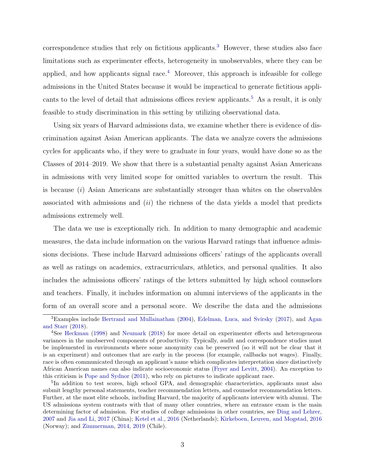$correspondence studies that rely on fictitious applications<sup>3</sup> However, these studies also face$  $correspondence studies that rely on fictitious applications<sup>3</sup> However, these studies also face$  $correspondence studies that rely on fictitious applications<sup>3</sup> However, these studies also face$ limitations such as experimenter effects, heterogeneity in unobservables, where they can be applied, and how applicants signal race.<sup>[4](#page-2-1)</sup> Moreover, this approach is infeasible for college admissions in the United States because it would be impractical to generate fictitious appli-cants to the level of detail that admissions offices review applicants.<sup>[5](#page-2-2)</sup> As a result, it is only feasible to study discrimination in this setting by utilizing observational data.

Using six years of Harvard admissions data, we examine whether there is evidence of discrimination against Asian American applicants. The data we analyze covers the admissions cycles for applicants who, if they were to graduate in four years, would have done so as the Classes of 2014–2019. We show that there is a substantial penalty against Asian Americans in admissions with very limited scope for omitted variables to overturn the result. This is because  $(i)$  Asian Americans are substantially stronger than whites on the observables associated with admissions and  $(ii)$  the richness of the data yields a model that predicts admissions extremely well.

The data we use is exceptionally rich. In addition to many demographic and academic measures, the data include information on the various Harvard ratings that influence admissions decisions. These include Harvard admissions officers' ratings of the applicants overall as well as ratings on academics, extracurriculars, athletics, and personal qualities. It also includes the admissions officers' ratings of the letters submitted by high school counselors and teachers. Finally, it includes information on alumni interviews of the applicants in the form of an overall score and a personal score. We describe the data and the admissions

<span id="page-2-0"></span><sup>&</sup>lt;sup>3</sup>Examples include [Bertrand and Mullainathan](#page-36-0) [\(2004\)](#page-36-0), [Edelman, Luca, and Svirsky](#page-38-5) [\(2017\)](#page-38-5), and [Agan](#page-36-6) [and Starr](#page-36-6) [\(2018\)](#page-36-6).

<span id="page-2-1"></span><sup>4</sup>See [Heckman](#page-38-6) [\(1998\)](#page-38-6) and [Neumark](#page-40-0) [\(2018\)](#page-40-0) for more detail on experimenter effects and heterogeneous variances in the unobserved components of productivity. Typically, audit and correspondence studies must be implemented in environments where some anonymity can be preserved (so it will not be clear that it is an experiment) and outcomes that are early in the process (for example, callbacks not wages). Finally, race is often communicated through an applicant's name which complicates interpretation since distinctively African American names can also indicate socioeconomic status [\(Fryer and Levitt,](#page-38-7) [2004\)](#page-38-7). An exception to this criticism is [Pope and Sydnor](#page-40-1) [\(2011\)](#page-40-1), who rely on pictures to indicate applicant race.

<span id="page-2-2"></span><sup>&</sup>lt;sup>5</sup>In addition to test scores, high school GPA, and demographic characteristics, applicants must also submit lengthy personal statements, teacher recommendation letters, and counselor recommendation letters. Further, at the most elite schools, including Harvard, the majority of applicants interview with alumni. The US admissions system contrasts with that of many other countries, where an entrance exam is the main determining factor of admission. For studies of college admissions in other countries, see [Ding and Lehrer,](#page-37-1) [2007](#page-37-1) and [Jia and Li,](#page-39-1) [2017](#page-39-1) (China); [Ketel et al.,](#page-39-2) [2016](#page-39-2) (Netherlands); [Kirkeboen, Leuven, and Mogstad,](#page-39-3) [2016](#page-39-3) (Norway); and [Zimmerman,](#page-41-0) [2014,](#page-41-0) [2019](#page-41-1) (Chile).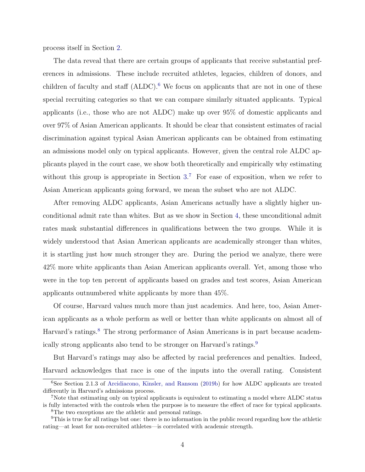process itself in Section [2.](#page-6-0)

The data reveal that there are certain groups of applicants that receive substantial preferences in admissions. These include recruited athletes, legacies, children of donors, and children of faculty and staff  $(ALDC)$ .<sup>[6](#page-3-0)</sup> We focus on applicants that are not in one of these special recruiting categories so that we can compare similarly situated applicants. Typical applicants (i.e., those who are not ALDC) make up over 95% of domestic applicants and over 97% of Asian American applicants. It should be clear that consistent estimates of racial discrimination against typical Asian American applicants can be obtained from estimating an admissions model only on typical applicants. However, given the central role ALDC applicants played in the court case, we show both theoretically and empirically why estimating without this group is appropriate in Section  $3<sup>7</sup>$  $3<sup>7</sup>$  $3<sup>7</sup>$  For ease of exposition, when we refer to Asian American applicants going forward, we mean the subset who are not ALDC.

After removing ALDC applicants, Asian Americans actually have a slightly higher unconditional admit rate than whites. But as we show in Section [4,](#page-13-0) these unconditional admit rates mask substantial differences in qualifications between the two groups. While it is widely understood that Asian American applicants are academically stronger than whites, it is startling just how much stronger they are. During the period we analyze, there were 42% more white applicants than Asian American applicants overall. Yet, among those who were in the top ten percent of applicants based on grades and test scores, Asian American applicants outnumbered white applicants by more than 45%.

Of course, Harvard values much more than just academics. And here, too, Asian American applicants as a whole perform as well or better than white applicants on almost all of Harvard's ratings.<sup>[8](#page-3-2)</sup> The strong performance of Asian Americans is in part because academ-ically strong applicants also tend to be stronger on Harvard's ratings.<sup>[9](#page-3-3)</sup>

But Harvard's ratings may also be affected by racial preferences and penalties. Indeed, Harvard acknowledges that race is one of the inputs into the overall rating. Consistent

<span id="page-3-0"></span><sup>6</sup>See Section 2.1.3 of [Arcidiacono, Kinsler, and Ransom](#page-36-7) [\(2019b\)](#page-36-7) for how ALDC applicants are treated differently in Harvard's admissions process.

<span id="page-3-1"></span><sup>7</sup>Note that estimating only on typical applicants is equivalent to estimating a model where ALDC status is fully interacted with the controls when the purpose is to measure the effect of race for typical applicants.

<span id="page-3-3"></span><span id="page-3-2"></span><sup>8</sup>The two exceptions are the athletic and personal ratings.

<sup>9</sup>This is true for all ratings but one: there is no information in the public record regarding how the athletic rating—at least for non-recruited athletes—is correlated with academic strength.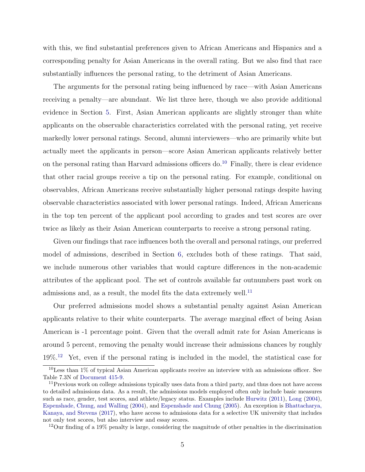with this, we find substantial preferences given to African Americans and Hispanics and a corresponding penalty for Asian Americans in the overall rating. But we also find that race substantially influences the personal rating, to the detriment of Asian Americans.

The arguments for the personal rating being influenced by race—with Asian Americans receiving a penalty—are abundant. We list three here, though we also provide additional evidence in Section [5.](#page-18-0) First, Asian American applicants are slightly stronger than white applicants on the observable characteristics correlated with the personal rating, yet receive markedly lower personal ratings. Second, alumni interviewers—who are primarily white but actually meet the applicants in person—score Asian American applicants relatively better on the personal rating than Harvard admissions officers do.<sup>[10](#page-4-0)</sup> Finally, there is clear evidence that other racial groups receive a tip on the personal rating. For example, conditional on observables, African Americans receive substantially higher personal ratings despite having observable characteristics associated with lower personal ratings. Indeed, African Americans in the top ten percent of the applicant pool according to grades and test scores are over twice as likely as their Asian American counterparts to receive a strong personal rating.

Given our findings that race influences both the overall and personal ratings, our preferred model of admissions, described in Section [6,](#page-24-0) excludes both of these ratings. That said, we include numerous other variables that would capture differences in the non-academic attributes of the applicant pool. The set of controls available far outnumbers past work on admissions and, as a result, the model fits the data extremely well.<sup>[11](#page-4-1)</sup>

Our preferred admissions model shows a substantial penalty against Asian American applicants relative to their white counterparts. The average marginal effect of being Asian American is -1 percentage point. Given that the overall admit rate for Asian Americans is around 5 percent, removing the penalty would increase their admissions chances by roughly 19%.[12](#page-4-2) Yet, even if the personal rating is included in the model, the statistical case for

<span id="page-4-2"></span><sup>12</sup>Our finding of a 19% penalty is large, considering the magnitude of other penalties in the discrimination

<span id="page-4-0"></span> $10$ Less than 1% of typical Asian American applicants receive an interview with an admissions officer. See Table 7.3N of [Document 415-9.](#page-37-2)

<span id="page-4-1"></span><sup>&</sup>lt;sup>11</sup>Previous work on college admissions typically uses data from a third party, and thus does not have access to detailed admissions data. As a result, the admissions models employed often only include basic measures such as race, gender, test scores, and athlete/legacy status. Examples include [Hurwitz](#page-39-4) [\(2011\)](#page-39-4), [Long](#page-39-5) [\(2004\)](#page-39-5), [Espenshade, Chung, and Walling](#page-38-8) [\(2004\)](#page-38-8), and [Espenshade and Chung](#page-38-9) [\(2005\)](#page-38-9). An exception is [Bhattacharya,](#page-36-8) [Kanaya, and Stevens](#page-36-8) [\(2017\)](#page-36-8), who have access to admissions data for a selective UK university that includes not only test scores, but also interview and essay scores.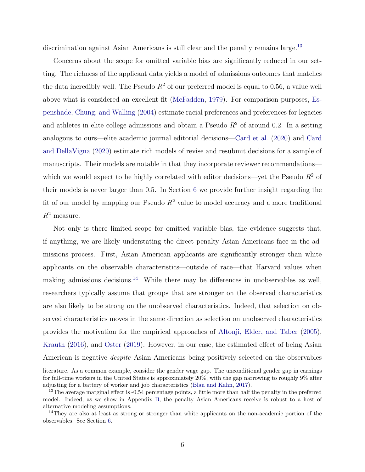discrimination against Asian Americans is still clear and the penalty remains large.<sup>[13](#page-5-0)</sup>

Concerns about the scope for omitted variable bias are significantly reduced in our setting. The richness of the applicant data yields a model of admissions outcomes that matches the data incredibly well. The Pseudo  $R^2$  of our preferred model is equal to 0.56, a value well above what is considered an excellent fit [\(McFadden,](#page-39-6) [1979\)](#page-39-6). For comparison purposes, [Es](#page-38-8)[penshade, Chung, and Walling](#page-38-8) [\(2004\)](#page-38-8) estimate racial preferences and preferences for legacies and athletes in elite college admissions and obtain a Pseudo  $R<sup>2</sup>$  of around 0.2. In a setting analogous to ours—elite academic journal editorial decisions[—Card et al.](#page-37-3) [\(2020\)](#page-37-3) and [Card](#page-37-4) [and DellaVigna](#page-37-4) [\(2020\)](#page-37-4) estimate rich models of revise and resubmit decisions for a sample of manuscripts. Their models are notable in that they incorporate reviewer recommendations which we would expect to be highly correlated with editor decisions—yet the Pseudo  $R^2$  of their models is never larger than 0.5. In Section [6](#page-24-0) we provide further insight regarding the fit of our model by mapping our Pseudo  $R^2$  value to model accuracy and a more traditional  $R^2$  measure.

Not only is there limited scope for omitted variable bias, the evidence suggests that, if anything, we are likely understating the direct penalty Asian Americans face in the admissions process. First, Asian American applicants are significantly stronger than white applicants on the observable characteristics—outside of race—that Harvard values when making admissions decisions.<sup>[14](#page-5-1)</sup> While there may be differences in unobservables as well, researchers typically assume that groups that are stronger on the observed characteristics are also likely to be strong on the unobserved characteristics. Indeed, that selection on observed characteristics moves in the same direction as selection on unobserved characteristics provides the motivation for the empirical approaches of [Altonji, Elder, and Taber](#page-36-9) [\(2005\)](#page-36-9), [Krauth](#page-39-7) [\(2016\)](#page-39-7), and [Oster](#page-40-2) [\(2019\)](#page-40-2). However, in our case, the estimated effect of being Asian American is negative despite Asian Americans being positively selected on the observables

literature. As a common example, consider the gender wage gap. The unconditional gender gap in earnings for full-time workers in the United States is approximately 20%, with the gap narrowing to roughly 9% after adjusting for a battery of worker and job characteristics [\(Blau and Kahn,](#page-36-10) [2017\)](#page-36-10).

<span id="page-5-0"></span><sup>&</sup>lt;sup>13</sup>The average marginal effect is -0.54 percentage points, a little more than half the penalty in the preferred model. Indeed, as we show in Appendix [B,](#page-53-0) the penalty Asian Americans receive is robust to a host of alternative modeling assumptions.

<span id="page-5-1"></span><sup>&</sup>lt;sup>14</sup>They are also at least as strong or stronger than white applicants on the non-academic portion of the observables. See Section [6.](#page-24-0)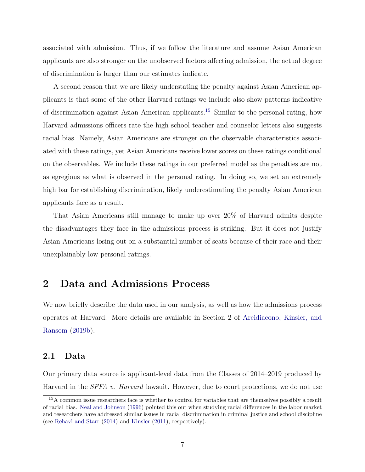associated with admission. Thus, if we follow the literature and assume Asian American applicants are also stronger on the unobserved factors affecting admission, the actual degree of discrimination is larger than our estimates indicate.

A second reason that we are likely understating the penalty against Asian American applicants is that some of the other Harvard ratings we include also show patterns indicative of discrimination against Asian American applicants.[15](#page-6-1) Similar to the personal rating, how Harvard admissions officers rate the high school teacher and counselor letters also suggests racial bias. Namely, Asian Americans are stronger on the observable characteristics associated with these ratings, yet Asian Americans receive lower scores on these ratings conditional on the observables. We include these ratings in our preferred model as the penalties are not as egregious as what is observed in the personal rating. In doing so, we set an extremely high bar for establishing discrimination, likely underestimating the penalty Asian American applicants face as a result.

That Asian Americans still manage to make up over 20% of Harvard admits despite the disadvantages they face in the admissions process is striking. But it does not justify Asian Americans losing out on a substantial number of seats because of their race and their unexplainably low personal ratings.

## <span id="page-6-0"></span>2 Data and Admissions Process

We now briefly describe the data used in our analysis, as well as how the admissions process operates at Harvard. More details are available in Section 2 of [Arcidiacono, Kinsler, and](#page-36-7) [Ransom](#page-36-7) [\(2019b\)](#page-36-7).

#### 2.1 Data

Our primary data source is applicant-level data from the Classes of 2014–2019 produced by Harvard in the *SFFA v. Harvard* lawsuit. However, due to court protections, we do not use

<span id="page-6-1"></span><sup>&</sup>lt;sup>15</sup>A common issue researchers face is whether to control for variables that are themselves possibly a result of racial bias. [Neal and Johnson](#page-40-3) [\(1996\)](#page-40-3) pointed this out when studying racial differences in the labor market and researchers have addressed similar issues in racial discrimination in criminal justice and school discipline (see [Rehavi and Starr](#page-40-4) [\(2014\)](#page-40-4) and [Kinsler](#page-39-8) [\(2011\)](#page-39-8), respectively).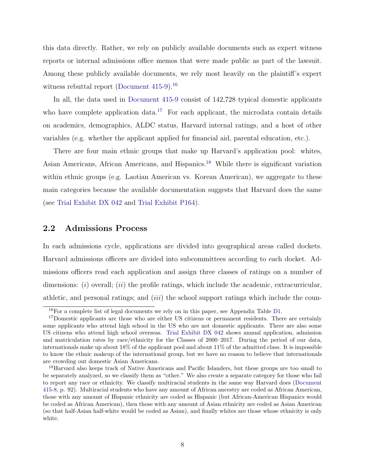this data directly. Rather, we rely on publicly available documents such as expert witness reports or internal admissions office memos that were made public as part of the lawsuit. Among these publicly available documents, we rely most heavily on the plaintiff's expert witness rebuttal report (Document  $415-9$ ).<sup>[16](#page-7-0)</sup>

In all, the data used in [Document 415-9](#page-37-2) consist of 142,728 typical domestic applicants who have complete application data.<sup>[17](#page-7-1)</sup> For each applicant, the microdata contain details on academics, demographics, ALDC status, Harvard internal ratings, and a host of other variables (e.g. whether the applicant applied for financial aid, parental education, etc.).

There are four main ethnic groups that make up Harvard's application pool: whites, Asian Americans, African Americans, and Hispanics.[18](#page-7-2) While there is significant variation within ethnic groups (e.g. Laotian American vs. Korean American), we aggregate to these main categories because the available documentation suggests that Harvard does the same (see [Trial Exhibit DX 042](#page-40-5) and [Trial Exhibit P164\)](#page-41-2).

#### 2.2 Admissions Process

In each admissions cycle, applications are divided into geographical areas called dockets. Harvard admissions officers are divided into subcommittees according to each docket. Admissions officers read each application and assign three classes of ratings on a number of dimensions:  $(i)$  overall;  $(ii)$  the profile ratings, which include the academic, extracurricular, athletic, and personal ratings; and *(iii)* the school support ratings which include the coun-

<span id="page-7-1"></span><span id="page-7-0"></span><sup>&</sup>lt;sup>16</sup>For a complete list of legal documents we rely on in this paper, see Appendix Table [D1.](#page-63-0)

<sup>&</sup>lt;sup>17</sup>Domestic applicants are those who are either US citizens or permanent residents. There are certainly some applicants who attend high school in the US who are not domestic applicants. There are also some US citizens who attend high school overseas. [Trial Exhibit DX 042](#page-40-5) shows annual application, admission and matriculation rates by race/ethnicity for the Classes of 2000–2017. During the period of our data, internationals make up about 18% of the applicant pool and about 11% of the admitted class. It is impossible to know the ethnic makeup of the international group, but we have no reason to believe that internationals are crowding out domestic Asian Americans.

<span id="page-7-2"></span><sup>18</sup>Harvard also keeps track of Native Americans and Pacific Islanders, but these groups are too small to be separately analyzed, so we classify them as "other." We also create a separate category for those who fail to report any race or ethnicity. We classify multiracial students in the same way Harvard does [\(Document](#page-37-5) [415-8,](#page-37-5) p. 92). Multiracial students who have any amount of African ancestry are coded as African American, those with any amount of Hispanic ethnicity are coded as Hispanic (but African-American Hispanics would be coded as African American), then those with any amount of Asian ethnicity are coded as Asian American (so that half-Asian half-white would be coded as Asian), and finally whites are those whose ethnicity is only white.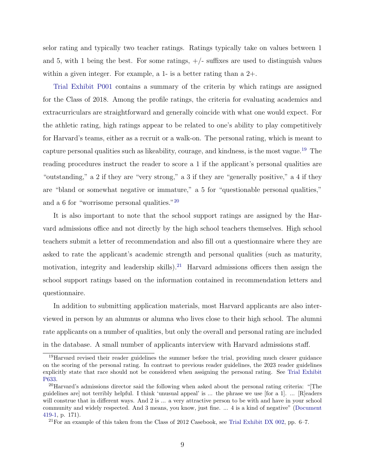selor rating and typically two teacher ratings. Ratings typically take on values between 1 and 5, with 1 being the best. For some ratings,  $+/-$  suffixes are used to distinguish values within a given integer. For example, a 1- is a better rating than a 2+.

[Trial Exhibit P001](#page-40-6) contains a summary of the criteria by which ratings are assigned for the Class of 2018. Among the profile ratings, the criteria for evaluating academics and extracurriculars are straightforward and generally coincide with what one would expect. For the athletic rating, high ratings appear to be related to one's ability to play competitively for Harvard's teams, either as a recruit or a walk-on. The personal rating, which is meant to capture personal qualities such as likeability, courage, and kindness, is the most vague.[19](#page-8-0) The reading procedures instruct the reader to score a 1 if the applicant's personal qualities are "outstanding," a 2 if they are "very strong," a 3 if they are "generally positive," a 4 if they are "bland or somewhat negative or immature," a 5 for "questionable personal qualities," and a 6 for "worrisome personal qualities."[20](#page-8-1)

It is also important to note that the school support ratings are assigned by the Harvard admissions office and not directly by the high school teachers themselves. High school teachers submit a letter of recommendation and also fill out a questionnaire where they are asked to rate the applicant's academic strength and personal qualities (such as maturity, motivation, integrity and leadership skills).<sup>[21](#page-8-2)</sup> Harvard admissions officers then assign the school support ratings based on the information contained in recommendation letters and questionnaire.

In addition to submitting application materials, most Harvard applicants are also interviewed in person by an alumnus or alumna who lives close to their high school. The alumni rate applicants on a number of qualities, but only the overall and personal rating are included in the database. A small number of applicants interview with Harvard admissions staff.

<span id="page-8-0"></span><sup>&</sup>lt;sup>19</sup>Harvard revised their reader guidelines the summer before the trial, providing much clearer guidance on the scoring of the personal rating. In contrast to previous reader guidelines, the 2023 reader guidelines explicitly state that race should not be considered when assigning the personal rating. See [Trial Exhibit](#page-41-3) [P633.](#page-41-3)

<span id="page-8-1"></span><sup>20</sup>Harvard's admissions director said the following when asked about the personal rating criteria: "[The guidelines are] not terribly helpful. I think 'unusual appeal' is ... the phrase we use [for a 1]. ... [R]eaders will construe that in different ways. And 2 is ... a very attractive person to be with and have in your school community and widely respected. And 3 means, you know, just fine. ... 4 is a kind of negative" [\(Document](#page-37-6) [419-1,](#page-37-6) p. 171).

<span id="page-8-2"></span><sup>&</sup>lt;sup>21</sup>For an example of this taken from the Class of 2012 Casebook, see [Trial Exhibit DX 002,](#page-40-7) pp.  $6-7$ .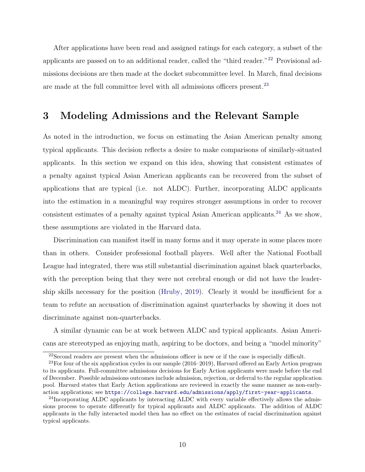After applications have been read and assigned ratings for each category, a subset of the applicants are passed on to an additional reader, called the "third reader."<sup>[22](#page-9-1)</sup> Provisional admissions decisions are then made at the docket subcommittee level. In March, final decisions are made at the full committee level with all admissions officers present.[23](#page-9-2)

## <span id="page-9-0"></span>3 Modeling Admissions and the Relevant Sample

As noted in the introduction, we focus on estimating the Asian American penalty among typical applicants. This decision reflects a desire to make comparisons of similarly-situated applicants. In this section we expand on this idea, showing that consistent estimates of a penalty against typical Asian American applicants can be recovered from the subset of applications that are typical (i.e. not ALDC). Further, incorporating ALDC applicants into the estimation in a meaningful way requires stronger assumptions in order to recover consistent estimates of a penalty against typical Asian American applicants.<sup>[24](#page-9-3)</sup> As we show, these assumptions are violated in the Harvard data.

Discrimination can manifest itself in many forms and it may operate in some places more than in others. Consider professional football players. Well after the National Football League had integrated, there was still substantial discrimination against black quarterbacks, with the perception being that they were not cerebral enough or did not have the leadership skills necessary for the position [\(Hruby,](#page-39-9) [2019\)](#page-39-9). Clearly it would be insufficient for a team to refute an accusation of discrimination against quarterbacks by showing it does not discriminate against non-quarterbacks.

A similar dynamic can be at work between ALDC and typical applicants. Asian Americans are stereotyped as enjoying math, aspiring to be doctors, and being a "model minority"

<span id="page-9-2"></span><span id="page-9-1"></span><sup>22</sup>Second readers are present when the admissions officer is new or if the case is especially difficult.

<sup>&</sup>lt;sup>23</sup>For four of the six application cycles in our sample (2016–2019), Harvard offered an Early Action program to its applicants. Full-committee admissions decisions for Early Action applicants were made before the end of December. Possible admissions outcomes include admission, rejection, or deferral to the regular application pool. Harvard states that Early Action applications are reviewed in exactly the same manner as non-earlyaction applications; see <https://college.harvard.edu/admissions/apply/first-year-applicants>.

<span id="page-9-3"></span><sup>&</sup>lt;sup>24</sup>Incorporating ALDC applicants by interacting ALDC with every variable effectively allows the admissions process to operate differently for typical applicants and ALDC applicants. The addition of ALDC applicants in the fully interacted model then has no effect on the estimates of racial discrimination against typical applicants.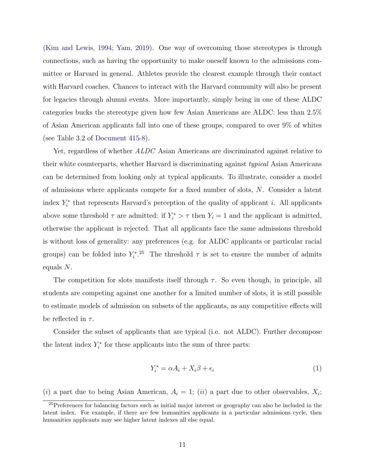[\(Kim and Lewis,](#page-39-10) [1994;](#page-39-10) [Yam,](#page-41-4) [2019\)](#page-41-4). One way of overcoming those stereotypes is through connections, such as having the opportunity to make oneself known to the admissions committee or Harvard in general. Athletes provide the clearest example through their contact with Harvard coaches. Chances to interact with the Harvard community will also be present for legacies through alumni events. More importantly, simply being in one of these ALDC categories bucks the stereotype given how few Asian Americans are ALDC: less than 2.5% of Asian American applicants fall into one of these groups, compared to over 9% of whites (see Table 3.2 of [Document 415-8\)](#page-37-5).

Yet, regardless of whether ALDC Asian Americans are discriminated against relative to their white counterparts, whether Harvard is discriminating against typical Asian Americans can be determined from looking only at typical applicants. To illustrate, consider a model of admissions where applicants compete for a fixed number of slots, N. Consider a latent index  $Y_i^*$  that represents Harvard's perception of the quality of applicant i. All applicants above some threshold  $\tau$  are admitted: if  $Y_i^* > \tau$  then  $Y_i = 1$  and the applicant is admitted, otherwise the applicant is rejected. That all applicants face the same admissions threshold is without loss of generality: any preferences (e.g. for ALDC applicants or particular racial groups) can be folded into  $Y_i^*$ <sup>[25](#page-10-0)</sup>. The threshold  $\tau$  is set to ensure the number of admits equals N.

The competition for slots manifests itself through  $\tau$ . So even though, in principle, all students are competing against one another for a limited number of slots, it is still possible to estimate models of admission on subsets of the applicants, as any competitive effects will be reflected in  $\tau$ .

Consider the subset of applicants that are typical (i.e. not ALDC). Further decompose the latent index  $Y_i^*$  for these applicants into the sum of three parts:

$$
Y_i^* = \alpha A_i + X_i \beta + \epsilon_i \tag{1}
$$

(i) a part due to being Asian American,  $A_i = 1$ ; (ii) a part due to other observables,  $X_i$ ;

<span id="page-10-0"></span><sup>&</sup>lt;sup>25</sup>Preferences for balancing factors such as initial major interest or geography can also be included in the latent index. For example, if there are few humanities applicants in a particular admissions cycle, then humanities applicants may see higher latent indexes all else equal.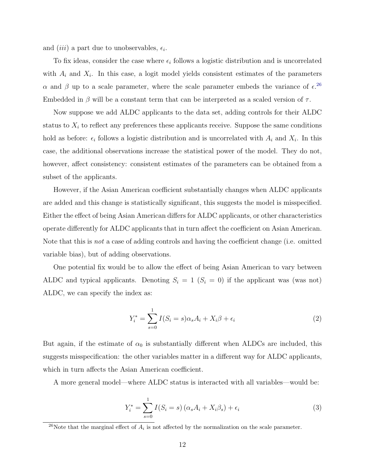and *(iii)* a part due to unobservables,  $\epsilon_i$ .

To fix ideas, consider the case where  $\epsilon_i$  follows a logistic distribution and is uncorrelated with  $A_i$  and  $X_i$ . In this case, a logit model yields consistent estimates of the parameters α and β up to a scale parameter, where the scale parameter embeds the variance of  $\epsilon^{26}$  $\epsilon^{26}$  $\epsilon^{26}$ Embedded in  $\beta$  will be a constant term that can be interpreted as a scaled version of  $\tau$ .

Now suppose we add ALDC applicants to the data set, adding controls for their ALDC status to  $X_i$  to reflect any preferences these applicants receive. Suppose the same conditions hold as before:  $\epsilon_i$  follows a logistic distribution and is uncorrelated with  $A_i$  and  $X_i$ . In this case, the additional observations increase the statistical power of the model. They do not, however, affect consistency: consistent estimates of the parameters can be obtained from a subset of the applicants.

However, if the Asian American coefficient substantially changes when ALDC applicants are added and this change is statistically significant, this suggests the model is misspecified. Either the effect of being Asian American differs for ALDC applicants, or other characteristics operate differently for ALDC applicants that in turn affect the coefficient on Asian American. Note that this is not a case of adding controls and having the coefficient change (i.e. omitted variable bias), but of adding observations.

One potential fix would be to allow the effect of being Asian American to vary between ALDC and typical applicants. Denoting  $S_i = 1$  ( $S_i = 0$ ) if the applicant was (was not) ALDC, we can specify the index as:

$$
Y_i^* = \sum_{s=0}^{1} I(S_i = s) \alpha_s A_i + X_i \beta + \epsilon_i \tag{2}
$$

But again, if the estimate of  $\alpha_0$  is substantially different when ALDCs are included, this suggests misspecification: the other variables matter in a different way for ALDC applicants, which in turn affects the Asian American coefficient.

A more general model—where ALDC status is interacted with all variables—would be:

<span id="page-11-1"></span>
$$
Y_i^* = \sum_{s=0}^1 I(S_i = s) \left(\alpha_s A_i + X_i \beta_s\right) + \epsilon_i \tag{3}
$$

<span id="page-11-0"></span><sup>&</sup>lt;sup>26</sup>Note that the marginal effect of  $A_i$  is not affected by the normalization on the scale parameter.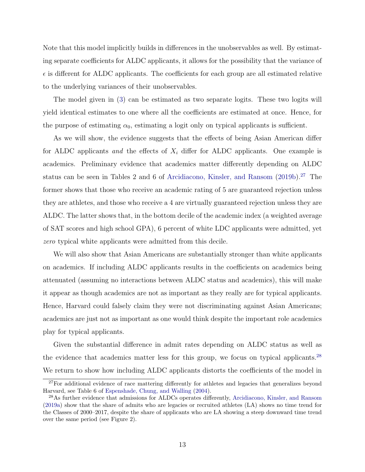Note that this model implicitly builds in differences in the unobservables as well. By estimating separate coefficients for ALDC applicants, it allows for the possibility that the variance of  $\epsilon$  is different for ALDC applicants. The coefficients for each group are all estimated relative to the underlying variances of their unobservables.

The model given in [\(3\)](#page-11-1) can be estimated as two separate logits. These two logits will yield identical estimates to one where all the coefficients are estimated at once. Hence, for the purpose of estimating  $\alpha_0$ , estimating a logit only on typical applicants is sufficient.

As we will show, the evidence suggests that the effects of being Asian American differ for ALDC applicants and the effects of  $X_i$  differ for ALDC applicants. One example is academics. Preliminary evidence that academics matter differently depending on ALDC status can be seen in Tables 2 and 6 of [Arcidiacono, Kinsler, and Ransom](#page-36-7)  $(2019b).^{27}$  $(2019b).^{27}$  $(2019b).^{27}$  $(2019b).^{27}$  The former shows that those who receive an academic rating of 5 are guaranteed rejection unless they are athletes, and those who receive a 4 are virtually guaranteed rejection unless they are ALDC. The latter shows that, in the bottom decile of the academic index (a weighted average of SAT scores and high school GPA), 6 percent of white LDC applicants were admitted, yet zero typical white applicants were admitted from this decile.

We will also show that Asian Americans are substantially stronger than white applicants on academics. If including ALDC applicants results in the coefficients on academics being attenuated (assuming no interactions between ALDC status and academics), this will make it appear as though academics are not as important as they really are for typical applicants. Hence, Harvard could falsely claim they were not discriminating against Asian Americans; academics are just not as important as one would think despite the important role academics play for typical applicants.

Given the substantial difference in admit rates depending on ALDC status as well as the evidence that academics matter less for this group, we focus on typical applicants.<sup>[28](#page-12-1)</sup> We return to show how including ALDC applicants distorts the coefficients of the model in

<span id="page-12-0"></span><sup>&</sup>lt;sup>27</sup>For additional evidence of race mattering differently for athletes and legacies that generalizes beyond Harvard, see Table 6 of [Espenshade, Chung, and Walling](#page-38-8) [\(2004\)](#page-38-8).

<span id="page-12-1"></span><sup>28</sup>As further evidence that admissions for ALDCs operates differently, [Arcidiacono, Kinsler, and Ransom](#page-36-11) [\(2019a\)](#page-36-11) show that the share of admits who are legacies or recruited athletes (LA) shows no time trend for the Classes of 2000–2017, despite the share of applicants who are LA showing a steep downward time trend over the same period (see Figure 2).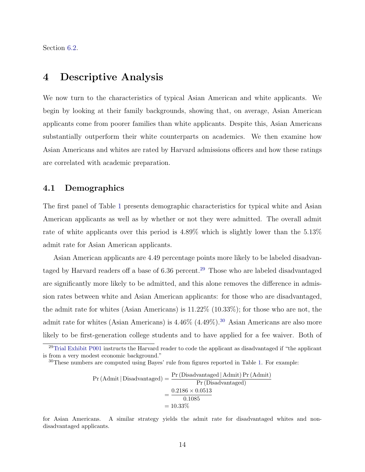Section [6.2.](#page-26-0)

## <span id="page-13-0"></span>4 Descriptive Analysis

We now turn to the characteristics of typical Asian American and white applicants. We begin by looking at their family backgrounds, showing that, on average, Asian American applicants come from poorer families than white applicants. Despite this, Asian Americans substantially outperform their white counterparts on academics. We then examine how Asian Americans and whites are rated by Harvard admissions officers and how these ratings are correlated with academic preparation.

### 4.1 Demographics

The first panel of Table [1](#page-42-0) presents demographic characteristics for typical white and Asian American applicants as well as by whether or not they were admitted. The overall admit rate of white applicants over this period is 4.89% which is slightly lower than the 5.13% admit rate for Asian American applicants.

Asian American applicants are 4.49 percentage points more likely to be labeled disadvan-taged by Harvard readers off a base of 6.36 percent.<sup>[29](#page-13-1)</sup> Those who are labeled disadvantaged are significantly more likely to be admitted, and this alone removes the difference in admission rates between white and Asian American applicants: for those who are disadvantaged, the admit rate for whites (Asian Americans) is 11.22% (10.33%); for those who are not, the admit rate for whites (Asian Americans) is  $4.46\%$  ( $4.49\%$ ).<sup>[30](#page-13-2)</sup> Asian Americans are also more likely to be first-generation college students and to have applied for a fee waiver. Both of

$$
Pr (Admit | Disadvantage d) = \frac{Pr (Disadvantage d | Admit) Pr (Admit)}{Pr (Disadvantage d)}
$$

$$
= \frac{0.2186 \times 0.0513}{0.1085}
$$

$$
= 10.33\%
$$

for Asian Americans. A similar strategy yields the admit rate for disadvantaged whites and nondisadvantaged applicants.

<span id="page-13-1"></span><sup>&</sup>lt;sup>29</sup>[Trial Exhibit P001](#page-40-6) instructs the Harvard reader to code the applicant as disadvantaged if "the applicant" is from a very modest economic background."

<span id="page-13-2"></span> $30$ These numbers are computed using Bayes' rule from figures reported in Table [1.](#page-42-0) For example: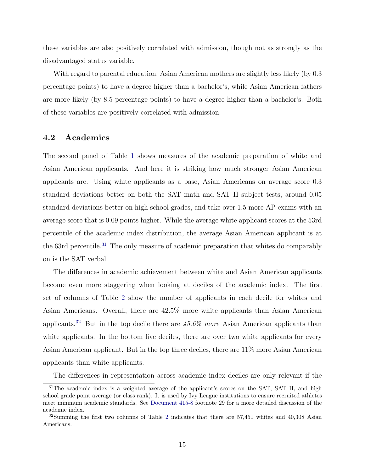these variables are also positively correlated with admission, though not as strongly as the disadvantaged status variable.

With regard to parental education, Asian American mothers are slightly less likely (by 0.3 percentage points) to have a degree higher than a bachelor's, while Asian American fathers are more likely (by 8.5 percentage points) to have a degree higher than a bachelor's. Both of these variables are positively correlated with admission.

### 4.2 Academics

The second panel of Table [1](#page-42-0) shows measures of the academic preparation of white and Asian American applicants. And here it is striking how much stronger Asian American applicants are. Using white applicants as a base, Asian Americans on average score 0.3 standard deviations better on both the SAT math and SAT II subject tests, around 0.05 standard deviations better on high school grades, and take over 1.5 more AP exams with an average score that is 0.09 points higher. While the average white applicant scores at the 53rd percentile of the academic index distribution, the average Asian American applicant is at the 63rd percentile.<sup>[31](#page-14-0)</sup> The only measure of academic preparation that whites do comparably on is the SAT verbal.

The differences in academic achievement between white and Asian American applicants become even more staggering when looking at deciles of the academic index. The first set of columns of Table [2](#page-43-0) show the number of applicants in each decile for whites and Asian Americans. Overall, there are 42.5% more white applicants than Asian American applicants.<sup>[32](#page-14-1)</sup> But in the top decile there are  $45.6\%$  more Asian American applicants than white applicants. In the bottom five deciles, there are over two white applicants for every Asian American applicant. But in the top three deciles, there are 11% more Asian American applicants than white applicants.

<span id="page-14-0"></span>The differences in representation across academic index deciles are only relevant if the

<sup>&</sup>lt;sup>31</sup>The academic index is a weighted average of the applicant's scores on the SAT, SAT II, and high school grade point average (or class rank). It is used by Ivy League institutions to ensure recruited athletes meet minimum academic standards. See [Document 415-8](#page-37-5) footnote 29 for a more detailed discussion of the academic index.

<span id="page-14-1"></span><sup>32</sup>Summing the first two columns of Table [2](#page-43-0) indicates that there are 57,451 whites and 40,308 Asian Americans.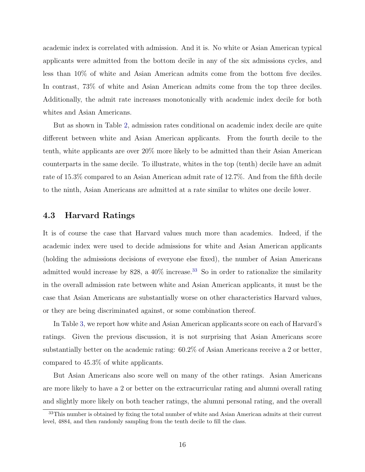academic index is correlated with admission. And it is. No white or Asian American typical applicants were admitted from the bottom decile in any of the six admissions cycles, and less than 10% of white and Asian American admits come from the bottom five deciles. In contrast, 73% of white and Asian American admits come from the top three deciles. Additionally, the admit rate increases monotonically with academic index decile for both whites and Asian Americans.

But as shown in Table [2,](#page-43-0) admission rates conditional on academic index decile are quite different between white and Asian American applicants. From the fourth decile to the tenth, white applicants are over 20% more likely to be admitted than their Asian American counterparts in the same decile. To illustrate, whites in the top (tenth) decile have an admit rate of 15.3% compared to an Asian American admit rate of 12.7%. And from the fifth decile to the ninth, Asian Americans are admitted at a rate similar to whites one decile lower.

#### 4.3 Harvard Ratings

It is of course the case that Harvard values much more than academics. Indeed, if the academic index were used to decide admissions for white and Asian American applicants (holding the admissions decisions of everyone else fixed), the number of Asian Americans admitted would increase by  $828$ , a  $40\%$  increase.<sup>[33](#page-15-0)</sup> So in order to rationalize the similarity in the overall admission rate between white and Asian American applicants, it must be the case that Asian Americans are substantially worse on other characteristics Harvard values, or they are being discriminated against, or some combination thereof.

In Table [3,](#page-43-1) we report how white and Asian American applicants score on each of Harvard's ratings. Given the previous discussion, it is not surprising that Asian Americans score substantially better on the academic rating: 60.2% of Asian Americans receive a 2 or better, compared to 45.3% of white applicants.

But Asian Americans also score well on many of the other ratings. Asian Americans are more likely to have a 2 or better on the extracurricular rating and alumni overall rating and slightly more likely on both teacher ratings, the alumni personal rating, and the overall

<span id="page-15-0"></span><sup>&</sup>lt;sup>33</sup>This number is obtained by fixing the total number of white and Asian American admits at their current level, 4884, and then randomly sampling from the tenth decile to fill the class.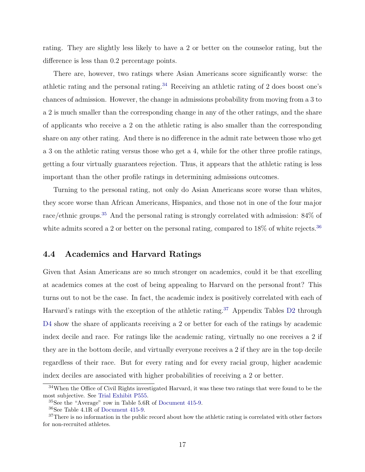rating. They are slightly less likely to have a 2 or better on the counselor rating, but the difference is less than 0.2 percentage points.

There are, however, two ratings where Asian Americans score significantly worse: the athletic rating and the personal rating.[34](#page-16-0) Receiving an athletic rating of 2 does boost one's chances of admission. However, the change in admissions probability from moving from a 3 to a 2 is much smaller than the corresponding change in any of the other ratings, and the share of applicants who receive a 2 on the athletic rating is also smaller than the corresponding share on any other rating. And there is no difference in the admit rate between those who get a 3 on the athletic rating versus those who get a 4, while for the other three profile ratings, getting a four virtually guarantees rejection. Thus, it appears that the athletic rating is less important than the other profile ratings in determining admissions outcomes.

Turning to the personal rating, not only do Asian Americans score worse than whites, they score worse than African Americans, Hispanics, and those not in one of the four major race/ethnic groups.<sup>[35](#page-16-1)</sup> And the personal rating is strongly correlated with admission: 84% of white admits scored a 2 or better on the personal rating, compared to  $18\%$  of white rejects.<sup>[36](#page-16-2)</sup>

### 4.4 Academics and Harvard Ratings

Given that Asian Americans are so much stronger on academics, could it be that excelling at academics comes at the cost of being appealing to Harvard on the personal front? This turns out to not be the case. In fact, the academic index is positively correlated with each of Harvard's ratings with the exception of the athletic rating.<sup>[37](#page-16-3)</sup> Appendix Tables [D2](#page-64-0) through D<sub>4</sub> show the share of applicants receiving a 2 or better for each of the ratings by academic index decile and race. For ratings like the academic rating, virtually no one receives a 2 if they are in the bottom decile, and virtually everyone receives a 2 if they are in the top decile regardless of their race. But for every rating and for every racial group, higher academic index deciles are associated with higher probabilities of receiving a 2 or better.

<span id="page-16-0"></span><sup>&</sup>lt;sup>34</sup>When the Office of Civil Rights investigated Harvard, it was these two ratings that were found to be the most subjective. See [Trial Exhibit P555.](#page-41-5)

<span id="page-16-1"></span><sup>35</sup>See the "Average" row in Table 5.6R of [Document 415-9.](#page-37-2)

<span id="page-16-3"></span><span id="page-16-2"></span><sup>36</sup>See Table 4.1R of [Document 415-9.](#page-37-2)

<sup>&</sup>lt;sup>37</sup>There is no information in the public record about how the athletic rating is correlated with other factors for non-recruited athletes.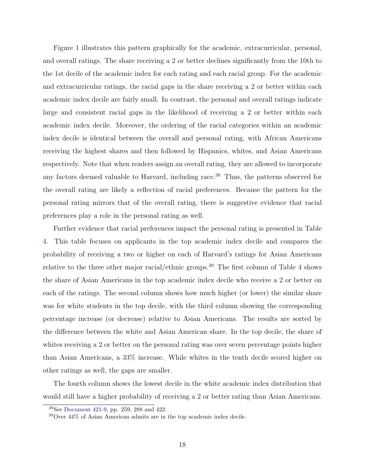Figure [1](#page-44-0) illustrates this pattern graphically for the academic, extracurricular, personal, and overall ratings. The share receiving a 2 or better declines significantly from the 10th to the 1st decile of the academic index for each rating and each racial group. For the academic and extracurricular ratings, the racial gaps in the share receiving a 2 or better within each academic index decile are fairly small. In contrast, the personal and overall ratings indicate large and consistent racial gaps in the likelihood of receiving a 2 or better within each academic index decile. Moreover, the ordering of the racial categories within an academic index decile is identical between the overall and personal rating, with African Americans receiving the highest shares and then followed by Hispanics, whites, and Asian Americans respectively. Note that when readers assign an overall rating, they are allowed to incorporate any factors deemed valuable to Harvard, including race.<sup>[38](#page-17-0)</sup> Thus, the patterns observed for the overall rating are likely a reflection of racial preferences. Because the pattern for the personal rating mirrors that of the overall rating, there is suggestive evidence that racial preferences play a role in the personal rating as well.

Further evidence that racial preferences impact the personal rating is presented in Table [4.](#page-45-0) This table focuses on applicants in the top academic index decile and compares the probability of receiving a two or higher on each of Harvard's ratings for Asian Americans relative to the three other major racial/ethnic groups.[39](#page-17-1) The first column of Table [4](#page-45-0) shows the share of Asian Americans in the top academic index decile who receive a 2 or better on each of the ratings. The second column shows how much higher (or lower) the similar share was for white students in the top decile, with the third column showing the corresponding percentage increase (or decrease) relative to Asian Americans. The results are sorted by the difference between the white and Asian American share. In the top decile, the share of whites receiving a 2 or better on the personal rating was over seven percentage points higher than Asian Americans, a 33% increase. While whites in the tenth decile scored higher on other ratings as well, the gaps are smaller.

The fourth column shows the lowest decile in the white academic index distribution that would still have a higher probability of receiving a 2 or better rating than Asian Americans.

<span id="page-17-0"></span><sup>38</sup>See [Document 421-9,](#page-37-7) pp. 259, 288 and 422.

<span id="page-17-1"></span> $39$ Over  $44\%$  of Asian American admits are in the top academic index decile.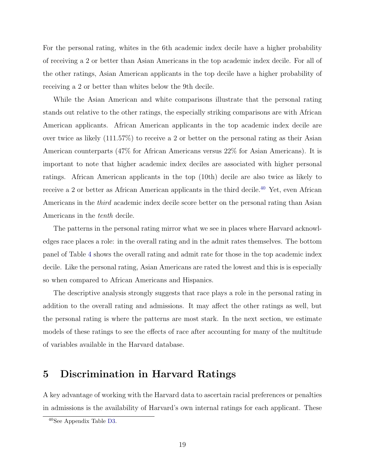For the personal rating, whites in the 6th academic index decile have a higher probability of receiving a 2 or better than Asian Americans in the top academic index decile. For all of the other ratings, Asian American applicants in the top decile have a higher probability of receiving a 2 or better than whites below the 9th decile.

While the Asian American and white comparisons illustrate that the personal rating stands out relative to the other ratings, the especially striking comparisons are with African American applicants. African American applicants in the top academic index decile are over twice as likely (111.57%) to receive a 2 or better on the personal rating as their Asian American counterparts (47% for African Americans versus 22% for Asian Americans). It is important to note that higher academic index deciles are associated with higher personal ratings. African American applicants in the top (10th) decile are also twice as likely to receive a 2 or better as African American applicants in the third decile.<sup>[40](#page-18-1)</sup> Yet, even African Americans in the third academic index decile score better on the personal rating than Asian Americans in the tenth decile.

The patterns in the personal rating mirror what we see in places where Harvard acknowledges race places a role: in the overall rating and in the admit rates themselves. The bottom panel of Table [4](#page-45-0) shows the overall rating and admit rate for those in the top academic index decile. Like the personal rating, Asian Americans are rated the lowest and this is is especially so when compared to African Americans and Hispanics.

The descriptive analysis strongly suggests that race plays a role in the personal rating in addition to the overall rating and admissions. It may affect the other ratings as well, but the personal rating is where the patterns are most stark. In the next section, we estimate models of these ratings to see the effects of race after accounting for many of the multitude of variables available in the Harvard database.

## <span id="page-18-0"></span>5 Discrimination in Harvard Ratings

A key advantage of working with the Harvard data to ascertain racial preferences or penalties in admissions is the availability of Harvard's own internal ratings for each applicant. These

<span id="page-18-1"></span><sup>40</sup>See Appendix Table [D3.](#page-65-0)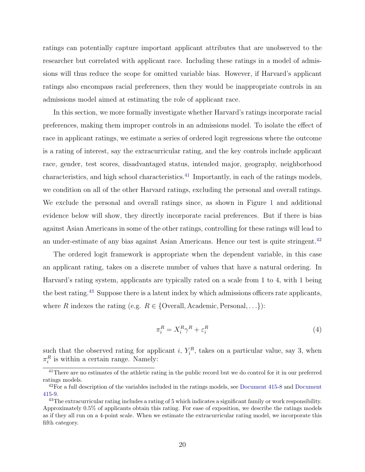ratings can potentially capture important applicant attributes that are unobserved to the researcher but correlated with applicant race. Including these ratings in a model of admissions will thus reduce the scope for omitted variable bias. However, if Harvard's applicant ratings also encompass racial preferences, then they would be inappropriate controls in an admissions model aimed at estimating the role of applicant race.

In this section, we more formally investigate whether Harvard's ratings incorporate racial preferences, making them improper controls in an admissions model. To isolate the effect of race in applicant ratings, we estimate a series of ordered logit regressions where the outcome is a rating of interest, say the extracurricular rating, and the key controls include applicant race, gender, test scores, disadvantaged status, intended major, geography, neighborhood characteristics, and high school characteristics.[41](#page-19-0) Importantly, in each of the ratings models, we condition on all of the other Harvard ratings, excluding the personal and overall ratings. We exclude the personal and overall ratings since, as shown in Figure [1](#page-44-0) and additional evidence below will show, they directly incorporate racial preferences. But if there is bias against Asian Americans in some of the other ratings, controlling for these ratings will lead to an under-estimate of any bias against Asian Americans. Hence our test is quite stringent.<sup>[42](#page-19-1)</sup>

The ordered logit framework is appropriate when the dependent variable, in this case an applicant rating, takes on a discrete number of values that have a natural ordering. In Harvard's rating system, applicants are typically rated on a scale from 1 to 4, with 1 being the best rating.[43](#page-19-2) Suppose there is a latent index by which admissions officers rate applicants, where R indexes the rating (e.g.  $R \in \{O \text{veral}, A \text{cademic}, \text{Personal}, \ldots\}$ ):

$$
\pi_i^R = X_i^R \gamma^R + \varepsilon_i^R \tag{4}
$$

such that the observed rating for applicant i,  $Y_i^R$ , takes on a particular value, say 3, when  $\pi_i^R$  is within a certain range. Namely:

<span id="page-19-0"></span><sup>&</sup>lt;sup>41</sup>There are no estimates of the athletic rating in the public record but we do control for it in our preferred ratings models.

<span id="page-19-1"></span> $42$ For a full description of the variables included in the ratings models, see [Document 415-8](#page-37-5) and [Document](#page-37-2) [415-9.](#page-37-2)

<span id="page-19-2"></span><sup>&</sup>lt;sup>43</sup>The extracurricular rating includes a rating of 5 which indicates a significant family or work responsibility. Approximately 0.5% of applicants obtain this rating. For ease of exposition, we describe the ratings models as if they all run on a 4-point scale. When we estimate the extracurricular rating model, we incorporate this fifth category.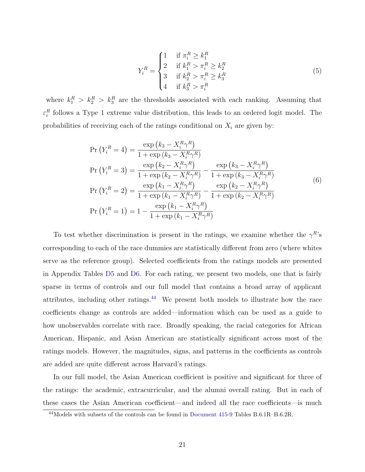$$
Y_i^R = \begin{cases} 1 & \text{if } \pi_i^R \ge k_1^R \\ 2 & \text{if } k_1^R > \pi_i^R \ge k_2^R \\ 3 & \text{if } k_2^R > \pi_i^R \ge k_3^R \\ 4 & \text{if } k_3^R > \pi_i^R \end{cases}
$$
(5)

where  $k_1^R > k_2^R > k_3^R$  are the thresholds associated with each ranking. Assuming that  $\varepsilon_i^R$  follows a Type 1 extreme value distribution, this leads to an ordered logit model. The probabilities of receiving each of the ratings conditional on  $X_i$  are given by:

$$
Pr(Y_i^R = 4) = \frac{\exp(k_3 - X_i^R \gamma^R)}{1 + \exp(k_3 - X_i^R \gamma^R)}
$$
  
\n
$$
Pr(Y_i^R = 3) = \frac{\exp(k_2 - X_i^R \gamma^R)}{1 + \exp(k_2 - X_i^R \gamma^R)} - \frac{\exp(k_3 - X_i^R \gamma^R)}{1 + \exp(k_3 - X_i^R \gamma^R)}
$$
  
\n
$$
Pr(Y_i^R = 2) = \frac{\exp(k_1 - X_i^R \gamma^R)}{1 + \exp(k_1 - X_i^R \gamma^R)} - \frac{\exp(k_2 - X_i^R \gamma^R)}{1 + \exp(k_2 - X_i^R \gamma^R)}
$$
  
\n
$$
Pr(Y_i^R = 1) = 1 - \frac{\exp(k_1 - X_i^R \gamma^R)}{1 + \exp(k_1 - X_i^R \gamma^R)}
$$
 (6)

To test whether discrimination is present in the ratings, we examine whether the  $\gamma^{R}$ 's corresponding to each of the race dummies are statistically different from zero (where whites serve as the reference group). Selected coefficients from the ratings models are presented in Appendix Tables [D5](#page-67-0) and [D6.](#page-68-0) For each rating, we present two models, one that is fairly sparse in terms of controls and our full model that contains a broad array of applicant attributes, including other ratings.[44](#page-20-0) We present both models to illustrate how the race coefficients change as controls are added—information which can be used as a guide to how unobservables correlate with race. Broadly speaking, the racial categories for African American, Hispanic, and Asian American are statistically significant across most of the ratings models. However, the magnitudes, signs, and patterns in the coefficients as controls are added are quite different across Harvard's ratings.

In our full model, the Asian American coefficient is positive and significant for three of the ratings: the academic, extracurricular, and the alumni overall rating. But in each of these cases the Asian American coefficient—and indeed all the race coefficients—is much

<span id="page-20-0"></span><sup>44</sup>Models with subsets of the controls can be found in [Document 415-9](#page-37-2) Tables B.6.1R–B.6.2R.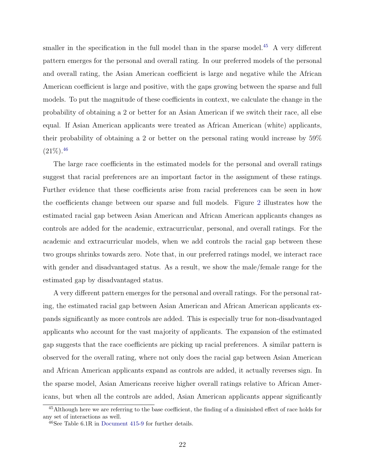smaller in the specification in the full model than in the sparse model.<sup>[45](#page-21-0)</sup> A very different pattern emerges for the personal and overall rating. In our preferred models of the personal and overall rating, the Asian American coefficient is large and negative while the African American coefficient is large and positive, with the gaps growing between the sparse and full models. To put the magnitude of these coefficients in context, we calculate the change in the probability of obtaining a 2 or better for an Asian American if we switch their race, all else equal. If Asian American applicants were treated as African American (white) applicants, their probability of obtaining a 2 or better on the personal rating would increase by 59%  $(21\%)$ .<sup>[46](#page-21-1)</sup>

The large race coefficients in the estimated models for the personal and overall ratings suggest that racial preferences are an important factor in the assignment of these ratings. Further evidence that these coefficients arise from racial preferences can be seen in how the coefficients change between our sparse and full models. Figure [2](#page-46-0) illustrates how the estimated racial gap between Asian American and African American applicants changes as controls are added for the academic, extracurricular, personal, and overall ratings. For the academic and extracurricular models, when we add controls the racial gap between these two groups shrinks towards zero. Note that, in our preferred ratings model, we interact race with gender and disadvantaged status. As a result, we show the male/female range for the estimated gap by disadvantaged status.

A very different pattern emerges for the personal and overall ratings. For the personal rating, the estimated racial gap between Asian American and African American applicants expands significantly as more controls are added. This is especially true for non-disadvantaged applicants who account for the vast majority of applicants. The expansion of the estimated gap suggests that the race coefficients are picking up racial preferences. A similar pattern is observed for the overall rating, where not only does the racial gap between Asian American and African American applicants expand as controls are added, it actually reverses sign. In the sparse model, Asian Americans receive higher overall ratings relative to African Americans, but when all the controls are added, Asian American applicants appear significantly

<span id="page-21-0"></span><sup>45</sup>Although here we are referring to the base coefficient, the finding of a diminished effect of race holds for any set of interactions as well.

<span id="page-21-1"></span> $^{46}$ See Table 6.1R in [Document 415-9](#page-37-2) for further details.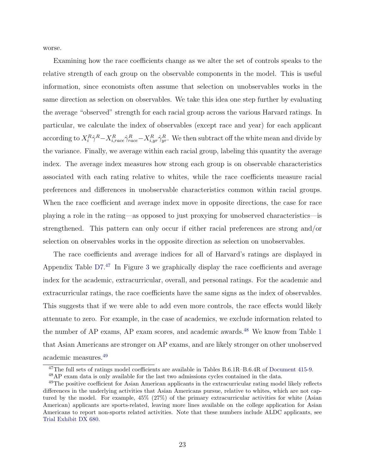worse.

Examining how the race coefficients change as we alter the set of controls speaks to the relative strength of each group on the observable components in the model. This is useful information, since economists often assume that selection on unobservables works in the same direction as selection on observables. We take this idea one step further by evaluating the average "observed" strength for each racial group across the various Harvard ratings. In particular, we calculate the index of observables (except race and year) for each applicant according to  $X_i^R \hat{\gamma}^R - X_{i,race}^R \hat{\gamma}_{race}^R - X_{i,yr}^R \hat{\gamma}_{yr}^R$ . We then subtract off the white mean and divide by the variance. Finally, we average within each racial group, labeling this quantity the average index. The average index measures how strong each group is on observable characteristics associated with each rating relative to whites, while the race coefficients measure racial preferences and differences in unobservable characteristics common within racial groups. When the race coefficient and average index move in opposite directions, the case for race playing a role in the rating—as opposed to just proxying for unobserved characteristics—is strengthened. This pattern can only occur if either racial preferences are strong and/or selection on observables works in the opposite direction as selection on unobservables.

The race coefficients and average indices for all of Harvard's ratings are displayed in Appendix Table [D7.](#page-69-0) [47](#page-22-0) In Figure [3](#page-47-0) we graphically display the race coefficients and average index for the academic, extracurricular, overall, and personal ratings. For the academic and extracurricular ratings, the race coefficients have the same signs as the index of observables. This suggests that if we were able to add even more controls, the race effects would likely attenuate to zero. For example, in the case of academics, we exclude information related to the number of AP exams, AP exam scores, and academic awards.<sup>[48](#page-22-1)</sup> We know from Table [1](#page-42-0) that Asian Americans are stronger on AP exams, and are likely stronger on other unobserved academic measures.[49](#page-22-2)

<span id="page-22-0"></span><sup>&</sup>lt;sup>47</sup>The full sets of ratings model coefficients are available in Tables B.6.1R–B.6.4R of [Document 415-9.](#page-37-2)

<span id="page-22-2"></span><span id="page-22-1"></span><sup>48</sup>AP exam data is only available for the last two admissions cycles contained in the data.

<sup>&</sup>lt;sup>49</sup>The positive coefficient for Asian American applicants in the extracurricular rating model likely reflects differences in the underlying activities that Asian Americans pursue, relative to whites, which are not captured by the model. For example, 45% (27%) of the primary extracurricular activities for white (Asian American) applicants are sports-related, leaving more lines available on the college application for Asian Americans to report non-sports related activities. Note that these numbers include ALDC applicants, see [Trial Exhibit DX 680.](#page-40-8)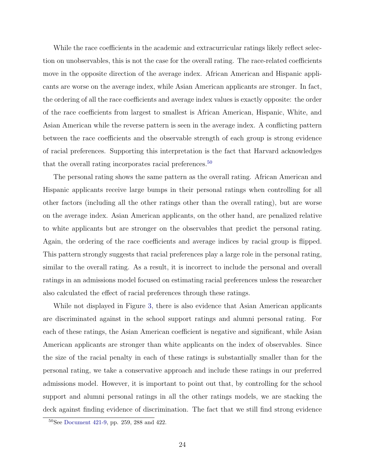While the race coefficients in the academic and extracurricular ratings likely reflect selection on unobservables, this is not the case for the overall rating. The race-related coefficients move in the opposite direction of the average index. African American and Hispanic applicants are worse on the average index, while Asian American applicants are stronger. In fact, the ordering of all the race coefficients and average index values is exactly opposite: the order of the race coefficients from largest to smallest is African American, Hispanic, White, and Asian American while the reverse pattern is seen in the average index. A conflicting pattern between the race coefficients and the observable strength of each group is strong evidence of racial preferences. Supporting this interpretation is the fact that Harvard acknowledges that the overall rating incorporates racial preferences.<sup>[50](#page-23-0)</sup>

The personal rating shows the same pattern as the overall rating. African American and Hispanic applicants receive large bumps in their personal ratings when controlling for all other factors (including all the other ratings other than the overall rating), but are worse on the average index. Asian American applicants, on the other hand, are penalized relative to white applicants but are stronger on the observables that predict the personal rating. Again, the ordering of the race coefficients and average indices by racial group is flipped. This pattern strongly suggests that racial preferences play a large role in the personal rating, similar to the overall rating. As a result, it is incorrect to include the personal and overall ratings in an admissions model focused on estimating racial preferences unless the researcher also calculated the effect of racial preferences through these ratings.

While not displayed in Figure [3,](#page-47-0) there is also evidence that Asian American applicants are discriminated against in the school support ratings and alumni personal rating. For each of these ratings, the Asian American coefficient is negative and significant, while Asian American applicants are stronger than white applicants on the index of observables. Since the size of the racial penalty in each of these ratings is substantially smaller than for the personal rating, we take a conservative approach and include these ratings in our preferred admissions model. However, it is important to point out that, by controlling for the school support and alumni personal ratings in all the other ratings models, we are stacking the deck against finding evidence of discrimination. The fact that we still find strong evidence

<span id="page-23-0"></span><sup>50</sup>See [Document 421-9,](#page-37-7) pp. 259, 288 and 422.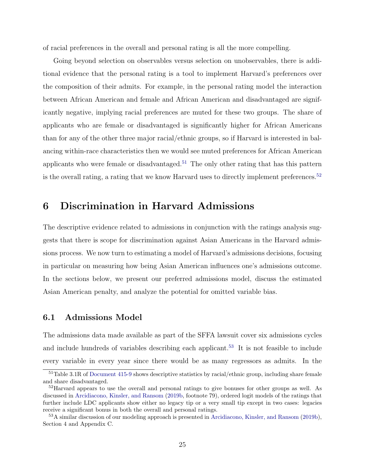of racial preferences in the overall and personal rating is all the more compelling.

Going beyond selection on observables versus selection on unobservables, there is additional evidence that the personal rating is a tool to implement Harvard's preferences over the composition of their admits. For example, in the personal rating model the interaction between African American and female and African American and disadvantaged are significantly negative, implying racial preferences are muted for these two groups. The share of applicants who are female or disadvantaged is significantly higher for African Americans than for any of the other three major racial/ethnic groups, so if Harvard is interested in balancing within-race characteristics then we would see muted preferences for African American applicants who were female or disadvantaged.<sup>[51](#page-24-1)</sup> The only other rating that has this pattern is the overall rating, a rating that we know Harvard uses to directly implement preferences.<sup>[52](#page-24-2)</sup>

### <span id="page-24-0"></span>6 Discrimination in Harvard Admissions

The descriptive evidence related to admissions in conjunction with the ratings analysis suggests that there is scope for discrimination against Asian Americans in the Harvard admissions process. We now turn to estimating a model of Harvard's admissions decisions, focusing in particular on measuring how being Asian American influences one's admissions outcome. In the sections below, we present our preferred admissions model, discuss the estimated Asian American penalty, and analyze the potential for omitted variable bias.

### 6.1 Admissions Model

The admissions data made available as part of the SFFA lawsuit cover six admissions cycles and include hundreds of variables describing each applicant.[53](#page-24-3) It is not feasible to include every variable in every year since there would be as many regressors as admits. In the

<span id="page-24-1"></span> $51$ Table 3.1R of [Document 415-9](#page-37-2) shows descriptive statistics by racial/ethnic group, including share female and share disadvantaged.

<span id="page-24-2"></span><sup>&</sup>lt;sup>52</sup>Harvard appears to use the overall and personal ratings to give bonuses for other groups as well. As discussed in [Arcidiacono, Kinsler, and Ransom](#page-36-7) [\(2019b,](#page-36-7) footnote 79), ordered logit models of the ratings that further include LDC applicants show either no legacy tip or a very small tip except in two cases: legacies receive a significant bonus in both the overall and personal ratings.

<span id="page-24-3"></span><sup>53</sup>A similar discussion of our modeling approach is presented in [Arcidiacono, Kinsler, and Ransom](#page-36-7) [\(2019b\)](#page-36-7), Section 4 and Appendix C.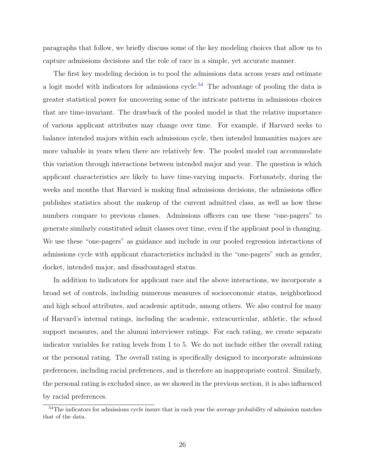paragraphs that follow, we briefly discuss some of the key modeling choices that allow us to capture admissions decisions and the role of race in a simple, yet accurate manner.

The first key modeling decision is to pool the admissions data across years and estimate a logit model with indicators for admissions cycle.<sup>[54](#page-25-0)</sup> The advantage of pooling the data is greater statistical power for uncovering some of the intricate patterns in admissions choices that are time-invariant. The drawback of the pooled model is that the relative importance of various applicant attributes may change over time. For example, if Harvard seeks to balance intended majors within each admissions cycle, then intended humanities majors are more valuable in years when there are relatively few. The pooled model can accommodate this variation through interactions between intended major and year. The question is which applicant characteristics are likely to have time-varying impacts. Fortunately, during the weeks and months that Harvard is making final admissions decisions, the admissions office publishes statistics about the makeup of the current admitted class, as well as how these numbers compare to previous classes. Admissions officers can use these "one-pagers" to generate similarly constituted admit classes over time, even if the applicant pool is changing. We use these "one-pagers" as guidance and include in our pooled regression interactions of admissions cycle with applicant characteristics included in the "one-pagers" such as gender, docket, intended major, and disadvantaged status.

In addition to indicators for applicant race and the above interactions, we incorporate a broad set of controls, including numerous measures of socioeconomic status, neighborhood and high school attributes, and academic aptitude, among others. We also control for many of Harvard's internal ratings, including the academic, extracurricular, athletic, the school support measures, and the alumni interviewer ratings. For each rating, we create separate indicator variables for rating levels from 1 to 5. We do not include either the overall rating or the personal rating. The overall rating is specifically designed to incorporate admissions preferences, including racial preferences, and is therefore an inappropriate control. Similarly, the personal rating is excluded since, as we showed in the previous section, it is also influenced by racial preferences.

<span id="page-25-0"></span><sup>54</sup>The indicators for admissions cycle insure that in each year the average probability of admission matches that of the data.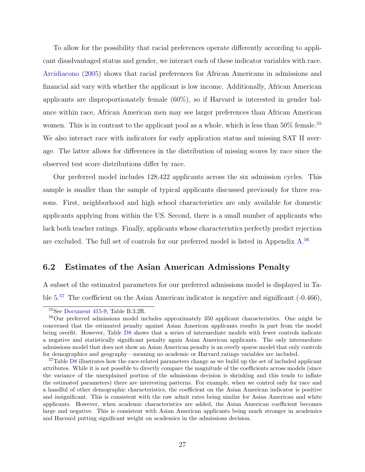To allow for the possibility that racial preferences operate differently according to applicant disadvantaged status and gender, we interact each of these indicator variables with race. [Arcidiacono](#page-36-12) [\(2005\)](#page-36-12) shows that racial preferences for African Americans in admissions and financial aid vary with whether the applicant is low income. Additionally, African American applicants are disproportionately female (60%), so if Harvard is interested in gender balance within race, African American men may see larger preferences than African American women. This is in contrast to the applicant pool as a whole, which is less than 50% female.<sup>[55](#page-26-1)</sup> We also interact race with indicators for early application status and missing SAT II average. The latter allows for differences in the distribution of missing scores by race since the observed test score distributions differ by race.

Our preferred model includes 128,422 applicants across the six admission cycles. This sample is smaller than the sample of typical applicants discussed previously for three reasons. First, neighborhood and high school characteristics are only available for domestic applicants applying from within the US. Second, there is a small number of applicants who lack both teacher ratings. Finally, applicants whose characteristics perfectly predict rejection are excluded. The full set of controls for our preferred model is listed in Appendix [A.](#page-51-0) [56](#page-26-2)

#### <span id="page-26-0"></span>6.2 Estimates of the Asian American Admissions Penalty

A subset of the estimated parameters for our preferred admissions model is displayed in Ta-ble [5.](#page-48-0)<sup>[57](#page-26-3)</sup> The coefficient on the Asian American indicator is negative and significant (-0.466),

<span id="page-26-2"></span><span id="page-26-1"></span><sup>55</sup>See [Document 415-9,](#page-37-2) Table B.3.2R.

<sup>56</sup>Our preferred admissions model includes approximately 350 applicant characteristics. One might be concerned that the estimated penalty against Asian American applicants results in part from the model being overfit. However, Table [D8](#page-70-0) shows that a series of intermediate models with fewer controls indicate a negative and statistically significant penalty again Asian American applicants. The only intermediate admissions model that does not show an Asian American penalty is an overly sparse model that only controls for demographics and geography—meaning no academic or Harvard ratings variables are included.

<span id="page-26-3"></span><sup>57</sup>Table [D8](#page-70-0) illustrates how the race-related parameters change as we build up the set of included applicant attributes. While it is not possible to directly compare the magnitude of the coefficients across models (since the variance of the unexplained portion of the admissions decision is shrinking and this tends to inflate the estimated parameters) there are interesting patterns. For example, when we control only for race and a handful of other demographic characteristics, the coefficient on the Asian American indicator is positive and insignificant. This is consistent with the raw admit rates being similar for Asian American and white applicants. However, when academic characteristics are added, the Asian American coefficient becomes large and negative. This is consistent with Asian American applicants being much stronger in academics and Harvard putting significant weight on academics in the admissions decision.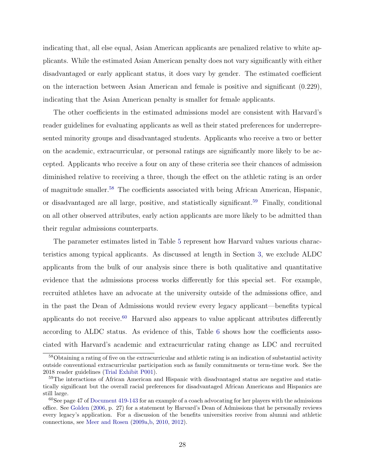indicating that, all else equal, Asian American applicants are penalized relative to white applicants. While the estimated Asian American penalty does not vary significantly with either disadvantaged or early applicant status, it does vary by gender. The estimated coefficient on the interaction between Asian American and female is positive and significant (0.229), indicating that the Asian American penalty is smaller for female applicants.

The other coefficients in the estimated admissions model are consistent with Harvard's reader guidelines for evaluating applicants as well as their stated preferences for underrepresented minority groups and disadvantaged students. Applicants who receive a two or better on the academic, extracurricular, or personal ratings are significantly more likely to be accepted. Applicants who receive a four on any of these criteria see their chances of admission diminished relative to receiving a three, though the effect on the athletic rating is an order of magnitude smaller.[58](#page-27-0) The coefficients associated with being African American, Hispanic, or disadvantaged are all large, positive, and statistically significant.<sup>[59](#page-27-1)</sup> Finally, conditional on all other observed attributes, early action applicants are more likely to be admitted than their regular admissions counterparts.

The parameter estimates listed in Table [5](#page-48-0) represent how Harvard values various characteristics among typical applicants. As discussed at length in Section [3,](#page-9-0) we exclude ALDC applicants from the bulk of our analysis since there is both qualitative and quantitative evidence that the admissions process works differently for this special set. For example, recruited athletes have an advocate at the university outside of the admissions office, and in the past the Dean of Admissions would review every legacy applicant—benefits typical applicants do not receive.<sup>[60](#page-27-2)</sup> Harvard also appears to value applicant attributes differently according to ALDC status. As evidence of this, Table [6](#page-49-0) shows how the coefficients associated with Harvard's academic and extracurricular rating change as LDC and recruited

<span id="page-27-0"></span><sup>58</sup>Obtaining a rating of five on the extracurricular and athletic rating is an indication of substantial activity outside conventional extracurricular participation such as family commitments or term-time work. See the 2018 reader guidelines [\(Trial Exhibit P001\)](#page-40-6).

<span id="page-27-1"></span><sup>&</sup>lt;sup>59</sup>The interactions of African American and Hispanic with disadvantaged status are negative and statistically significant but the overall racial preferences for disadvantaged African Americans and Hispanics are still large.

<span id="page-27-2"></span> $60$ See page 47 of [Document 419-143](#page-37-8) for an example of a coach advocating for her players with the admissions office. See [Golden](#page-38-0) [\(2006,](#page-38-0) p. 27) for a statement by Harvard's Dean of Admissions that he personally reviews every legacy's application. For a discussion of the benefits universities receive from alumni and athletic connections, see [Meer and Rosen](#page-39-11) [\(2009a,](#page-39-11)[b,](#page-39-12) [2010,](#page-39-13) [2012\)](#page-40-9).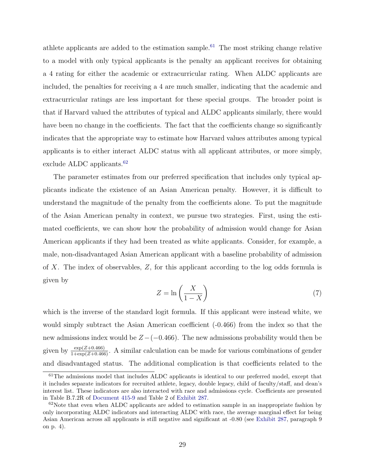athlete applicants are added to the estimation sample.<sup>[61](#page-28-0)</sup> The most striking change relative to a model with only typical applicants is the penalty an applicant receives for obtaining a 4 rating for either the academic or extracurricular rating. When ALDC applicants are included, the penalties for receiving a 4 are much smaller, indicating that the academic and extracurricular ratings are less important for these special groups. The broader point is that if Harvard valued the attributes of typical and ALDC applicants similarly, there would have been no change in the coefficients. The fact that the coefficients change so significantly indicates that the appropriate way to estimate how Harvard values attributes among typical applicants is to either interact ALDC status with all applicant attributes, or more simply, exclude ALDC applicants.<sup>[62](#page-28-1)</sup>

The parameter estimates from our preferred specification that includes only typical applicants indicate the existence of an Asian American penalty. However, it is difficult to understand the magnitude of the penalty from the coefficients alone. To put the magnitude of the Asian American penalty in context, we pursue two strategies. First, using the estimated coefficients, we can show how the probability of admission would change for Asian American applicants if they had been treated as white applicants. Consider, for example, a male, non-disadvantaged Asian American applicant with a baseline probability of admission of X. The index of observables, Z, for this applicant according to the log odds formula is given by

$$
Z = \ln\left(\frac{X}{1 - X}\right) \tag{7}
$$

which is the inverse of the standard logit formula. If this applicant were instead white, we would simply subtract the Asian American coefficient  $(-0.466)$  from the index so that the new admissions index would be  $Z-(-0.466)$ . The new admissions probability would then be given by  $\frac{\exp(Z+0.466)}{1+\exp(Z+0.466)}$ . A similar calculation can be made for various combinations of gender and disadvantaged status. The additional complication is that coefficients related to the

<span id="page-28-0"></span> $61$ The admissions model that includes ALDC applicants is identical to our preferred model, except that it includes separate indicators for recruited athlete, legacy, double legacy, child of faculty/staff, and dean's interest list. These indicators are also interacted with race and admissions cycle. Coefficients are presented in Table B.7.2R of [Document 415-9](#page-37-2) and Table 2 of [Exhibit 287.](#page-38-10)

<span id="page-28-1"></span> $62$ Note that even when ALDC applicants are added to estimation sample in an inappropriate fashion by only incorporating ALDC indicators and interacting ALDC with race, the average marginal effect for being Asian American across all applicants is still negative and significant at -0.80 (see [Exhibit 287,](#page-38-10) paragraph 9 on p. 4).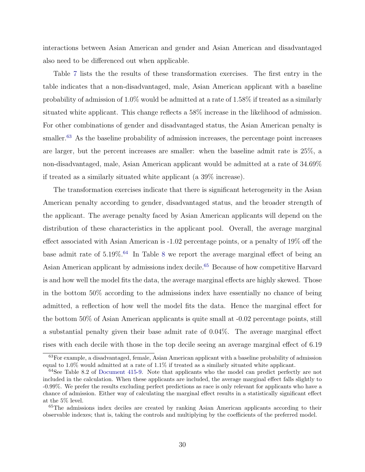interactions between Asian American and gender and Asian American and disadvantaged also need to be differenced out when applicable.

Table [7](#page-49-1) lists the the results of these transformation exercises. The first entry in the table indicates that a non-disadvantaged, male, Asian American applicant with a baseline probability of admission of 1.0% would be admitted at a rate of 1.58% if treated as a similarly situated white applicant. This change reflects a 58% increase in the likelihood of admission. For other combinations of gender and disadvantaged status, the Asian American penalty is smaller.<sup>[63](#page-29-0)</sup> As the baseline probability of admission increases, the percentage point increases are larger, but the percent increases are smaller: when the baseline admit rate is 25%, a non-disadvantaged, male, Asian American applicant would be admitted at a rate of 34.69% if treated as a similarly situated white applicant (a 39% increase).

The transformation exercises indicate that there is significant heterogeneity in the Asian American penalty according to gender, disadvantaged status, and the broader strength of the applicant. The average penalty faced by Asian American applicants will depend on the distribution of these characteristics in the applicant pool. Overall, the average marginal effect associated with Asian American is -1.02 percentage points, or a penalty of 19% off the base admit rate of  $5.19\%$ .<sup>[64](#page-29-1)</sup> In Table [8](#page-49-2) we report the average marginal effect of being an Asian American applicant by admissions index decile.[65](#page-29-2) Because of how competitive Harvard is and how well the model fits the data, the average marginal effects are highly skewed. Those in the bottom 50% according to the admissions index have essentially no chance of being admitted, a reflection of how well the model fits the data. Hence the marginal effect for the bottom 50% of Asian American applicants is quite small at -0.02 percentage points, still a substantial penalty given their base admit rate of 0.04%. The average marginal effect rises with each decile with those in the top decile seeing an average marginal effect of 6.19

<span id="page-29-0"></span><sup>63</sup>For example, a disadvantaged, female, Asian American applicant with a baseline probability of admission equal to 1.0% would admitted at a rate of 1.1% if treated as a similarly situated white applicant.

<span id="page-29-1"></span><sup>&</sup>lt;sup>64</sup>See Table 8.2 of [Document 415-9.](#page-37-2) Note that applicants who the model can predict perfectly are not included in the calculation. When these applicants are included, the average marginal effect falls slightly to -0.99%. We prefer the results excluding perfect predictions as race is only relevant for applicants who have a chance of admission. Either way of calculating the marginal effect results in a statistically significant effect at the 5% level.

<span id="page-29-2"></span><sup>&</sup>lt;sup>65</sup>The admissions index deciles are created by ranking Asian American applicants according to their observable indexes; that is, taking the controls and multiplying by the coefficients of the preferred model.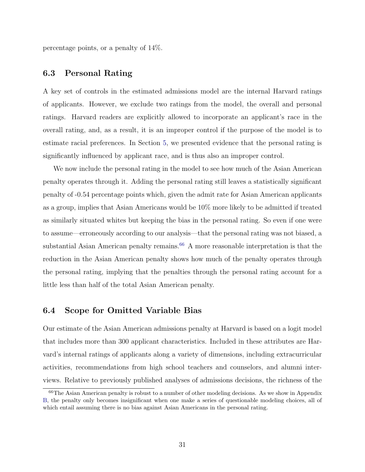percentage points, or a penalty of 14%.

### 6.3 Personal Rating

A key set of controls in the estimated admissions model are the internal Harvard ratings of applicants. However, we exclude two ratings from the model, the overall and personal ratings. Harvard readers are explicitly allowed to incorporate an applicant's race in the overall rating, and, as a result, it is an improper control if the purpose of the model is to estimate racial preferences. In Section [5,](#page-18-0) we presented evidence that the personal rating is significantly influenced by applicant race, and is thus also an improper control.

We now include the personal rating in the model to see how much of the Asian American penalty operates through it. Adding the personal rating still leaves a statistically significant penalty of -0.54 percentage points which, given the admit rate for Asian American applicants as a group, implies that Asian Americans would be 10% more likely to be admitted if treated as similarly situated whites but keeping the bias in the personal rating. So even if one were to assume—erroneously according to our analysis—that the personal rating was not biased, a substantial Asian American penalty remains.<sup>[66](#page-30-0)</sup> A more reasonable interpretation is that the reduction in the Asian American penalty shows how much of the penalty operates through the personal rating, implying that the penalties through the personal rating account for a little less than half of the total Asian American penalty.

#### 6.4 Scope for Omitted Variable Bias

Our estimate of the Asian American admissions penalty at Harvard is based on a logit model that includes more than 300 applicant characteristics. Included in these attributes are Harvard's internal ratings of applicants along a variety of dimensions, including extracurricular activities, recommendations from high school teachers and counselors, and alumni interviews. Relative to previously published analyses of admissions decisions, the richness of the

<span id="page-30-0"></span><sup>66</sup>The Asian American penalty is robust to a number of other modeling decisions. As we show in Appendix [B,](#page-53-0) the penalty only becomes insignificant when one make a series of questionable modeling choices, all of which entail assuming there is no bias against Asian Americans in the personal rating.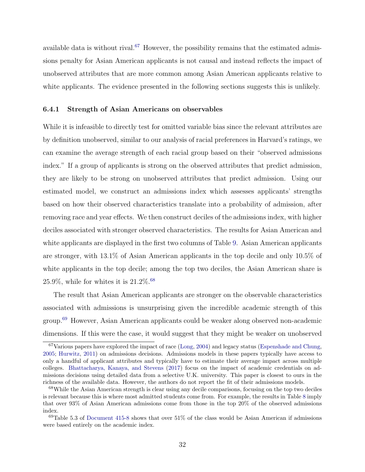available data is without rival.<sup>[67](#page-31-0)</sup> However, the possibility remains that the estimated admissions penalty for Asian American applicants is not causal and instead reflects the impact of unobserved attributes that are more common among Asian American applicants relative to white applicants. The evidence presented in the following sections suggests this is unlikely.

#### 6.4.1 Strength of Asian Americans on observables

While it is infeasible to directly test for omitted variable bias since the relevant attributes are by definition unobserved, similar to our analysis of racial preferences in Harvard's ratings, we can examine the average strength of each racial group based on their "observed admissions index." If a group of applicants is strong on the observed attributes that predict admission, they are likely to be strong on unobserved attributes that predict admission. Using our estimated model, we construct an admissions index which assesses applicants' strengths based on how their observed characteristics translate into a probability of admission, after removing race and year effects. We then construct deciles of the admissions index, with higher deciles associated with stronger observed characteristics. The results for Asian American and white applicants are displayed in the first two columns of Table [9.](#page-50-0) Asian American applicants are stronger, with 13.1% of Asian American applicants in the top decile and only 10.5% of white applicants in the top decile; among the top two deciles, the Asian American share is 25.9%, while for whites it is  $21.2\%$ .<sup>[68](#page-31-1)</sup>

The result that Asian American applicants are stronger on the observable characteristics associated with admissions is unsurprising given the incredible academic strength of this group.[69](#page-31-2) However, Asian American applicants could be weaker along observed non-academic dimensions. If this were the case, it would suggest that they might be weaker on unobserved

<span id="page-31-0"></span><sup>67</sup>Various papers have explored the impact of race [\(Long,](#page-39-5) [2004\)](#page-39-5) and legacy status [\(Espenshade and Chung,](#page-38-9) [2005;](#page-38-9) [Hurwitz,](#page-39-4) [2011\)](#page-39-4) on admissions decisions. Admissions models in these papers typically have access to only a handful of applicant attributes and typically have to estimate their average impact across multiple colleges. [Bhattacharya, Kanaya, and Stevens](#page-36-8) [\(2017\)](#page-36-8) focus on the impact of academic credentials on admissions decisions using detailed data from a selective U.K. university. This paper is closest to ours in the richness of the available data. However, the authors do not report the fit of their admissions models.

<span id="page-31-1"></span><sup>&</sup>lt;sup>68</sup>While the Asian American strength is clear using any decile comparisons, focusing on the top two deciles is relevant because this is where most admitted students come from. For example, the results in Table [8](#page-49-2) imply that over 93% of Asian American admissions come from those in the top 20% of the observed admissions index.

<span id="page-31-2"></span> $69$ Table 5.3 of [Document 415-8](#page-37-5) shows that over 51% of the class would be Asian American if admissions were based entirely on the academic index.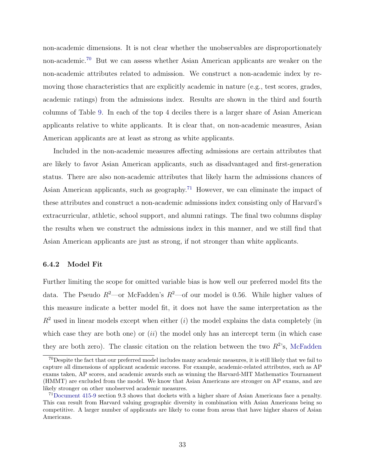non-academic dimensions. It is not clear whether the unobservables are disproportionately non-academic.[70](#page-32-0) But we can assess whether Asian American applicants are weaker on the non-academic attributes related to admission. We construct a non-academic index by removing those characteristics that are explicitly academic in nature (e.g., test scores, grades, academic ratings) from the admissions index. Results are shown in the third and fourth columns of Table [9.](#page-50-0) In each of the top 4 deciles there is a larger share of Asian American applicants relative to white applicants. It is clear that, on non-academic measures, Asian American applicants are at least as strong as white applicants.

Included in the non-academic measures affecting admissions are certain attributes that are likely to favor Asian American applicants, such as disadvantaged and first-generation status. There are also non-academic attributes that likely harm the admissions chances of Asian American applicants, such as geography.[71](#page-32-1) However, we can eliminate the impact of these attributes and construct a non-academic admissions index consisting only of Harvard's extracurricular, athletic, school support, and alumni ratings. The final two columns display the results when we construct the admissions index in this manner, and we still find that Asian American applicants are just as strong, if not stronger than white applicants.

#### 6.4.2 Model Fit

Further limiting the scope for omitted variable bias is how well our preferred model fits the data. The Pseudo  $R^2$ —or McFadden's  $R^2$ —of our model is 0.56. While higher values of this measure indicate a better model fit, it does not have the same interpretation as the  $R^2$  used in linear models except when either (i) the model explains the data completely (in which case they are both one) or  $(ii)$  the model only has an intercept term (in which case they are both zero). The classic citation on the relation between the two  $R^2$ 's, [McFadden](#page-39-6)

<span id="page-32-0"></span><sup>70</sup>Despite the fact that our preferred model includes many academic measures, it is still likely that we fail to capture all dimensions of applicant academic success. For example, academic-related attributes, such as AP exams taken, AP scores, and academic awards such as winning the Harvard-MIT Mathematics Tournament (HMMT) are excluded from the model. We know that Asian Americans are stronger on AP exams, and are likely stronger on other unobserved academic measures.

<span id="page-32-1"></span><sup>71</sup>[Document 415-9](#page-37-2) section 9.3 shows that dockets with a higher share of Asian Americans face a penalty. This can result from Harvard valuing geographic diversity in combination with Asian Americans being so competitive. A larger number of applicants are likely to come from areas that have higher shares of Asian Americans.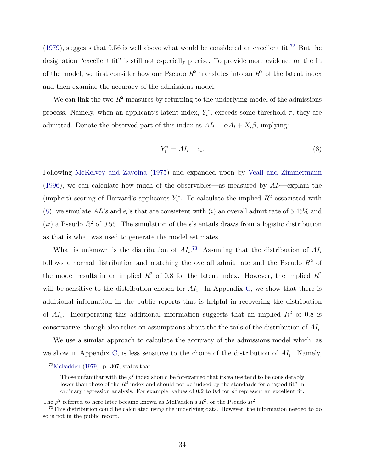[\(1979\)](#page-39-6), suggests that 0.56 is well above what would be considered an excellent fit.<sup>[72](#page-33-0)</sup> But the designation "excellent fit" is still not especially precise. To provide more evidence on the fit of the model, we first consider how our Pseudo  $R^2$  translates into an  $R^2$  of the latent index and then examine the accuracy of the admissions model.

We can link the two  $R^2$  measures by returning to the underlying model of the admissions process. Namely, when an applicant's latent index,  $Y_i^*$ , exceeds some threshold  $\tau$ , they are admitted. Denote the observed part of this index as  $AI_i = \alpha A_i + X_i \beta$ , implying:

<span id="page-33-1"></span>
$$
Y_i^* = A I_i + \epsilon_i. \tag{8}
$$

Following [McKelvey and Zavoina](#page-39-14) [\(1975\)](#page-39-14) and expanded upon by [Veall and Zimmermann](#page-41-6) [\(1996\)](#page-41-6), we can calculate how much of the observables—as measured by  $AI_i$ —explain the (implicit) scoring of Harvard's applicants  $Y_i^*$ . To calculate the implied  $R^2$  associated with [\(8\)](#page-33-1), we simulate  $AI_i$ 's and  $\epsilon_i$ 's that are consistent with (*i*) an overall admit rate of 5.45% and (ii) a Pseudo  $R^2$  of 0.56. The simulation of the  $\epsilon$ 's entails draws from a logistic distribution as that is what was used to generate the model estimates.

What is unknown is the distribution of  $AI_i$ .<sup>[73](#page-33-2)</sup> Assuming that the distribution of  $AI_i$ follows a normal distribution and matching the overall admit rate and the Pseudo  $R^2$  of the model results in an implied  $R^2$  of 0.8 for the latent index. However, the implied  $R^2$ will be sensitive to the distribution chosen for  $AI_i$ . In Appendix [C,](#page-60-0) we show that there is additional information in the public reports that is helpful in recovering the distribution of  $AI_i$ . Incorporating this additional information suggests that an implied  $R^2$  of 0.8 is conservative, though also relies on assumptions about the the tails of the distribution of  $AI_i$ .

We use a similar approach to calculate the accuracy of the admissions model which, as we show in Appendix [C,](#page-60-0) is less sensitive to the choice of the distribution of  $AI_i$ . Namely,

<span id="page-33-0"></span> $72$ [McFadden](#page-39-6) [\(1979\)](#page-39-6), p. 307, states that

Those unfamiliar with the  $\rho^2$  index should be forewarned that its values tend to be considerably lower than those of the  $R^2$  index and should not be judged by the standards for a "good fit" in ordinary regression analysis. For example, values of 0.2 to 0.4 for  $\rho^2$  represent an excellent fit.

The  $\rho^2$  referred to here later became known as McFadden's  $R^2$ , or the Pseudo  $R^2$ .

<span id="page-33-2"></span><sup>&</sup>lt;sup>73</sup>This distribution could be calculated using the underlying data. However, the information needed to do so is not in the public record.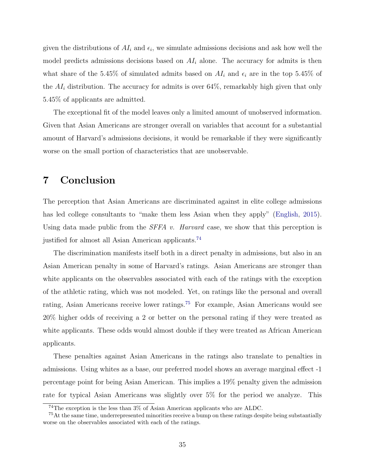given the distributions of  $AI_i$  and  $\epsilon_i$ , we simulate admissions decisions and ask how well the model predicts admissions decisions based on  $AI<sub>i</sub>$  alone. The accuracy for admits is then what share of the 5.45% of simulated admits based on  $AI_i$  and  $\epsilon_i$  are in the top 5.45% of the  $AI_i$  distribution. The accuracy for admits is over 64%, remarkably high given that only 5.45% of applicants are admitted.

The exceptional fit of the model leaves only a limited amount of unobserved information. Given that Asian Americans are stronger overall on variables that account for a substantial amount of Harvard's admissions decisions, it would be remarkable if they were significantly worse on the small portion of characteristics that are unobservable.

## 7 Conclusion

The perception that Asian Americans are discriminated against in elite college admissions has led college consultants to "make them less Asian when they apply" [\(English,](#page-38-11) [2015\)](#page-38-11). Using data made public from the  $SFFA$  v. Harvard case, we show that this perception is justified for almost all Asian American applicants.<sup>[74](#page-34-0)</sup>

The discrimination manifests itself both in a direct penalty in admissions, but also in an Asian American penalty in some of Harvard's ratings. Asian Americans are stronger than white applicants on the observables associated with each of the ratings with the exception of the athletic rating, which was not modeled. Yet, on ratings like the personal and overall rating, Asian Americans receive lower ratings.[75](#page-34-1) For example, Asian Americans would see 20% higher odds of receiving a 2 or better on the personal rating if they were treated as white applicants. These odds would almost double if they were treated as African American applicants.

These penalties against Asian Americans in the ratings also translate to penalties in admissions. Using whites as a base, our preferred model shows an average marginal effect -1 percentage point for being Asian American. This implies a 19% penalty given the admission rate for typical Asian Americans was slightly over 5% for the period we analyze. This

<span id="page-34-1"></span><span id="page-34-0"></span><sup>74</sup>The exception is the less than 3% of Asian American applicants who are ALDC.

<sup>&</sup>lt;sup>75</sup>At the same time, underrepresented minorities receive a bump on these ratings despite being substantially worse on the observables associated with each of the ratings.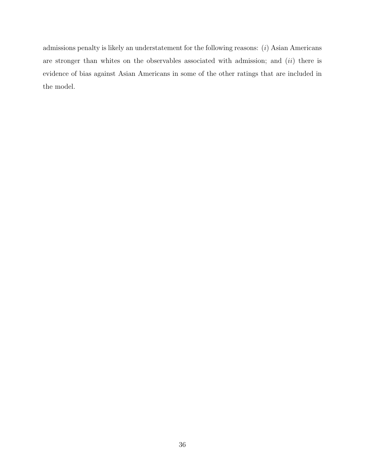admissions penalty is likely an understatement for the following reasons:  $(i)$  Asian Americans are stronger than whites on the observables associated with admission; and  $(ii)$  there is evidence of bias against Asian Americans in some of the other ratings that are included in the model.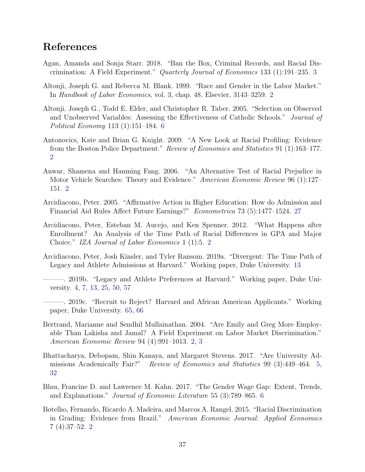## References

- Agan, Amanda and Sonja Starr. 2018. "Ban the Box, Criminal Records, and Racial Discrimination: A Field Experiment." Quarterly Journal of Economics 133 (1):191–235. [3](#page-2-0)
- Altonji, Joseph G. and Rebecca M. Blank. 1999. "Race and Gender in the Labor Market." In Handbook of Labor Economics, vol. 3, chap. 48. Elsevier, 3143–3259. [2](#page-1-0)
- Altonji, Joseph G., Todd E. Elder, and Christopher R. Taber. 2005. "Selection on Observed and Unobserved Variables: Assessing the Effectiveness of Catholic Schools." Journal of Political Economy 113 (1):151–184. [6](#page-5-0)
- Antonovics, Kate and Brian G. Knight. 2009. "A New Look at Racial Profiling: Evidence from the Boston Police Department." Review of Economics and Statistics 91 (1):163–177. [2](#page-1-0)
- Anwar, Shamena and Hanming Fang. 2006. "An Alternative Test of Racial Prejudice in Motor Vehicle Searches: Theory and Evidence." American Economic Review 96 (1):127– 151. [2](#page-1-0)
- Arcidiacono, Peter. 2005. "Affirmative Action in Higher Education: How do Admission and Financial Aid Rules Affect Future Earnings?" Econometrica 73 (5):1477–1524. [27](#page-26-0)
- Arcidiacono, Peter, Esteban M. Aucejo, and Ken Spenner. 2012. "What Happens after Enrollment? An Analysis of the Time Path of Racial Differences in GPA and Major Choice." IZA Journal of Labor Economics 1 (1):5. [2](#page-1-0)
- Arcidiacono, Peter, Josh Kinsler, and Tyler Ransom. 2019a. "Divergent: The Time Path of Legacy and Athlete Admissions at Harvard." Working paper, Duke University. [13](#page-12-0)
- <span id="page-36-0"></span>———. 2019b. "Legacy and Athlete Preferences at Harvard." Working paper, Duke University. [4,](#page-3-0) [7,](#page-6-0) [13,](#page-12-0) [25,](#page-24-0) [50,](#page-49-0) [57](#page-56-0)
- <span id="page-36-1"></span>———. 2019c. "Recruit to Reject? Harvard and African American Applicants." Working paper, Duke University. [65,](#page-64-0) [66](#page-65-0)
- Bertrand, Marianne and Sendhil Mullainathan. 2004. "Are Emily and Greg More Employable Than Lakisha and Jamal? A Field Experiment on Labor Market Discrimination." American Economic Review 94 (4):991–1013. [2,](#page-1-0) [3](#page-2-0)
- Bhattacharya, Debopam, Shin Kanaya, and Margaret Stevens. 2017. "Are University Admissions Academically Fair?" Review of Economics and Statistics 99 (3):449–464. [5,](#page-4-0) [32](#page-31-0)
- Blau, Francine D. and Lawrence M. Kahn. 2017. "The Gender Wage Gap: Extent, Trends, and Explanations." Journal of Economic Literature 55 (3):789–865. [6](#page-5-0)
- Botelho, Fernando, Ricardo A. Madeira, and Marcos A. Rangel. 2015. "Racial Discrimination in Grading: Evidence from Brazil." American Economic Journal: Applied Economics 7 (4):37–52. [2](#page-1-0)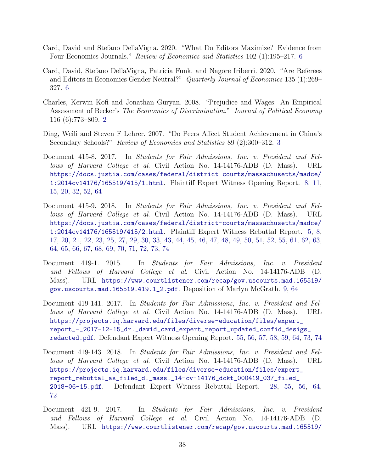- <span id="page-37-1"></span>Card, David and Stefano DellaVigna. 2020. "What Do Editors Maximize? Evidence from Four Economics Journals." Review of Economics and Statistics 102 (1):195–217. [6](#page-5-0)
- Card, David, Stefano DellaVigna, Patricia Funk, and Nagore Iriberri. 2020. "Are Referees and Editors in Economics Gender Neutral?" Quarterly Journal of Economics 135 (1):269– 327. [6](#page-5-0)
- Charles, Kerwin Kofi and Jonathan Guryan. 2008. "Prejudice and Wages: An Empirical Assessment of Becker's The Economics of Discrimination." Journal of Political Economy 116 (6):773–809. [2](#page-1-0)
- Ding, Weili and Steven F Lehrer. 2007. "Do Peers Affect Student Achievement in China's Secondary Schools?" Review of Economics and Statistics 89 (2):300–312. [3](#page-2-0)
- <span id="page-37-2"></span>Document 415-8. 2017. In Students for Fair Admissions, Inc. v. President and Fellows of Harvard College et al. Civil Action No. 14-14176-ADB (D. Mass). URL [https://docs.justia.com/cases/federal/district-courts/massachusetts/madce/](https://docs.justia.com/cases/federal/district-courts/massachusetts/madce/1:2014cv14176/165519/415/1.html) [1:2014cv14176/165519/415/1.html](https://docs.justia.com/cases/federal/district-courts/massachusetts/madce/1:2014cv14176/165519/415/1.html). Plaintiff Expert Witness Opening Report. [8,](#page-7-0) [11,](#page-10-0) [15,](#page-14-0) [20,](#page-19-0) [32,](#page-31-0) [52,](#page-51-0) [64](#page-63-0)
- <span id="page-37-0"></span>Document 415-9. 2018. In Students for Fair Admissions, Inc. v. President and Fellows of Harvard College et al. Civil Action No. 14-14176-ADB (D. Mass). URL [https://docs.justia.com/cases/federal/district-courts/massachusetts/madce/](https://docs.justia.com/cases/federal/district-courts/massachusetts/madce/1:2014cv14176/165519/415/2.html) [1:2014cv14176/165519/415/2.html](https://docs.justia.com/cases/federal/district-courts/massachusetts/madce/1:2014cv14176/165519/415/2.html). Plaintiff Expert Witness Rebuttal Report. [5,](#page-4-0) [8,](#page-7-0) [17,](#page-16-0) [20,](#page-19-0) [21,](#page-20-0) [22,](#page-21-0) [23,](#page-22-0) [25,](#page-24-0) [27,](#page-26-0) [29,](#page-28-0) [30,](#page-29-0) [33,](#page-32-0) [43,](#page-42-0) [44,](#page-43-0) [45,](#page-44-0) [46,](#page-45-0) [47,](#page-46-0) [48,](#page-47-0) [49,](#page-48-0) [50,](#page-49-0) [51,](#page-50-0) [52,](#page-51-0) [55,](#page-54-0) [61,](#page-60-0) [62,](#page-61-0) [63,](#page-62-0) [64,](#page-63-0) [65,](#page-64-0) [66,](#page-65-0) [67,](#page-66-0) [68,](#page-67-0) [69,](#page-68-0) [70,](#page-69-0) [71,](#page-70-0) [72,](#page-71-0) [73,](#page-72-0) [74](#page-73-0)
- <span id="page-37-6"></span>Document 419-1. 2015. In Students for Fair Admissions, Inc. v. President and Fellows of Harvard College et al. Civil Action No. 14-14176-ADB (D. Mass). URL [https://www.courtlistener.com/recap/gov.uscourts.mad.165519/](https://www.courtlistener.com/recap/gov.uscourts.mad.165519/gov.uscourts.mad.165519.419.1_2.pdf) [gov.uscourts.mad.165519.419.1\\_2.pdf](https://www.courtlistener.com/recap/gov.uscourts.mad.165519/gov.uscourts.mad.165519.419.1_2.pdf). Deposition of Marlyn McGrath. [9,](#page-8-0) [64](#page-63-0)
- <span id="page-37-3"></span>Document 419-141. 2017. In Students for Fair Admissions, Inc. v. President and Fellows of Harvard College et al. Civil Action No. 14-14176-ADB (D. Mass). URL [https://projects.iq.harvard.edu/files/diverse-education/files/expert\\_](https://projects.iq.harvard.edu/files/diverse-education/files/expert_report_-_2017-12-15_dr._david_card_expert_report_updated_confid_desigs_redacted.pdf) [report\\_-\\_2017-12-15\\_dr.\\_david\\_card\\_expert\\_report\\_updated\\_confid\\_desigs\\_](https://projects.iq.harvard.edu/files/diverse-education/files/expert_report_-_2017-12-15_dr._david_card_expert_report_updated_confid_desigs_redacted.pdf) [redacted.pdf](https://projects.iq.harvard.edu/files/diverse-education/files/expert_report_-_2017-12-15_dr._david_card_expert_report_updated_confid_desigs_redacted.pdf). Defendant Expert Witness Opening Report. [55,](#page-54-0) [56,](#page-55-0) [57,](#page-56-0) [58,](#page-57-0) [59,](#page-58-0) [64,](#page-63-0) [73,](#page-72-0) [74](#page-73-0)
- <span id="page-37-5"></span>Document 419-143. 2018. In Students for Fair Admissions, Inc. v. President and Fellows of Harvard College et al. Civil Action No. 14-14176-ADB (D. Mass). URL [https://projects.iq.harvard.edu/files/diverse-education/files/expert\\_](https://projects.iq.harvard.edu/files/diverse-education/files/expert_report_rebuttal_as_filed_d._mass._14-cv-14176_dckt_000419_037_filed_2018-06-15.pdf) [report\\_rebuttal\\_as\\_filed\\_d.\\_mass.\\_14-cv-14176\\_dckt\\_000419\\_037\\_filed\\_](https://projects.iq.harvard.edu/files/diverse-education/files/expert_report_rebuttal_as_filed_d._mass._14-cv-14176_dckt_000419_037_filed_2018-06-15.pdf) [2018-06-15.pdf](https://projects.iq.harvard.edu/files/diverse-education/files/expert_report_rebuttal_as_filed_d._mass._14-cv-14176_dckt_000419_037_filed_2018-06-15.pdf). Defendant Expert Witness Rebuttal Report. [28,](#page-27-0) [55,](#page-54-0) [56,](#page-55-0) [64,](#page-63-0) [72](#page-71-0)
- <span id="page-37-4"></span>Document 421-9. 2017. In Students for Fair Admissions, Inc. v. President and Fellows of Harvard College et al. Civil Action No. 14-14176-ADB (D. Mass). URL [https://www.courtlistener.com/recap/gov.uscourts.mad.165519/](https://www.courtlistener.com/recap/gov.uscourts.mad.165519/gov.uscourts.mad.165519.421.9_7_1.pdf)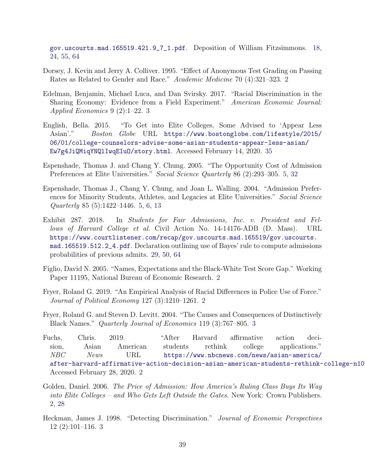[gov.uscourts.mad.165519.421.9\\_7\\_1.pdf](https://www.courtlistener.com/recap/gov.uscourts.mad.165519/gov.uscourts.mad.165519.421.9_7_1.pdf). Deposition of William Fitzsimmons. [18,](#page-17-0) [24,](#page-23-0) [55,](#page-54-0) [64](#page-63-0)

- Dorsey, J. Kevin and Jerry A. Colliver. 1995. "Effect of Anonymous Test Grading on Passing Rates as Related to Gender and Race." Academic Medicine 70 (4):321–323. [2](#page-1-0)
- Edelman, Benjamin, Michael Luca, and Dan Svirsky. 2017. "Racial Discrimination in the Sharing Economy: Evidence from a Field Experiment." American Economic Journal: Applied Economics 9 (2):1–22. [3](#page-2-0)
- English, Bella. 2015. "To Get into Elite Colleges, Some Advised to 'Appear Less Asian'." Boston Globe URL [https://www.bostonglobe.com/lifestyle/2015/](https://www.bostonglobe.com/lifestyle/2015/06/01/college-counselors-advise-some-asian-students-appear-less-asian/Ew7g4JiQMiqYNQlIwqEIuO/story.html) [06/01/college-counselors-advise-some-asian-students-appear-less-asian/](https://www.bostonglobe.com/lifestyle/2015/06/01/college-counselors-advise-some-asian-students-appear-less-asian/Ew7g4JiQMiqYNQlIwqEIuO/story.html) [Ew7g4JiQMiqYNQlIwqEIuO/story.html](https://www.bostonglobe.com/lifestyle/2015/06/01/college-counselors-advise-some-asian-students-appear-less-asian/Ew7g4JiQMiqYNQlIwqEIuO/story.html). Accessed February 14, 2020. [35](#page-34-0)
- Espenshade, Thomas J. and Chang Y. Chung. 2005. "The Opportunity Cost of Admission Preferences at Elite Universities." Social Science Quarterly 86 (2):293–305. [5,](#page-4-0) [32](#page-31-0)
- Espenshade, Thomas J., Chang Y. Chung, and Joan L. Walling. 2004. "Admission Preferences for Minority Students, Athletes, and Legacies at Elite Universities." Social Science Quarterly 85 (5):1422–1446. [5,](#page-4-0) [6,](#page-5-0) [13](#page-12-0)
- <span id="page-38-0"></span>Exhibit 287. 2018. In Students for Fair Admissions, Inc. v. President and Fellows of Harvard College et al. Civil Action No. 14-14176-ADB (D. Mass). URL [https://www.courtlistener.com/recap/gov.uscourts.mad.165519/gov.uscourts.](https://www.courtlistener.com/recap/gov.uscourts.mad.165519/gov.uscourts.mad.165519.512.2_4.pdf) [mad.165519.512.2\\_4.pdf](https://www.courtlistener.com/recap/gov.uscourts.mad.165519/gov.uscourts.mad.165519.512.2_4.pdf). Declaration outlining use of Bayes' rule to compute admissions probabilities of previous admits. [29,](#page-28-0) [50,](#page-49-0) [64](#page-63-0)
- Figlio, David N. 2005. "Names, Expectations and the Black-White Test Score Gap." Working Paper 11195, National Bureau of Economic Research. [2](#page-1-0)
- Fryer, Roland G. 2019. "An Empirical Analysis of Racial Differences in Police Use of Force." Journal of Political Economy 127 (3):1210–1261. [2](#page-1-0)
- Fryer, Roland G. and Steven D. Levitt. 2004. "The Causes and Consequences of Distinctively Black Names." Quarterly Journal of Economics 119 (3):767–805. [3](#page-2-0)
- Fuchs, Chris. 2019. "After Harvard affirmative action decision, Asian American students rethink college applications." NBC News URL [https://www.nbcnews.com/news/asian-america/](https://www.nbcnews.com/news/asian-america/after-harvard-affirmative-action-decision-asian-american-students-rethink-college-n1073376) after-harvard-affirmative-action-decision-asian-american-students-rethink-college-n10 Accessed February 28, 2020. [2](#page-1-0)
- Golden, Daniel. 2006. The Price of Admission: How America's Ruling Class Buys Its Way into Elite Colleges – and Who Gets Left Outside the Gates. New York: Crown Publishers. [2,](#page-1-0) [28](#page-27-0)
- Heckman, James J. 1998. "Detecting Discrimination." Journal of Economic Perspectives 12 (2):101–116. [3](#page-2-0)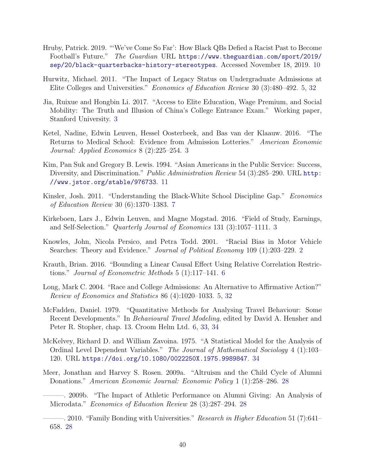- Hruby, Patrick. 2019. "'We've Come So Far': How Black QBs Defied a Racist Past to Become Football's Future." The Guardian URL [https://www.theguardian.com/sport/2019/](https://www.theguardian.com/sport/2019/sep/20/black-quarterbacks-history-stereotypes) [sep/20/black-quarterbacks-history-stereotypes](https://www.theguardian.com/sport/2019/sep/20/black-quarterbacks-history-stereotypes). Accessed November 18, 2019. [10](#page-9-0)
- Hurwitz, Michael. 2011. "The Impact of Legacy Status on Undergraduate Admissions at Elite Colleges and Universities." Economics of Education Review 30 (3):480–492. [5,](#page-4-0) [32](#page-31-0)
- Jia, Ruixue and Hongbin Li. 2017. "Access to Elite Education, Wage Premium, and Social Mobility: The Truth and Illusion of China's College Entrance Exam." Working paper, Stanford University. [3](#page-2-0)
- Ketel, Nadine, Edwin Leuven, Hessel Oosterbeek, and Bas van der Klaauw. 2016. "The Returns to Medical School: Evidence from Admission Lotteries." American Economic Journal: Applied Economics 8 (2):225–254. [3](#page-2-0)
- Kim, Pan Suk and Gregory B. Lewis. 1994. "Asian Americans in the Public Service: Success, Diversity, and Discrimination." Public Administration Review 54 (3):285-290. URL [http:](http://www.jstor.org/stable/976733) [//www.jstor.org/stable/976733](http://www.jstor.org/stable/976733). [11](#page-10-0)
- Kinsler, Josh. 2011. "Understanding the Black-White School Discipline Gap." Economics of Education Review 30 (6):1370–1383. [7](#page-6-0)
- Kirkeboen, Lars J., Edwin Leuven, and Magne Mogstad. 2016. "Field of Study, Earnings, and Self-Selection." Quarterly Journal of Economics 131 (3):1057–1111. [3](#page-2-0)
- Knowles, John, Nicola Persico, and Petra Todd. 2001. "Racial Bias in Motor Vehicle Searches: Theory and Evidence." Journal of Political Economy 109 (1):203–229. [2](#page-1-0)
- Krauth, Brian. 2016. "Bounding a Linear Causal Effect Using Relative Correlation Restrictions." Journal of Econometric Methods 5 (1):117–141. [6](#page-5-0)
- Long, Mark C. 2004. "Race and College Admissions: An Alternative to Affirmative Action?" Review of Economics and Statistics 86 (4):1020–1033. [5,](#page-4-0) [32](#page-31-0)
- McFadden, Daniel. 1979. "Quantitative Methods for Analysing Travel Behaviour: Some Recent Developments." In Behavioural Travel Modeling, edited by David A. Hensher and Peter R. Stopher, chap. 13. Croom Helm Ltd. [6,](#page-5-0) [33,](#page-32-0) [34](#page-33-0)
- McKelvey, Richard D. and William Zavoina. 1975. "A Statistical Model for the Analysis of Ordinal Level Dependent Variables." The Journal of Mathematical Sociology 4 (1):103– 120. URL <https://doi.org/10.1080/0022250X.1975.9989847>. [34](#page-33-0)
- Meer, Jonathan and Harvey S. Rosen. 2009a. "Altruism and the Child Cycle of Alumni Donations." American Economic Journal: Economic Policy 1 (1):258–286. [28](#page-27-0)
	- ———. 2009b. "The Impact of Athletic Performance on Alumni Giving: An Analysis of Microdata." Economics of Education Review 28 (3):287–294. [28](#page-27-0)

—–. 2010. "Family Bonding with Universities." Research in Higher Education 51 (7):641– 658. [28](#page-27-0)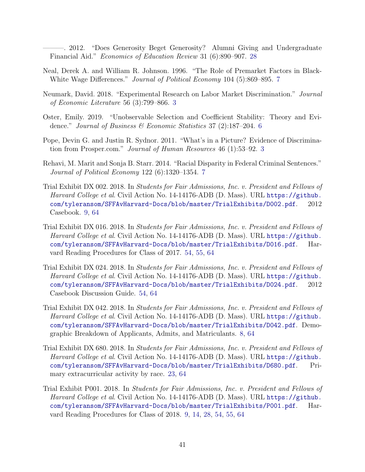- ———. 2012. "Does Generosity Beget Generosity? Alumni Giving and Undergraduate Financial Aid." Economics of Education Review 31 (6):890–907. [28](#page-27-0)
- Neal, Derek A. and William R. Johnson. 1996. "The Role of Premarket Factors in Black-White Wage Differences." Journal of Political Economy 104 (5):869–895. [7](#page-6-0)
- Neumark, David. 2018. "Experimental Research on Labor Market Discrimination." Journal of Economic Literature 56 (3):799–866. [3](#page-2-0)
- Oster, Emily. 2019. "Unobservable Selection and Coefficient Stability: Theory and Evidence." Journal of Business & Economic Statistics 37 (2):187–204. [6](#page-5-0)
- Pope, Devin G. and Justin R. Sydnor. 2011. "What's in a Picture? Evidence of Discrimination from Prosper.com." Journal of Human Resources 46 (1):53–92. [3](#page-2-0)
- Rehavi, M. Marit and Sonja B. Starr. 2014. "Racial Disparity in Federal Criminal Sentences." Journal of Political Economy 122 (6):1320–1354. [7](#page-6-0)
- <span id="page-40-3"></span>Trial Exhibit DX 002. 2018. In Students for Fair Admissions, Inc. v. President and Fellows of Harvard College et al. Civil Action No. 14-14176-ADB (D. Mass). URL [https://github.](https://github.com/tyleransom/SFFAvHarvard-Docs/blob/master/TrialExhibits/D002.pdf) [com/tyleransom/SFFAvHarvard-Docs/blob/master/TrialExhibits/D002.pdf](https://github.com/tyleransom/SFFAvHarvard-Docs/blob/master/TrialExhibits/D002.pdf). 2012 Casebook. [9,](#page-8-0) [64](#page-63-0)
- <span id="page-40-0"></span>Trial Exhibit DX 016. 2018. In Students for Fair Admissions, Inc. v. President and Fellows of Harvard College et al. Civil Action No. 14-14176-ADB (D. Mass). URL [https://github.](https://github.com/tyleransom/SFFAvHarvard-Docs/blob/master/TrialExhibits/D016.pdf) [com/tyleransom/SFFAvHarvard-Docs/blob/master/TrialExhibits/D016.pdf](https://github.com/tyleransom/SFFAvHarvard-Docs/blob/master/TrialExhibits/D016.pdf). Harvard Reading Procedures for Class of 2017. [54,](#page-53-0) [55,](#page-54-0) [64](#page-63-0)
- <span id="page-40-2"></span>Trial Exhibit DX 024. 2018. In Students for Fair Admissions, Inc. v. President and Fellows of Harvard College et al. Civil Action No. 14-14176-ADB (D. Mass). URL [https://github.](https://github.com/tyleransom/SFFAvHarvard-Docs/blob/master/TrialExhibits/D024.pdf) [com/tyleransom/SFFAvHarvard-Docs/blob/master/TrialExhibits/D024.pdf](https://github.com/tyleransom/SFFAvHarvard-Docs/blob/master/TrialExhibits/D024.pdf). 2012 Casebook Discussion Guide. [54,](#page-53-0) [64](#page-63-0)
- <span id="page-40-4"></span>Trial Exhibit DX 042. 2018. In Students for Fair Admissions, Inc. v. President and Fellows of Harvard College et al. Civil Action No. 14-14176-ADB (D. Mass). URL [https://github.](https://github.com/tyleransom/SFFAvHarvard-Docs/blob/master/TrialExhibits/D042.pdf) [com/tyleransom/SFFAvHarvard-Docs/blob/master/TrialExhibits/D042.pdf](https://github.com/tyleransom/SFFAvHarvard-Docs/blob/master/TrialExhibits/D042.pdf). Demographic Breakdown of Applicants, Admits, and Matriculants. [8,](#page-7-0) [64](#page-63-0)
- <span id="page-40-5"></span>Trial Exhibit DX 680. 2018. In Students for Fair Admissions, Inc. v. President and Fellows of Harvard College et al. Civil Action No. 14-14176-ADB (D. Mass). URL [https://github.](https://github.com/tyleransom/SFFAvHarvard-Docs/blob/master/TrialExhibits/D680.pdf) [com/tyleransom/SFFAvHarvard-Docs/blob/master/TrialExhibits/D680.pdf](https://github.com/tyleransom/SFFAvHarvard-Docs/blob/master/TrialExhibits/D680.pdf). Primary extracurricular activity by race. [23,](#page-22-0) [64](#page-63-0)
- <span id="page-40-1"></span>Trial Exhibit P001. 2018. In Students for Fair Admissions, Inc. v. President and Fellows of Harvard College et al. Civil Action No. 14-14176-ADB (D. Mass). URL [https://github.](https://github.com/tyleransom/SFFAvHarvard-Docs/blob/master/TrialExhibits/P001.pdf) [com/tyleransom/SFFAvHarvard-Docs/blob/master/TrialExhibits/P001.pdf](https://github.com/tyleransom/SFFAvHarvard-Docs/blob/master/TrialExhibits/P001.pdf). Harvard Reading Procedures for Class of 2018. [9,](#page-8-0) [14,](#page-13-0) [28,](#page-27-0) [54,](#page-53-0) [55,](#page-54-0) [64](#page-63-0)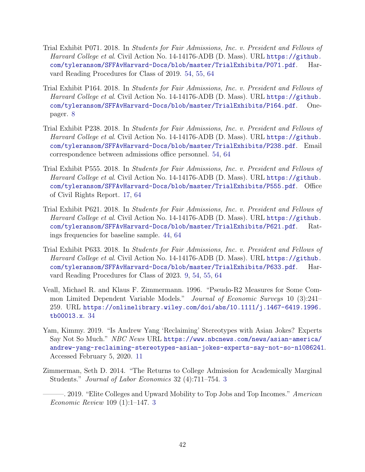- <span id="page-41-1"></span>Trial Exhibit P071. 2018. In Students for Fair Admissions, Inc. v. President and Fellows of Harvard College et al. Civil Action No. 14-14176-ADB (D. Mass). URL [https://github.](https://github.com/tyleransom/SFFAvHarvard-Docs/blob/master/TrialExhibits/P071.pdf) [com/tyleransom/SFFAvHarvard-Docs/blob/master/TrialExhibits/P071.pdf](https://github.com/tyleransom/SFFAvHarvard-Docs/blob/master/TrialExhibits/P071.pdf). Harvard Reading Procedures for Class of 2019. [54,](#page-53-0) [55,](#page-54-0) [64](#page-63-0)
- Trial Exhibit P164. 2018. In Students for Fair Admissions, Inc. v. President and Fellows of Harvard College et al. Civil Action No. 14-14176-ADB (D. Mass). URL [https://github.](https://github.com/tyleransom/SFFAvHarvard-Docs/blob/master/TrialExhibits/P164.pdf) [com/tyleransom/SFFAvHarvard-Docs/blob/master/TrialExhibits/P164.pdf](https://github.com/tyleransom/SFFAvHarvard-Docs/blob/master/TrialExhibits/P164.pdf). Onepager. [8](#page-7-0)
- <span id="page-41-3"></span>Trial Exhibit P238. 2018. In Students for Fair Admissions, Inc. v. President and Fellows of Harvard College et al. Civil Action No. 14-14176-ADB (D. Mass). URL [https://github.](https://github.com/tyleransom/SFFAvHarvard-Docs/blob/master/TrialExhibits/P238.pdf) [com/tyleransom/SFFAvHarvard-Docs/blob/master/TrialExhibits/P238.pdf](https://github.com/tyleransom/SFFAvHarvard-Docs/blob/master/TrialExhibits/P238.pdf). Email correspondence between admissions office personnel. [54,](#page-53-0) [64](#page-63-0)
- <span id="page-41-4"></span>Trial Exhibit P555. 2018. In Students for Fair Admissions, Inc. v. President and Fellows of Harvard College et al. Civil Action No. 14-14176-ADB (D. Mass). URL [https://github.](https://github.com/tyleransom/SFFAvHarvard-Docs/blob/master/TrialExhibits/P555.pdf) [com/tyleransom/SFFAvHarvard-Docs/blob/master/TrialExhibits/P555.pdf](https://github.com/tyleransom/SFFAvHarvard-Docs/blob/master/TrialExhibits/P555.pdf). Office of Civil Rights Report. [17,](#page-16-0) [64](#page-63-0)
- <span id="page-41-0"></span>Trial Exhibit P621. 2018. In Students for Fair Admissions, Inc. v. President and Fellows of Harvard College et al. Civil Action No. 14-14176-ADB (D. Mass). URL [https://github.](https://github.com/tyleransom/SFFAvHarvard-Docs/blob/master/TrialExhibits/P621.pdf) [com/tyleransom/SFFAvHarvard-Docs/blob/master/TrialExhibits/P621.pdf](https://github.com/tyleransom/SFFAvHarvard-Docs/blob/master/TrialExhibits/P621.pdf). Ratings frequencies for baseline sample. [44,](#page-43-0) [64](#page-63-0)
- <span id="page-41-2"></span>Trial Exhibit P633. 2018. In Students for Fair Admissions, Inc. v. President and Fellows of Harvard College et al. Civil Action No. 14-14176-ADB (D. Mass). URL [https://github.](https://github.com/tyleransom/SFFAvHarvard-Docs/blob/master/TrialExhibits/P633.pdf) [com/tyleransom/SFFAvHarvard-Docs/blob/master/TrialExhibits/P633.pdf](https://github.com/tyleransom/SFFAvHarvard-Docs/blob/master/TrialExhibits/P633.pdf). Harvard Reading Procedures for Class of 2023. [9,](#page-8-0) [54,](#page-53-0) [55,](#page-54-0) [64](#page-63-0)
- Veall, Michael R. and Klaus F. Zimmermann. 1996. "Pseudo-R2 Measures for Some Common Limited Dependent Variable Models." Journal of Economic Surveys 10 (3):241-259. URL [https://onlinelibrary.wiley.com/doi/abs/10.1111/j.1467-6419.1996.](https://onlinelibrary.wiley.com/doi/abs/10.1111/j.1467-6419.1996.tb00013.x) [tb00013.x](https://onlinelibrary.wiley.com/doi/abs/10.1111/j.1467-6419.1996.tb00013.x). [34](#page-33-0)
- Yam, Kimmy. 2019. "Is Andrew Yang 'Reclaiming' Stereotypes with Asian Jokes? Experts Say Not So Much." NBC News URL [https://www.nbcnews.com/news/asian-america/](https://www.nbcnews.com/news/asian-america/andrew-yang-reclaiming-stereotypes-asian-jokes-experts-say-not-so-n1086241) [andrew-yang-reclaiming-stereotypes-asian-jokes-experts-say-not-so-n1086241](https://www.nbcnews.com/news/asian-america/andrew-yang-reclaiming-stereotypes-asian-jokes-experts-say-not-so-n1086241). Accessed February 5, 2020. [11](#page-10-0)
- Zimmerman, Seth D. 2014. "The Returns to College Admission for Academically Marginal Students." Journal of Labor Economics 32 (4):711–754. [3](#page-2-0)
	- . 2019. "Elite Colleges and Upward Mobility to Top Jobs and Top Incomes." American Economic Review 109 (1):1–147. [3](#page-2-0)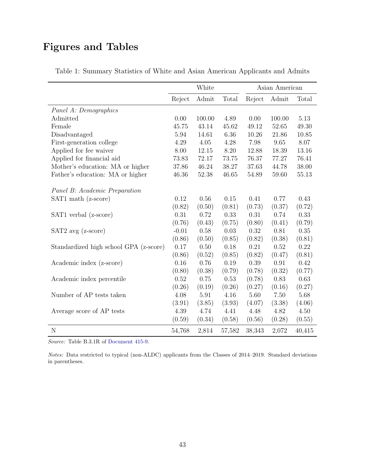# <span id="page-42-0"></span>Figures and Tables

|                                        |         | White  |        | Asian American |        |          |
|----------------------------------------|---------|--------|--------|----------------|--------|----------|
|                                        | Reject  | Admit  | Total  | Reject         | Admit  | Total    |
| Panel A: Demographics                  |         |        |        |                |        |          |
| Admitted                               | 0.00    | 100.00 | 4.89   | 0.00           | 100.00 | 5.13     |
| Female                                 | 45.75   | 43.14  | 45.62  | 49.12          | 52.65  | 49.30    |
| Disadvantaged                          | 5.94    | 14.61  | 6.36   | 10.26          | 21.86  | 10.85    |
| First-generation college               | 4.29    | 4.05   | 4.28   | 7.98           | 9.65   | 8.07     |
| Applied for fee waiver                 | 8.00    | 12.15  | 8.20   | 12.88          | 18.39  | 13.16    |
| Applied for financial aid              | 73.83   | 72.17  | 73.75  | 76.37          | 77.27  | 76.41    |
| Mother's education: MA or higher       | 37.86   | 46.24  | 38.27  | 37.63          | 44.78  | 38.00    |
| Father's education: MA or higher       | 46.36   | 52.38  | 46.65  | 54.89          | 59.60  | 55.13    |
| Panel B: Academic Preparation          |         |        |        |                |        |          |
| SAT1 math (z-score)                    | 0.12    | 0.56   | 0.15   | 0.41           | 0.77   | 0.43     |
|                                        | (0.82)  | (0.50) | (0.81) | (0.73)         | (0.37) | (0.72)   |
| SAT1 verbal (z-score)                  | 0.31    | 0.72   | 0.33   | 0.31           | 0.74   | 0.33     |
|                                        | (0.76)  | (0.43) | (0.75) | (0.80)         | (0.41) | (0.79)   |
| $SAT2$ avg $(z\text{-score})$          | $-0.01$ | 0.58   | 0.03   | 0.32           | 0.81   | 0.35     |
|                                        | (0.86)  | (0.50) | (0.85) | (0.82)         | (0.38) | (0.81)   |
| Standardized high school GPA (z-score) | 0.17    | 0.50   | 0.18   | 0.21           | 0.52   | $0.22\,$ |
|                                        | (0.86)  | (0.52) | (0.85) | (0.82)         | (0.47) | (0.81)   |
| Academic index (z-score)               | 0.16    | 0.76   | 0.19   | 0.39           | 0.91   | 0.42     |
|                                        | (0.80)  | (0.38) | (0.79) | (0.78)         | (0.32) | (0.77)   |
| Academic index percentile              | 0.52    | 0.75   | 0.53   | (0.78)         | 0.83   | 0.63     |
|                                        | (0.26)  | (0.19) | (0.26) | (0.27)         | (0.16) | (0.27)   |
| Number of AP tests taken               | 4.08    | 5.91   | 4.16   | 5.60           | 7.50   | 5.68     |
|                                        | (3.91)  | (3.85) | (3.93) | (4.07)         | (3.38) | (4.06)   |
| Average score of AP tests              | 4.39    | 4.74   | 4.41   | 4.48           | 4.82   | 4.50     |
|                                        | (0.59)  | (0.34) | (0.58) | (0.56)         | (0.28) | (0.55)   |
| $\mathbf N$                            | 54,768  | 2,814  | 57,582 | 38,343         | 2,072  | 40,415   |

Table 1: Summary Statistics of White and Asian American Applicants and Admits

Source: Table B.3.1R of [Document 415-9.](#page-37-0)

Notes: Data restricted to typical (non-ALDC) applicants from the Classes of 2014–2019. Standard deviations in parentheses.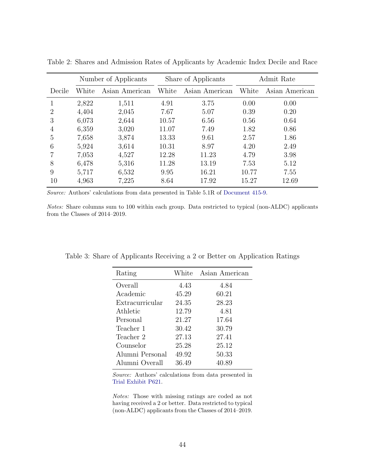|        |       | Number of Applicants | Share of Applicants |                | Admit Rate |                |
|--------|-------|----------------------|---------------------|----------------|------------|----------------|
| Decile | White | Asian American       | White               | Asian American | White      | Asian American |
| 1      | 2,822 | 1,511                | 4.91                | 3.75           | 0.00       | 0.00           |
| 2      | 4,404 | 2,045                | 7.67                | 5.07           | 0.39       | 0.20           |
| 3      | 6,073 | 2,644                | 10.57               | 6.56           | 0.56       | 0.64           |
| 4      | 6,359 | 3,020                | 11.07               | 7.49           | 1.82       | 0.86           |
| 5      | 7,658 | 3,874                | 13.33               | 9.61           | 2.57       | 1.86           |
| 6      | 5,924 | 3,614                | 10.31               | 8.97           | 4.20       | 2.49           |
|        | 7,053 | 4,527                | 12.28               | 11.23          | 4.79       | 3.98           |
| 8      | 6,478 | 5,316                | 11.28               | 13.19          | 7.53       | 5.12           |
| 9      | 5,717 | 6,532                | 9.95                | 16.21          | 10.77      | 7.55           |
| 10     | 4,963 | 7,225                | 8.64                | 17.92          | 15.27      | 12.69          |

<span id="page-43-0"></span>Table 2: Shares and Admission Rates of Applicants by Academic Index Decile and Race

Source: Authors' calculations from data presented in Table 5.1R of [Document 415-9.](#page-37-0)

Notes: Share columns sum to 100 within each group. Data restricted to typical (non-ALDC) applicants from the Classes of 2014–2019.

| Rating          | White | Asian American |
|-----------------|-------|----------------|
| Overall         | 4.43  | 4.84           |
| Academic        | 45.29 | 60.21          |
| Extracurricular | 24.35 | 28.23          |
| Athletic        | 12.79 | 4.81           |
| Personal        | 21.27 | 17.64          |
| Teacher 1       | 30.42 | 30.79          |
| Teacher 2       | 27.13 | 27.41          |
| Counselor       | 25.28 | 25.12          |
| Alumni Personal | 49.92 | 50.33          |
| Alumni Overall  | 36.49 | 40.89          |

Table 3: Share of Applicants Receiving a 2 or Better on Application Ratings

Source: Authors' calculations from data presented in [Trial Exhibit P621.](#page-41-0)

Notes: Those with missing ratings are coded as not having received a 2 or better. Data restricted to typical (non-ALDC) applicants from the Classes of 2014–2019.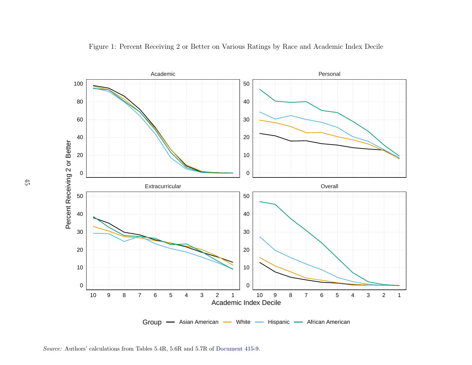<span id="page-44-0"></span>



Source: Authors' calculations from Tables 5.4R, 5.6R and 5.7R of [Document](#page-37-1) 415-9.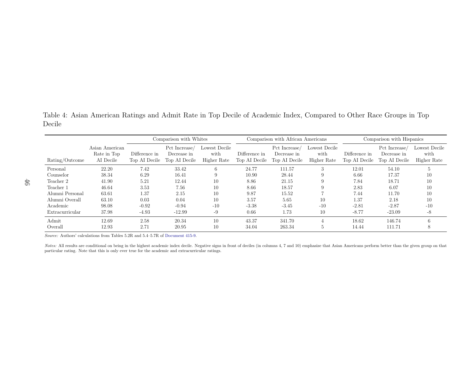<span id="page-45-0"></span>Table 4: Asian American Ratings and Admit Rate in Top Decile of Academic Index, Compared to Other Race Groups in TopDecile

|                 |                                            |                                | Comparison with Whites                        |                                      | Comparison with African Americans |                                               |                                      | Comparison with Hispanics      |                                              |                                      |
|-----------------|--------------------------------------------|--------------------------------|-----------------------------------------------|--------------------------------------|-----------------------------------|-----------------------------------------------|--------------------------------------|--------------------------------|----------------------------------------------|--------------------------------------|
| Rating/Outcome  | Asian American<br>Rate in Top<br>AI Decile | Difference in<br>Top AI Decile | Pct Increase/<br>Decrease in<br>Top AI Decile | Lowest Decile<br>with<br>Higher Rate | Difference in<br>Top AI Decile    | Pct Increase/<br>Decrease in<br>Top AI Decile | Lowest Decile<br>with<br>Higher Rate | Difference in<br>Top AI Decile | Pct Increase<br>Decrease in<br>Top AI Decile | Lowest Decile<br>with<br>Higher Rate |
| Personal        | 22.20                                      | 7.42                           | 33.42                                         | n                                    | 24.77                             | 111.57                                        | 3                                    | 12.01                          | 54.10                                        | 5                                    |
| Counselor       | 38.34                                      | 6.29                           | 16.41                                         |                                      | 10.90                             | 28.44                                         | 9                                    | 6.66                           | 17.37                                        | 10                                   |
| Teacher 2       | 41.90                                      | 5.21                           | 12.44                                         | 10                                   | 8.86                              | 21.15                                         | 9                                    | 7.84                           | 18.71                                        | 10                                   |
| Teacher 1       | 46.64                                      | 3.53                           | 7.56                                          | 10                                   | 8.66                              | 18.57                                         | 9                                    | 2.83                           | 6.07                                         | 10                                   |
| Alumni Personal | 63.61                                      | 1.37                           | 2.15                                          | 10                                   | 9.87                              | 15.52                                         |                                      | 7.44                           | 11.70                                        | 10                                   |
| Alumni Overall  | 63.10                                      | 0.03                           | 0.04                                          | 10                                   | 3.57                              | 5.65                                          | 10                                   | 1.37                           | 2.18                                         | 10                                   |
| Academic        | 98.08                                      | $-0.92$                        | $-0.94$                                       | $-10$                                | $-3.38$                           | $-3.45$                                       | $-10$                                | $-2.81$                        | $-2.87$                                      | $-10$                                |
| Extracurricular | 37.98                                      | $-4.93$                        | $-12.99$                                      | -9                                   | 0.66                              | 1.73                                          | 10                                   | $-8.77$                        | $-23.09$                                     | -8                                   |
| Admit           | 12.69                                      | 2.58                           | 20.34                                         | 10                                   | 43.37                             | 341.70                                        |                                      | 18.62                          | 146.74                                       | 6                                    |
| Overall         | 12.93                                      | 2.71                           | 20.95                                         | 10                                   | 34.04                             | 263.34                                        | $\mathcal{D}$                        | 14.44                          | 111.71                                       | 8                                    |

Source: Authors' calculations from Tables 5.2R and 5.4–5.7R of [Document](#page-37-1) 415-9.

Notes: All results are conditional on being in the highest academic index decile. Negative signs in front of deciles (in columns 4, 7 and 10) emphasize that Asian Americans perform better than the given group on that particular rating. Note that this is only ever true for the academic and extracurricular ratings.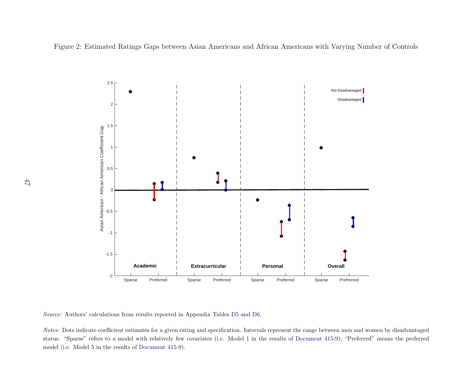<span id="page-46-0"></span>Figure 2: Estimated Ratings Gaps between Asian Americans and African Americans with Varying Number of Controls



Source: Authors' calculations from results reported in Appendix Tables [D5](#page-67-1) and [D6.](#page-68-1)

Notes: Dots indicate coefficient estimates for a given rating and specification. Intervals represent the range between men and women by disadvantaged status. "Sparse" refers to <sup>a</sup> model with relatively few covariates (i.e. Model <sup>1</sup> in the results of [Document](#page-37-1) 415-9); "Preferred" means the preferredmodel (i.e. Model <sup>5</sup> in the results of [Document](#page-37-1) 415-9).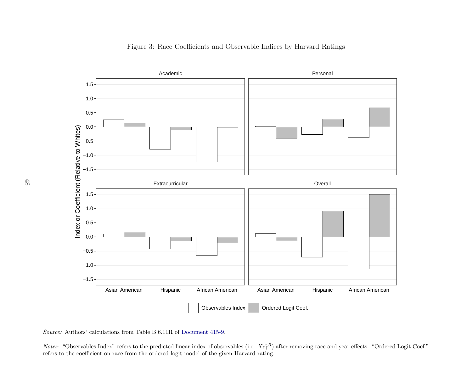<span id="page-47-0"></span>

*Notes:* "Observables Index" refers to the predicted linear index of observables (i.e.  $X_i \hat{\gamma}^R$ ) after removing race and year effects. "Ordered Logit Coef." refers to the coefficient on race from the ordered logit model of the given Harvard rating.

Source: Authors' calculations from Table B.6.11R of [Document](#page-37-1) 415-9.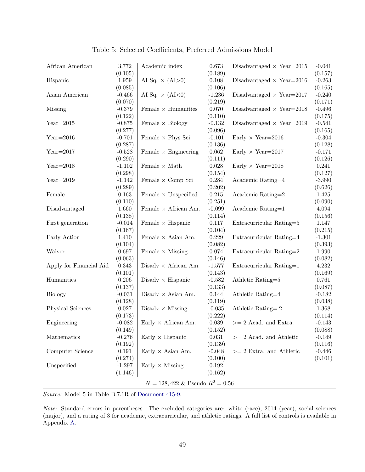<span id="page-48-1"></span><span id="page-48-0"></span>

| African American                            | 3.772       | Academic index              | 0.673       | Disadvantaged $\times$ Year=2015 | $-0.041$  |  |  |
|---------------------------------------------|-------------|-----------------------------|-------------|----------------------------------|-----------|--|--|
|                                             | (0.105)     |                             | (0.189)     |                                  | (0.157)   |  |  |
| Hispanic                                    | 1.959       | AI Sq. $\times$ (AI > 0)    | 0.108       | Disadvantaged $\times$ Year=2016 | $-0.263$  |  |  |
|                                             | (0.085)     |                             | (0.106)     |                                  | (0.165)   |  |  |
| Asian American                              | $-0.466$    | AI Sq. $\times$ (AI<0)      | $-1.236$    | Disadvantaged $\times$ Year=2017 | $-0.240$  |  |  |
|                                             | (0.070)     |                             | (0.219)     |                                  | (0.171)   |  |  |
| Missing                                     | $-0.379$    | Female $\times$ Humanities  | $0.070\,$   | Disadvantaged $\times$ Year=2018 | $-0.496$  |  |  |
|                                             | (0.122)     |                             | (0.110)     |                                  | (0.175)   |  |  |
| $Year=2015$                                 | $-0.875$    | Female $\times$ Biology     | $-0.132$    | Disadvantaged $\times$ Year=2019 | $-0.541$  |  |  |
|                                             | (0.277)     |                             | (0.096)     |                                  | (0.165)   |  |  |
| $Year=2016$                                 | $-0.701$    | Female $\times$ Phys Sci    | $-0.101$    | Early $\times$ Year=2016         | $-0.304$  |  |  |
|                                             | (0.287)     |                             | (0.136)     |                                  | (0.128)   |  |  |
| $Year=2017$                                 | $-0.528$    | Female $\times$ Engineering | $0.062\,$   | Early $\times$ Year=2017         | $-0.171$  |  |  |
|                                             | (0.290)     |                             | (0.111)     |                                  | (0.126)   |  |  |
| $Year=2018$                                 | $-1.102$    | Female $\times$ Math        | $0.028\,$   | Early $\times$ Year=2018         | 0.241     |  |  |
|                                             | (0.298)     |                             | (0.154)     |                                  | (0.127)   |  |  |
| $Year=2019$                                 | $-1.142$    | Female $\times$ Comp Sci    | $0.284\,$   | Academic Rating=4                | $-3.990$  |  |  |
|                                             | (0.289)     |                             | (0.202)     |                                  | (0.626)   |  |  |
| Female                                      | $\,0.163\,$ | Female $\times$ Unspecified | $0.215\,$   | Academic Rating=2                | $1.425\,$ |  |  |
|                                             | (0.110)     |                             | (0.251)     |                                  | (0.090)   |  |  |
| Disadvantaged                               | 1.660       | Female $\times$ African Am. | $-0.099$    | Academic Rating=1                | $4.094\,$ |  |  |
|                                             | (0.138)     |                             | (0.114)     |                                  | (0.156)   |  |  |
| First generation                            | $-0.014$    | Female $\times$ Hispanic    | 0.117       | Extracurricular Rating=5         | 1.147     |  |  |
|                                             | (0.167)     |                             | (0.104)     |                                  | (0.215)   |  |  |
| Early Action                                | 1.410       | Female $\times$ Asian Am.   | 0.229       | Extracurricular Rating=4         | $-1.301$  |  |  |
|                                             | (0.104)     |                             | (0.082)     |                                  | (0.393)   |  |  |
| Waiver                                      | 0.697       | Female $\times$ Missing     | $0.074\,$   | Extracurricular Rating=2         | 1.990     |  |  |
|                                             | (0.063)     |                             | (0.146)     |                                  | (0.082)   |  |  |
| Apply for Financial Aid                     | 0.343       | Disadv $\times$ African Am. | $-1.577$    | Extracurricular Rating=1         | 4.232     |  |  |
|                                             | (0.101)     |                             | (0.143)     |                                  | (0.169)   |  |  |
| Humanities                                  | 0.206       | Disadv $\times$ Hispanic    | $-0.582$    | Athletic Rating=5                | 0.761     |  |  |
|                                             | (0.137)     |                             | (0.133)     |                                  | (0.087)   |  |  |
| <b>Biology</b>                              | $-0.031$    | Disadv $\times$ Asian Am.   | 0.144       | Athletic Rating=4                | $-0.182$  |  |  |
|                                             | (0.128)     |                             | (0.119)     |                                  | (0.038)   |  |  |
| Physical Sciences                           | $0.027\,$   | Disadv $\times$ Missing     | $-0.035$    | Athletic Rating=2                | 1.368     |  |  |
|                                             | (0.173)     |                             | (0.222)     |                                  | (0.114)   |  |  |
| Engineering                                 | $-0.082$    | Early $\times$ African Am.  | $\,0.039\,$ | $>= 2$ Acad. and Extra.          | $-0.143$  |  |  |
|                                             | (0.149)     |                             | (0.152)     |                                  | (0.088)   |  |  |
| Mathematics                                 | $-0.276$    | Early $\times$ Hispanic     | $\,0.031\,$ | $>= 2$ Acad. and Athletic        | $-0.149$  |  |  |
|                                             | (0.192)     |                             | (0.139)     |                                  | (0.116)   |  |  |
| Computer Science                            | 0.191       | Early $\times$ Asian Am.    | $-0.048$    | $>= 2$ Extra. and Athletic       | $-0.446$  |  |  |
|                                             | (0.274)     |                             | (0.100)     |                                  | (0.101)   |  |  |
| Unspecified                                 | $-1.297$    | Early $\times$ Missing      | 0.192       |                                  |           |  |  |
|                                             | (1.146)     |                             | (0.162)     |                                  |           |  |  |
| $N = 128,422 \& \text{ Pseudo } R^2 = 0.56$ |             |                             |             |                                  |           |  |  |

Table 5: Selected Coefficients, Preferred Admissions Model

Source: Model 5 in Table B.7.1R of [Document 415-9.](#page-37-0)

Note: Standard errors in parentheses. The excluded categories are: white (race), 2014 (year), social sciences (major), and a rating of 3 for academic, extracurricular, and athletic ratings. A full list of controls is available in Appendix [A.](#page-51-1)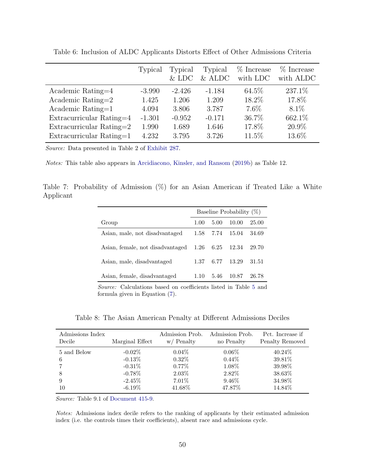|                          | Typical  | Typical<br>$&$ LDC | Typical<br>$&$ ALDC | % Increase<br>with LDC | % Increase<br>with ALDC |
|--------------------------|----------|--------------------|---------------------|------------------------|-------------------------|
| Academic Rating=4        | $-3.990$ | $-2.426$           | $-1.184$            | 64.5%                  | 237.1%                  |
| Academic Rating= $2$     | 1.425    | 1.206              | 1.209               | 18.2%                  | 17.8%                   |
| Academic Rating= $1$     | 4.094    | 3.806              | 3.787               | $7.6\%$                | 8.1%                    |
| Extracurricular Rating=4 | $-1.301$ | $-0.952$           | $-0.171$            | 36.7%                  | 662.1%                  |
| Extracurricular Rating=2 | 1.990    | 1.689              | 1.646               | 17.8%                  | 20.9%                   |
| Extracurricular Rating=1 | 4.232    | 3.795              | 3.726               | $11.5\%$               | 13.6%                   |

<span id="page-49-0"></span>Table 6: Inclusion of ALDC Applicants Distorts Effect of Other Admissions Criteria

Source: Data presented in Table 2 of [Exhibit 287.](#page-38-0)

Notes: This table also appears in [Arcidiacono, Kinsler, and Ransom](#page-36-0) [\(2019b\)](#page-36-0) as Table 12.

Table 7: Probability of Admission (%) for an Asian American if Treated Like a White Applicant

| Baseline Probability $(\%)$                                                                                                                |      |      |       |       |
|--------------------------------------------------------------------------------------------------------------------------------------------|------|------|-------|-------|
| Group                                                                                                                                      | 1.00 | 5.00 | 10.00 | 25.00 |
| Asian, male, not disadvantaged                                                                                                             | 1.58 | 7.74 | 15.04 | 34.69 |
| Asian, female, not disadvantaged                                                                                                           | 1.26 | 6.25 | 12.34 | 29.70 |
| Asian, male, disadvantaged                                                                                                                 | 1.37 | 6.77 | 13.29 | 31.51 |
| Asian, female, disadvantaged                                                                                                               | 1.10 | 5.46 | 10.87 | 26.78 |
| $\mathcal{C}_{\text{correspond}}$ $\mathcal{C}_{\text{clou}}$ detections because on each clean listed in Table $\mathcal{L}_{\text{coul}}$ |      |      |       |       |

Source: Calculations based on coefficients listed in Table [5](#page-48-1) and formula given in Equation [\(7\)](#page-28-1).

Table 8: The Asian American Penalty at Different Admissions Deciles

| Admissions Index      | Marginal Effect                                  | Admission Prob.                              | Admission Prob.                         | Pct. Increase if                      |
|-----------------------|--------------------------------------------------|----------------------------------------------|-----------------------------------------|---------------------------------------|
| Decile                |                                                  | $w/$ Penalty                                 | no Penalty                              | Penalty Removed                       |
| 5 and Below<br>6<br>8 | $-0.02\%$<br>$-0.13\%$<br>$-0.31\%$<br>$-0.78\%$ | $0.04\%$<br>$0.32\%$<br>$0.77\%$<br>$2.03\%$ | $0.06\%$<br>$0.44\%$<br>1.08%<br>2.82\% | 40.24\%<br>39.81%<br>39.98%<br>38.63% |
| 9                     | $-2.45\%$                                        | $7.01\%$                                     | $9.46\%$                                | 34.98%                                |
| 10                    | $-6.19\%$                                        | 41.68%                                       | 47.87%                                  | 14.84\%                               |

Source: Table 9.1 of [Document 415-9.](#page-37-0)

Notes: Admissions index decile refers to the ranking of applicants by their estimated admission index (i.e. the controls times their coefficients), absent race and admissions cycle.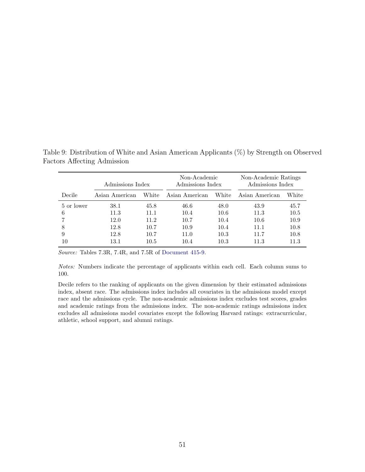|            | Admissions Index |       | Non-Academic<br>Admissions Index |          | Non-Academic Ratings<br>Admissions Index |       |
|------------|------------------|-------|----------------------------------|----------|------------------------------------------|-------|
| Decile     | Asian American   | White | Asian American                   | White    | Asian American                           | White |
| 5 or lower | 38.1             | 45.8  | 46.6                             | 48.0     | 43.9                                     | 45.7  |
| 6          | 11.3             | 11.1  | 10.4                             | 10.6     | 11.3                                     | 10.5  |
|            | 12.0             | 11.2  | 10.7                             | 10.4     | 10.6                                     | 10.9  |
| 8          | 12.8             | 10.7  | 10.9                             | 10.4     | 11.1                                     | 10.8  |
| 9          | 12.8             | 10.7  | 11.0                             | 10.3     | 11.7                                     | 10.8  |
| 10         | 13.1             | 10.5  | 10.4                             | $10.3\,$ | 11.3                                     | 11.3  |

<span id="page-50-0"></span>Table 9: Distribution of White and Asian American Applicants (%) by Strength on Observed Factors Affecting Admission

Source: Tables 7.3R, 7.4R, and 7.5R of [Document 415-9.](#page-37-0)

Notes: Numbers indicate the percentage of applicants within each cell. Each column sums to 100.

Decile refers to the ranking of applicants on the given dimension by their estimated admissions index, absent race. The admissions index includes all covariates in the admissions model except race and the admissions cycle. The non-academic admissions index excludes test scores, grades and academic ratings from the admissions index. The non-academic ratings admissions index excludes all admissions model covariates except the following Harvard ratings: extracurricular, athletic, school support, and alumni ratings.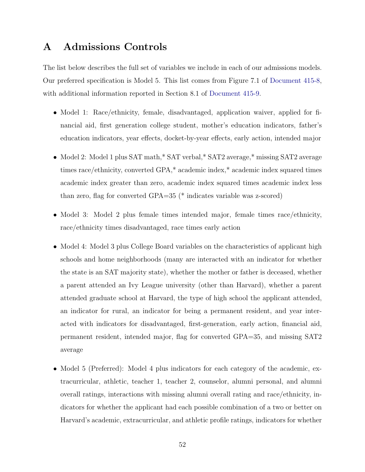## <span id="page-51-1"></span><span id="page-51-0"></span>A Admissions Controls

The list below describes the full set of variables we include in each of our admissions models. Our preferred specification is Model 5. This list comes from Figure 7.1 of [Document 415-8,](#page-37-2) with additional information reported in Section 8.1 of [Document 415-9.](#page-37-0)

- Model 1: Race/ethnicity, female, disadvantaged, application waiver, applied for financial aid, first generation college student, mother's education indicators, father's education indicators, year effects, docket-by-year effects, early action, intended major
- Model 2: Model 1 plus SAT math,\* SAT verbal,\* SAT2 average,\* missing SAT2 average times race/ethnicity, converted GPA,\* academic index,\* academic index squared times academic index greater than zero, academic index squared times academic index less than zero, flag for converted GPA=35 (\* indicates variable was z-scored)
- Model 3: Model 2 plus female times intended major, female times race/ethnicity, race/ethnicity times disadvantaged, race times early action
- Model 4: Model 3 plus College Board variables on the characteristics of applicant high schools and home neighborhoods (many are interacted with an indicator for whether the state is an SAT majority state), whether the mother or father is deceased, whether a parent attended an Ivy League university (other than Harvard), whether a parent attended graduate school at Harvard, the type of high school the applicant attended, an indicator for rural, an indicator for being a permanent resident, and year interacted with indicators for disadvantaged, first-generation, early action, financial aid, permanent resident, intended major, flag for converted GPA=35, and missing SAT2 average
- Model 5 (Preferred): Model 4 plus indicators for each category of the academic, extracurricular, athletic, teacher 1, teacher 2, counselor, alumni personal, and alumni overall ratings, interactions with missing alumni overall rating and race/ethnicity, indicators for whether the applicant had each possible combination of a two or better on Harvard's academic, extracurricular, and athletic profile ratings, indicators for whether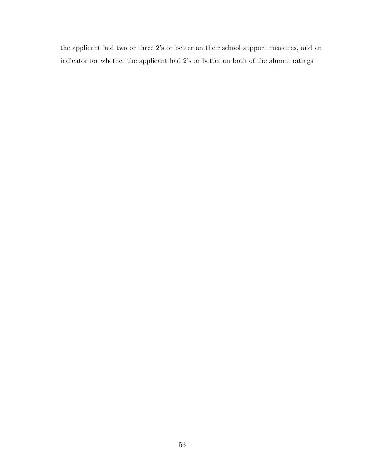the applicant had two or three 2's or better on their school support measures, and an indicator for whether the applicant had 2's or better on both of the alumni ratings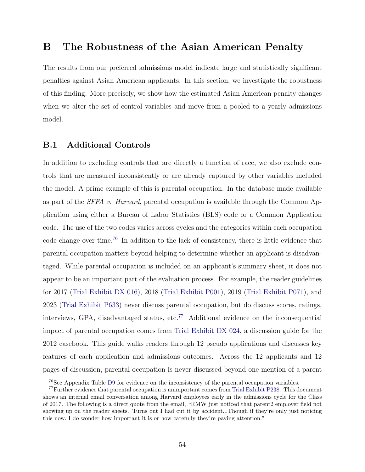## <span id="page-53-0"></span>B The Robustness of the Asian American Penalty

The results from our preferred admissions model indicate large and statistically significant penalties against Asian American applicants. In this section, we investigate the robustness of this finding. More precisely, we show how the estimated Asian American penalty changes when we alter the set of control variables and move from a pooled to a yearly admissions model.

### <span id="page-53-3"></span>B.1 Additional Controls

In addition to excluding controls that are directly a function of race, we also exclude controls that are measured inconsistently or are already captured by other variables included the model. A prime example of this is parental occupation. In the database made available as part of the *SFFA v. Harvard*, parental occupation is available through the Common Application using either a Bureau of Labor Statistics (BLS) code or a Common Application code. The use of the two codes varies across cycles and the categories within each occupation code change over time.[76](#page-53-1) In addition to the lack of consistency, there is little evidence that parental occupation matters beyond helping to determine whether an applicant is disadvantaged. While parental occupation is included on an applicant's summary sheet, it does not appear to be an important part of the evaluation process. For example, the reader guidelines for 2017 [\(Trial Exhibit DX 016\)](#page-40-0), 2018 [\(Trial Exhibit P001\)](#page-40-1), 2019 [\(Trial Exhibit P071\)](#page-41-1), and 2023 [\(Trial Exhibit P633\)](#page-41-2) never discuss parental occupation, but do discuss scores, ratings, interviews, GPA, disadvantaged status, etc.[77](#page-53-2) Additional evidence on the inconsequential impact of parental occupation comes from [Trial Exhibit DX 024,](#page-40-2) a discussion guide for the 2012 casebook. This guide walks readers through 12 pseudo applications and discusses key features of each application and admissions outcomes. Across the 12 applicants and 12 pages of discussion, parental occupation is never discussed beyond one mention of a parent

<span id="page-53-2"></span><span id="page-53-1"></span><sup>76</sup>See Appendix Table [D9](#page-71-1) for evidence on the inconsistency of the parental occupation variables.

<sup>77</sup>Further evidence that parental occupation is unimportant comes from [Trial Exhibit P238.](#page-41-3) This document shows an internal email conversation among Harvard employees early in the admissions cycle for the Class of 2017. The following is a direct quote from the email, "RMW just noticed that parent2 employer field not showing up on the reader sheets. Turns out I had cut it by accident...Though if they're only just noticing this now, I do wonder how important it is or how carefully they're paying attention."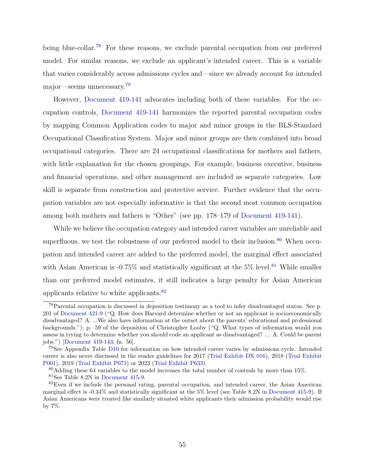<span id="page-54-0"></span>being blue-collar.<sup>[78](#page-54-1)</sup> For these reasons, we exclude parental occupation from our preferred model. For similar reasons, we exclude an applicant's intended career. This is a variable that varies considerably across admissions cycles and—since we already account for intended major—seems unnecessary.[79](#page-54-2)

However, [Document 419-141](#page-37-3) advocates including both of these variables. For the occupation controls, [Document 419-141](#page-37-3) harmonizes the reported parental occupation codes by mapping Common Application codes to major and minor groups in the BLS-Standard Occupational Classification System. Major and minor groups are then combined into broad occupational categories. There are 24 occupational classifications for mothers and fathers, with little explanation for the chosen groupings. For example, business executive, business and financial operations, and other management are included as separate categories. Low skill is separate from construction and protective service. Further evidence that the occupation variables are not especially informative is that the second most common occupation among both mothers and fathers is "Other" (see pp. 178–179 of [Document 419-141\)](#page-37-3).

While we believe the occupation category and intended career variables are unreliable and superfluous, we test the robustness of our preferred model to their inclusion.<sup>[80](#page-54-3)</sup> When occupation and intended career are added to the preferred model, the marginal effect associated with Asian American is  $-0.75\%$  and statistically significant at the 5% level.<sup>[81](#page-54-4)</sup> While smaller than our preferred model estimates, it still indicates a large penalty for Asian American applicants relative to white applicants.[82](#page-54-5)

<span id="page-54-1"></span><sup>78</sup>Parental occupation is discussed in deposition testimony as a tool to infer disadvantaged status. See p. 201 of [Document 421-9](#page-37-4) ("Q. How does Harvard determine whether or not an applicant is socioeconomically disadvantaged? A. ...We also have information at the outset about the parents' educational and professional backgrounds."); p. 59 of the deposition of Christopher Looby ("Q. What types of information would you assess in trying to determine whether you should code an applicant as disadvantaged? ... A. Could be parent jobs.") [\[Document 419-143,](#page-37-5) fn. 56].

<span id="page-54-2"></span><sup>79</sup>See Appendix Table [D10](#page-72-1) for information on how intended career varies by admissions cycle. Intended career is also never discussed in the reader guidelines for 2017 [\(Trial Exhibit DX 016\)](#page-40-0), 2018 [\(Trial Exhibit](#page-40-1) [P001\)](#page-40-1), 2019 [\(Trial Exhibit P071\)](#page-41-1) or 2023 [\(Trial Exhibit P633\)](#page-41-2).

<span id="page-54-4"></span><span id="page-54-3"></span> $80$ Adding these 64 variables to the model increases the total number of controls by more than 15%. <sup>81</sup>See Table 8.2N in [Document 415-9.](#page-37-0)

<span id="page-54-5"></span> $82$ Even if we include the personal rating, parental occupation, and intended career, the Asian American marginal effect is -0.34% and statistically significant at the 5% level (see Table 8.2N in [Document 415-9\)](#page-37-0). If Asian Americans were treated like similarly situated white applicants their admission probability would rise by 7%.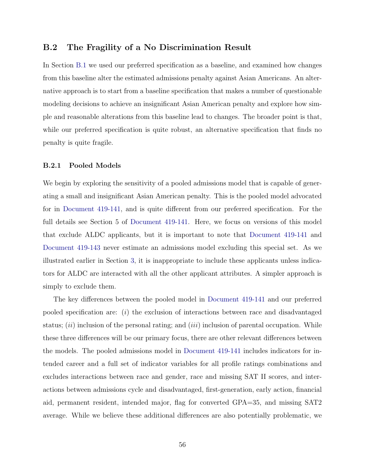### <span id="page-55-0"></span>B.2 The Fragility of a No Discrimination Result

In Section [B.1](#page-53-3) we used our preferred specification as a baseline, and examined how changes from this baseline alter the estimated admissions penalty against Asian Americans. An alternative approach is to start from a baseline specification that makes a number of questionable modeling decisions to achieve an insignificant Asian American penalty and explore how simple and reasonable alterations from this baseline lead to changes. The broader point is that, while our preferred specification is quite robust, an alternative specification that finds no penalty is quite fragile.

#### B.2.1 Pooled Models

We begin by exploring the sensitivity of a pooled admissions model that is capable of generating a small and insignificant Asian American penalty. This is the pooled model advocated for in [Document 419-141,](#page-37-3) and is quite different from our preferred specification. For the full details see Section 5 of [Document 419-141.](#page-37-3) Here, we focus on versions of this model that exclude ALDC applicants, but it is important to note that [Document 419-141](#page-37-3) and [Document 419-143](#page-37-5) never estimate an admissions model excluding this special set. As we illustrated earlier in Section [3,](#page-9-1) it is inappropriate to include these applicants unless indicators for ALDC are interacted with all the other applicant attributes. A simpler approach is simply to exclude them.

The key differences between the pooled model in [Document 419-141](#page-37-3) and our preferred pooled specification are:  $(i)$  the exclusion of interactions between race and disadvantaged status;  $(ii)$  inclusion of the personal rating; and  $(iii)$  inclusion of parental occupation. While these three differences will be our primary focus, there are other relevant differences between the models. The pooled admissions model in [Document 419-141](#page-37-3) includes indicators for intended career and a full set of indicator variables for all profile ratings combinations and excludes interactions between race and gender, race and missing SAT II scores, and interactions between admissions cycle and disadvantaged, first-generation, early action, financial aid, permanent resident, intended major, flag for converted GPA=35, and missing SAT2 average. While we believe these additional differences are also potentially problematic, we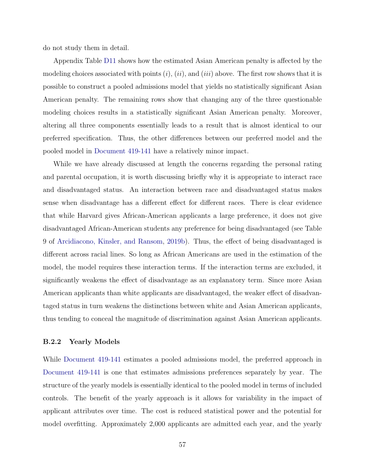<span id="page-56-0"></span>do not study them in detail.

Appendix Table [D11](#page-72-2) shows how the estimated Asian American penalty is affected by the modeling choices associated with points  $(i)$ ,  $(ii)$ , and  $(iii)$  above. The first row shows that it is possible to construct a pooled admissions model that yields no statistically significant Asian American penalty. The remaining rows show that changing any of the three questionable modeling choices results in a statistically significant Asian American penalty. Moreover, altering all three components essentially leads to a result that is almost identical to our preferred specification. Thus, the other differences between our preferred model and the pooled model in [Document 419-141](#page-37-3) have a relatively minor impact.

While we have already discussed at length the concerns regarding the personal rating and parental occupation, it is worth discussing briefly why it is appropriate to interact race and disadvantaged status. An interaction between race and disadvantaged status makes sense when disadvantage has a different effect for different races. There is clear evidence that while Harvard gives African-American applicants a large preference, it does not give disadvantaged African-American students any preference for being disadvantaged (see Table 9 of [Arcidiacono, Kinsler, and Ransom,](#page-36-0) [2019b\)](#page-36-0). Thus, the effect of being disadvantaged is different across racial lines. So long as African Americans are used in the estimation of the model, the model requires these interaction terms. If the interaction terms are excluded, it significantly weakens the effect of disadvantage as an explanatory term. Since more Asian American applicants than white applicants are disadvantaged, the weaker effect of disadvantaged status in turn weakens the distinctions between white and Asian American applicants, thus tending to conceal the magnitude of discrimination against Asian American applicants.

#### B.2.2 Yearly Models

While [Document 419-141](#page-37-3) estimates a pooled admissions model, the preferred approach in [Document 419-141](#page-37-3) is one that estimates admissions preferences separately by year. The structure of the yearly models is essentially identical to the pooled model in terms of included controls. The benefit of the yearly approach is it allows for variability in the impact of applicant attributes over time. The cost is reduced statistical power and the potential for model overfitting. Approximately 2,000 applicants are admitted each year, and the yearly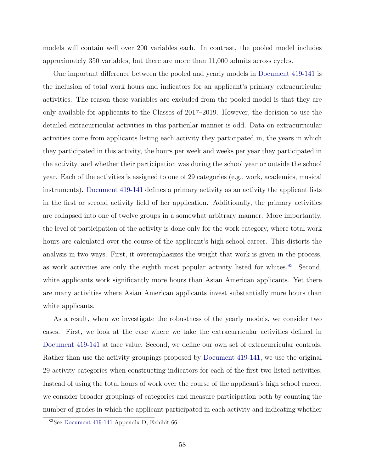<span id="page-57-0"></span>models will contain well over 200 variables each. In contrast, the pooled model includes approximately 350 variables, but there are more than 11,000 admits across cycles.

One important difference between the pooled and yearly models in [Document 419-141](#page-37-3) is the inclusion of total work hours and indicators for an applicant's primary extracurricular activities. The reason these variables are excluded from the pooled model is that they are only available for applicants to the Classes of 2017–2019. However, the decision to use the detailed extracurricular activities in this particular manner is odd. Data on extracurricular activities come from applicants listing each activity they participated in, the years in which they participated in this activity, the hours per week and weeks per year they participated in the activity, and whether their participation was during the school year or outside the school year. Each of the activities is assigned to one of 29 categories (e.g., work, academics, musical instruments). [Document 419-141](#page-37-3) defines a primary activity as an activity the applicant lists in the first or second activity field of her application. Additionally, the primary activities are collapsed into one of twelve groups in a somewhat arbitrary manner. More importantly, the level of participation of the activity is done only for the work category, where total work hours are calculated over the course of the applicant's high school career. This distorts the analysis in two ways. First, it overemphasizes the weight that work is given in the process, as work activities are only the eighth most popular activity listed for whites.<sup>[83](#page-57-1)</sup> Second, white applicants work significantly more hours than Asian American applicants. Yet there are many activities where Asian American applicants invest substantially more hours than white applicants.

As a result, when we investigate the robustness of the yearly models, we consider two cases. First, we look at the case where we take the extracurricular activities defined in [Document 419-141](#page-37-3) at face value. Second, we define our own set of extracurricular controls. Rather than use the activity groupings proposed by [Document 419-141,](#page-37-3) we use the original 29 activity categories when constructing indicators for each of the first two listed activities. Instead of using the total hours of work over the course of the applicant's high school career, we consider broader groupings of categories and measure participation both by counting the number of grades in which the applicant participated in each activity and indicating whether

<span id="page-57-1"></span><sup>83</sup>See [Document 419-141](#page-37-3) Appendix D, Exhibit 66.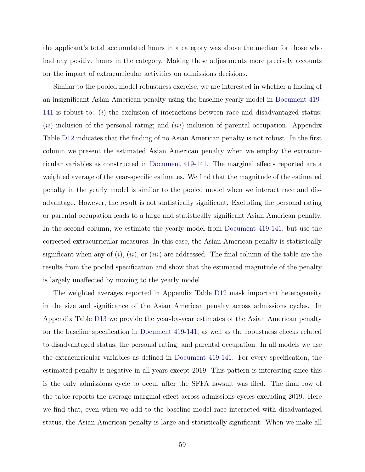<span id="page-58-0"></span>the applicant's total accumulated hours in a category was above the median for those who had any positive hours in the category. Making these adjustments more precisely accounts for the impact of extracurricular activities on admissions decisions.

Similar to the pooled model robustness exercise, we are interested in whether a finding of an insignificant Asian American penalty using the baseline yearly model in [Document 419-](#page-37-3) [141](#page-37-3) is robust to:  $(i)$  the exclusion of interactions between race and disadvantaged status;  $(ii)$  inclusion of the personal rating; and  $(iii)$  inclusion of parental occupation. Appendix Table [D12](#page-73-1) indicates that the finding of no Asian American penalty is not robust. In the first column we present the estimated Asian American penalty when we employ the extracurricular variables as constructed in [Document 419-141.](#page-37-3) The marginal effects reported are a weighted average of the year-specific estimates. We find that the magnitude of the estimated penalty in the yearly model is similar to the pooled model when we interact race and disadvantage. However, the result is not statistically significant. Excluding the personal rating or parental occupation leads to a large and statistically significant Asian American penalty. In the second column, we estimate the yearly model from [Document 419-141,](#page-37-3) but use the corrected extracurricular measures. In this case, the Asian American penalty is statistically significant when any of  $(i)$ ,  $(ii)$ , or  $(iii)$  are addressed. The final column of the table are the results from the pooled specification and show that the estimated magnitude of the penalty is largely unaffected by moving to the yearly model.

The weighted averages reported in Appendix Table [D12](#page-73-1) mask important heterogeneity in the size and significance of the Asian American penalty across admissions cycles. In Appendix Table [D13](#page-73-2) we provide the year-by-year estimates of the Asian American penalty for the baseline specification in [Document 419-141,](#page-37-3) as well as the robustness checks related to disadvantaged status, the personal rating, and parental occupation. In all models we use the extracurricular variables as defined in [Document 419-141.](#page-37-3) For every specification, the estimated penalty is negative in all years except 2019. This pattern is interesting since this is the only admissions cycle to occur after the SFFA lawsuit was filed. The final row of the table reports the average marginal effect across admissions cycles excluding 2019. Here we find that, even when we add to the baseline model race interacted with disadvantaged status, the Asian American penalty is large and statistically significant. When we make all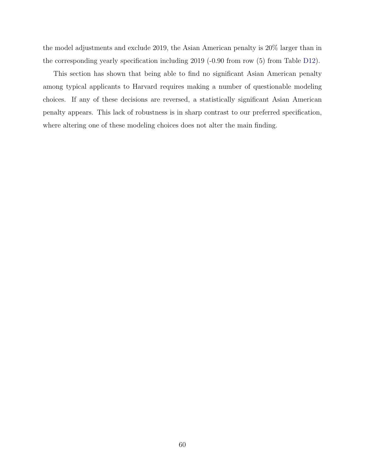the model adjustments and exclude 2019, the Asian American penalty is 20% larger than in the corresponding yearly specification including 2019 (-0.90 from row (5) from Table [D12\)](#page-73-1).

This section has shown that being able to find no significant Asian American penalty among typical applicants to Harvard requires making a number of questionable modeling choices. If any of these decisions are reversed, a statistically significant Asian American penalty appears. This lack of robustness is in sharp contrast to our preferred specification, where altering one of these modeling choices does not alter the main finding.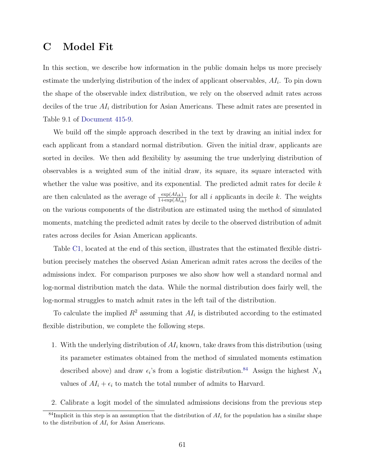## <span id="page-60-0"></span>C Model Fit

In this section, we describe how information in the public domain helps us more precisely estimate the underlying distribution of the index of applicant observables,  $AI_i$ . To pin down the shape of the observable index distribution, we rely on the observed admit rates across deciles of the true  $AI_i$  distribution for Asian Americans. These admit rates are presented in Table 9.1 of [Document 415-9.](#page-37-0)

We build off the simple approach described in the text by drawing an initial index for each applicant from a standard normal distribution. Given the initial draw, applicants are sorted in deciles. We then add flexibility by assuming the true underlying distribution of observables is a weighted sum of the initial draw, its square, its square interacted with whether the value was positive, and its exponential. The predicted admit rates for decile  $k$ are then calculated as the average of  $\frac{\exp(AI_{ik})}{1+\exp(AI_{ik})}$  for all i applicants in decile k. The weights on the various components of the distribution are estimated using the method of simulated moments, matching the predicted admit rates by decile to the observed distribution of admit rates across deciles for Asian American applicants.

Table [C1,](#page-62-1) located at the end of this section, illustrates that the estimated flexible distribution precisely matches the observed Asian American admit rates across the deciles of the admissions index. For comparison purposes we also show how well a standard normal and log-normal distribution match the data. While the normal distribution does fairly well, the log-normal struggles to match admit rates in the left tail of the distribution.

To calculate the implied  $R^2$  assuming that  $AI_i$  is distributed according to the estimated flexible distribution, we complete the following steps.

- 1. With the underlying distribution of  $AI<sub>i</sub>$  known, take draws from this distribution (using its parameter estimates obtained from the method of simulated moments estimation described above) and draw  $\epsilon_i$ 's from a logistic distribution.<sup>[84](#page-60-1)</sup> Assign the highest  $N_A$ values of  $AI_i + \epsilon_i$  to match the total number of admits to Harvard.
- 2. Calibrate a logit model of the simulated admissions decisions from the previous step

<span id="page-60-1"></span> $84$ Implicit in this step is an assumption that the distribution of  $AI<sub>i</sub>$  for the population has a similar shape to the distribution of  $AI<sub>i</sub>$  for Asian Americans.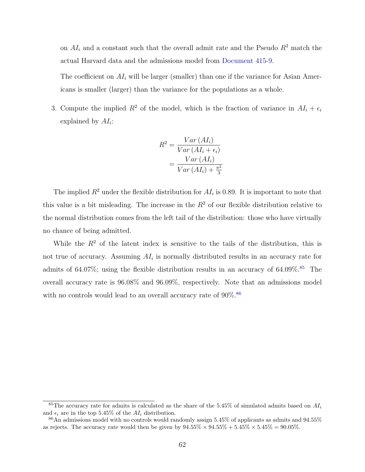<span id="page-61-0"></span>on  $AI_i$  and a constant such that the overall admit rate and the Pseudo  $R^2$  match the actual Harvard data and the admissions model from [Document 415-9.](#page-37-0)

The coefficient on  $AI_i$  will be larger (smaller) than one if the variance for Asian Americans is smaller (larger) than the variance for the populations as a whole.

3. Compute the implied  $R^2$  of the model, which is the fraction of variance in  $AI_i + \epsilon_i$ explained by  $AI_i$ :

$$
R^{2} = \frac{Var (AI_{i})}{Var (AI_{i} + \epsilon_{i})}
$$

$$
= \frac{Var (AI_{i})}{Var (AI_{i}) + \frac{\pi^{2}}{3}}
$$

The implied  $R^2$  under the flexible distribution for  $AI_i$  is 0.89. It is important to note that this value is a bit misleading. The increase in the  $R<sup>2</sup>$  of our flexible distribution relative to the normal distribution comes from the left tail of the distribution: those who have virtually no chance of being admitted.

While the  $R^2$  of the latent index is sensitive to the tails of the distribution, this is not true of accuracy. Assuming  $AI_i$  is normally distributed results in an accuracy rate for admits of 64.07%; using the flexible distribution results in an accuracy of  $64.09\%$ .<sup>[85](#page-61-1)</sup> The overall accuracy rate is 96.08% and 96.09%, respectively. Note that an admissions model with no controls would lead to an overall accuracy rate of  $90\%$ .<sup>[86](#page-61-2)</sup>

<span id="page-61-1"></span><sup>&</sup>lt;sup>85</sup>The accuracy rate for admits is calculated as the share of the 5.45% of simulated admits based on  $AI_i$ and  $\epsilon_i$  are in the top 5.45% of the  $AI_i$  distribution.

<span id="page-61-2"></span> $86$ An admissions model with no controls would randomly assign 5.45% of applicants as admits and 94.55% as rejects. The accuracy rate would then be given by  $94.55\% \times 94.55\% + 5.45\% \times 5.45\% = 90.05\%$ .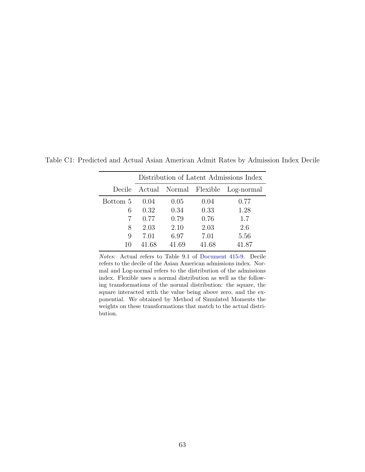|          | Distribution of Latent Admissions Index |                               |       |            |  |  |  |
|----------|-----------------------------------------|-------------------------------|-------|------------|--|--|--|
|          |                                         | Decile Actual Normal Flexible |       | Log-normal |  |  |  |
| Bottom 5 | 0.04                                    | 0.05                          | 0.04  | 0.77       |  |  |  |
| 6        | 0.32                                    | 0.34                          | 0.33  | 1.28       |  |  |  |
|          | 0.77                                    | 0.79                          | 0.76  | 1.7        |  |  |  |
| 8        | 2.03                                    | 2.10                          | 2.03  | 2.6        |  |  |  |
| 9        | 7.01                                    | 6.97                          | 7.01  | 5.56       |  |  |  |
| 10       | 41.68                                   | 41.69                         | 41.68 | 41.87      |  |  |  |

<span id="page-62-1"></span><span id="page-62-0"></span>Table C1: Predicted and Actual Asian American Admit Rates by Admission Index Decile

Notes: Actual refers to Table 9.1 of [Document 415-9.](#page-37-0) Decile refers to the decile of the Asian American admissions index. Normal and Log-normal refers to the distribution of the admissions index. Flexible uses a normal distribution as well as the following transformations of the normal distribution: the square, the square interacted with the value being above zero, and the exponential. We obtained by Method of Simulated Moments the weights on these transformations that match to the actual distribution.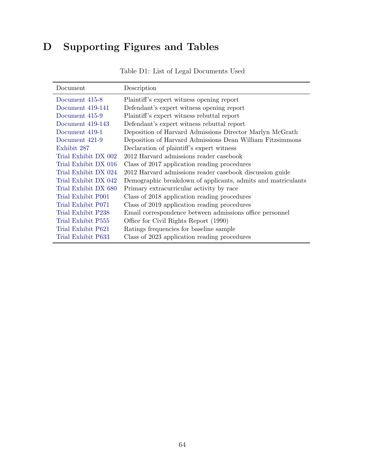# <span id="page-63-0"></span>D Supporting Figures and Tables

| Document             | Description                                                  |
|----------------------|--------------------------------------------------------------|
| Document 415-8       | Plaintiff's expert witness opening report                    |
| Document 419-141     | Defendant's expert witness opening report                    |
| Document 415-9       | Plaintiff's expert witness rebuttal report                   |
| Document 419-143     | Defendant's expert witness rebuttal report                   |
| Document 419-1       | Deposition of Harvard Admissions Director Marlyn McGrath     |
| Document 421-9       | Deposition of Harvard Admissions Dean William Fitzsimmons    |
| Exhibit 287          | Declaration of plaintiff's expert witness                    |
| Trial Exhibit DX 002 | 2012 Harvard admissions reader casebook                      |
| Trial Exhibit DX 016 | Class of 2017 application reading procedures                 |
| Trial Exhibit DX 024 | 2012 Harvard admissions reader casebook discussion guide     |
| Trial Exhibit DX 042 | Demographic breakdown of applicants, admits and matriculants |
| Trial Exhibit DX 680 | Primary extracurricular activity by race                     |
| Trial Exhibit P001   | Class of 2018 application reading procedures                 |
| Trial Exhibit P071   | Class of 2019 application reading procedures                 |
| Trial Exhibit P238   | Email correspondence between admissions office personnel     |
| Trial Exhibit P555   | Office for Civil Rights Report (1990)                        |
| Trial Exhibit P621   | Ratings frequencies for baseline sample                      |
| Trial Exhibit P633   | Class of 2023 application reading procedures                 |

Table D1: List of Legal Documents Used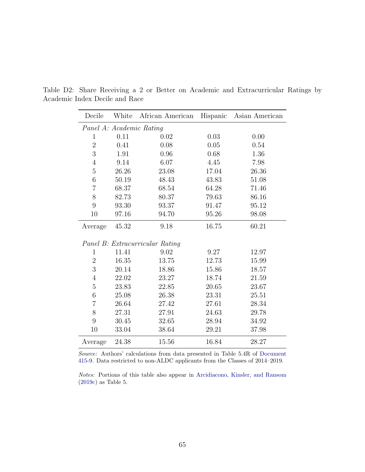| Decile                   | White | African American                | Hispanic | Asian American |  |  |
|--------------------------|-------|---------------------------------|----------|----------------|--|--|
| Panel A: Academic Rating |       |                                 |          |                |  |  |
| $\mathbf{1}$             | 0.11  | 0.02                            | 0.03     | 0.00           |  |  |
| $\overline{2}$           | 0.41  | 0.08                            | 0.05     | 0.54           |  |  |
| 3                        | 1.91  | 0.96                            | 0.68     | 1.36           |  |  |
| $\overline{4}$           | 9.14  | 6.07                            | 4.45     | 7.98           |  |  |
| $\overline{5}$           | 26.26 | 23.08                           | 17.04    | 26.36          |  |  |
| 6                        | 50.19 | 48.43                           | 43.83    | 51.08          |  |  |
| $\overline{7}$           | 68.37 | 68.54                           | 64.28    | 71.46          |  |  |
| 8                        | 82.73 | 80.37                           | 79.63    | 86.16          |  |  |
| 9                        | 93.30 | 93.37                           | 91.47    | 95.12          |  |  |
| 10                       | 97.16 | 94.70                           | 95.26    | 98.08          |  |  |
| Average                  | 45.32 | 9.18                            | 16.75    | 60.21          |  |  |
|                          |       | Panel B: Extracurricular Rating |          |                |  |  |
| $\mathbf{1}$             | 11.41 | 9.02                            | 9.27     | 12.97          |  |  |
| $\sqrt{2}$               | 16.35 | 13.75                           | 12.73    | 15.99          |  |  |
| 3                        | 20.14 | 18.86                           | 15.86    | 18.57          |  |  |
| $\overline{4}$           | 22.02 | 23.27                           | 18.74    | 21.59          |  |  |
| $\bf 5$                  | 23.83 | 22.85                           | 20.65    | 23.67          |  |  |
| $\,6$                    | 25.08 | 26.38                           | 23.31    | 25.51          |  |  |
| $\overline{7}$           | 26.64 | 27.42                           | 27.61    | 28.34          |  |  |
| 8                        | 27.31 | 27.91                           | 24.63    | 29.78          |  |  |
| 9                        | 30.45 | 32.65                           | 28.94    | 34.92          |  |  |
| 10                       | 33.04 | 38.64                           | 29.21    | 37.98          |  |  |
| Average                  | 24.38 | 15.56                           | 16.84    | 28.27          |  |  |

Ĭ.

<span id="page-64-0"></span>Table D2: Share Receiving a 2 or Better on Academic and Extracurricular Ratings by Academic Index Decile and Race

Source: Authors' calculations from data presented in Table 5.4R of [Document](#page-37-0) [415-9.](#page-37-0) Data restricted to non-ALDC applicants from the Classes of 2014–2019.

Notes: Portions of this table also appear in [Arcidiacono, Kinsler, and Ransom](#page-36-1) [\(2019c\)](#page-36-1) as Table 5.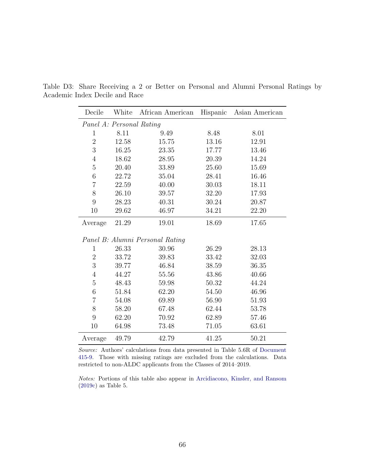| Decile                   | White | African American                | Hispanic | Asian American |
|--------------------------|-------|---------------------------------|----------|----------------|
| Panel A: Personal Rating |       |                                 |          |                |
| 1                        | 8.11  | 9.49                            | 8.48     | 8.01           |
| $\overline{2}$           | 12.58 | 15.75                           | 13.16    | 12.91          |
| 3                        | 16.25 | 23.35                           | 17.77    | 13.46          |
| $\overline{4}$           | 18.62 | 28.95                           | 20.39    | 14.24          |
| $\overline{5}$           | 20.40 | 33.89                           | 25.60    | 15.69          |
| $\,6$                    | 22.72 | 35.04                           | 28.41    | 16.46          |
| $\overline{7}$           | 22.59 | 40.00                           | 30.03    | 18.11          |
| 8                        | 26.10 | 39.57                           | 32.20    | 17.93          |
| 9                        | 28.23 | 40.31                           | 30.24    | 20.87          |
| 10                       | 29.62 | 46.97                           | 34.21    | 22.20          |
| Average                  | 21.29 | 19.01                           | 18.69    | 17.65          |
|                          |       | Panel B: Alumni Personal Rating |          |                |
| $\mathbf{1}$             | 26.33 | 30.96                           | 26.29    | 28.13          |
| $\overline{2}$           | 33.72 | 39.83                           | 33.42    | 32.03          |
| 3                        | 39.77 | 46.84                           | 38.59    | 36.35          |
| $\overline{4}$           | 44.27 | 55.56                           | 43.86    | 40.66          |
| $\overline{5}$           | 48.43 | 59.98                           | 50.32    | 44.24          |
| $\overline{6}$           | 51.84 | 62.20                           | 54.50    | 46.96          |
| $\overline{7}$           | 54.08 | 69.89                           | 56.90    | 51.93          |
| 8                        | 58.20 | 67.48                           | 62.44    | 53.78          |
| 9                        | 62.20 | 70.92                           | 62.89    | 57.46          |
| 10                       | 64.98 | 73.48                           | 71.05    | 63.61          |
| Average                  | 49.79 | 42.79                           | 41.25    | 50.21          |

<span id="page-65-0"></span>Table D3: Share Receiving a 2 or Better on Personal and Alumni Personal Ratings by Academic Index Decile and Race

Source: Authors' calculations from data presented in Table 5.6R of [Document](#page-37-0) [415-9.](#page-37-0) Those with missing ratings are excluded from the calculations. Data restricted to non-ALDC applicants from the Classes of 2014–2019.

Notes: Portions of this table also appear in [Arcidiacono, Kinsler, and Ransom](#page-36-1) [\(2019c\)](#page-36-1) as Table 5.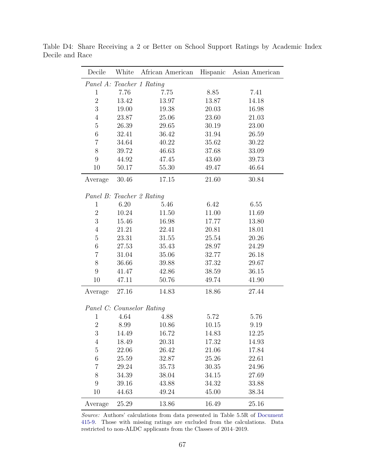| Decile         | White | African American          | Hispanic | Asian American |
|----------------|-------|---------------------------|----------|----------------|
|                |       | Panel A: Teacher 1 Rating |          |                |
| 1              | 7.76  | 7.75                      | 8.85     | 7.41           |
| $\overline{2}$ | 13.42 | 13.97                     | 13.87    | 14.18          |
| 3              | 19.00 | 19.38                     | 20.03    | 16.98          |
| $\overline{4}$ | 23.87 | 25.06                     | 23.60    | 21.03          |
| $\overline{5}$ | 26.39 | 29.65                     | 30.19    | 23.00          |
| $\,6$          | 32.41 | 36.42                     | 31.94    | 26.59          |
| 7              | 34.64 | 40.22                     | 35.62    | 30.22          |
| 8              | 39.72 | 46.63                     | 37.68    | 33.09          |
| 9              | 44.92 | 47.45                     | 43.60    | 39.73          |
| 10             | 50.17 | 55.30                     | 49.47    | 46.64          |
| Average        | 30.46 | 17.15                     | 21.60    | 30.84          |
|                |       | Panel B: Teacher 2 Rating |          |                |
| 1              | 6.20  | 5.46                      | 6.42     | 6.55           |
| $\overline{2}$ | 10.24 | 11.50                     | 11.00    | 11.69          |
| 3              | 15.46 | 16.98                     | 17.77    | 13.80          |
| $\overline{4}$ | 21.21 | 22.41                     | 20.81    | 18.01          |
| $\overline{5}$ | 23.31 | 31.55                     | 25.54    | 20.26          |
| 6              | 27.53 | 35.43                     | 28.97    | 24.29          |
| 7              | 31.04 | 35.06                     | 32.77    | 26.18          |
| 8              | 36.66 | 39.88                     | 37.32    | 29.67          |
| 9              | 41.47 | 42.86                     | 38.59    | 36.15          |
| 10             | 47.11 | 50.76                     | 49.74    | 41.90          |
| Average        | 27.16 | 14.83                     | 18.86    | 27.44          |
|                |       | Panel C: Counselor Rating |          |                |
| $\mathbf{1}$   | 4.64  | 4.88                      | 5.72     | 5.76           |
| $\overline{2}$ | 8.99  | 10.86                     | 10.15    | 9.19           |
| 3              | 14.49 | 16.72                     | 14.83    | 12.25          |
| $\overline{4}$ | 18.49 | 20.31                     | 17.32    | 14.93          |
| $\bf 5$        | 22.06 | 26.42                     | 21.06    | 17.84          |
| 6              | 25.59 | 32.87                     | 25.26    | 22.61          |
| $\overline{7}$ | 29.24 | 35.73                     | 30.35    | 24.96          |
| 8              | 34.39 | 38.04                     | 34.15    | 27.69          |
| 9              | 39.16 | 43.88                     | 34.32    | 33.88          |
| 10             | 44.63 | 49.24                     | 45.00    | 38.34          |
| Average        | 25.29 | 13.86                     | 16.49    | 25.16          |

<span id="page-66-0"></span>Table D4: Share Receiving a 2 or Better on School Support Ratings by Academic Index Decile and Race

Source: Authors' calculations from data presented in Table 5.5R of [Document](#page-37-0) [415-9.](#page-37-0) Those with missing ratings are excluded from the calculations. Data restricted to non-ALDC applicants from the Classes of 2014–2019.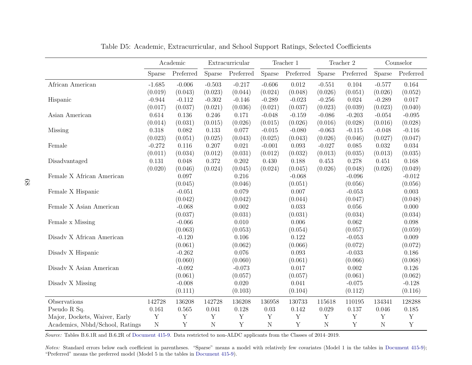<span id="page-67-1"></span><span id="page-67-0"></span>

|                                        | Academic<br>Extracurricular |             |               | Teacher 1   |             | Teacher 2 |             | Counselor   |                |             |
|----------------------------------------|-----------------------------|-------------|---------------|-------------|-------------|-----------|-------------|-------------|----------------|-------------|
|                                        | Sparse                      | Preferred   | <b>Sparse</b> | Preferred   | Sparse      | Preferred | Sparse      | Preferred   | Sparse         | Preferred   |
| African American                       | $-1.685$                    | $-0.006$    | $-0.503$      | $-0.217$    | $-0.606$    | 0.012     | $-0.551$    | 0.104       | $-0.577$       | 0.164       |
|                                        | (0.019)                     | (0.043)     | (0.023)       | (0.044)     | (0.024)     | (0.048)   | (0.026)     | (0.051)     | (0.026)        | (0.052)     |
| Hispanic                               | $-0.944$                    | $-0.112$    | $-0.302$      | $-0.146$    | $-0.289$    | $-0.023$  | $-0.256$    | 0.024       | $-0.289$       | 0.017       |
|                                        | (0.017)                     | (0.037)     | (0.021)       | (0.036)     | (0.021)     | (0.037)   | (0.023)     | (0.039)     | (0.023)        | (0.040)     |
| Asian American                         | 0.614                       | 0.136       | 0.246         | 0.171       | $-0.048$    | $-0.159$  | $-0.086$    | $-0.203$    | $-0.054$       | $-0.095$    |
|                                        | (0.014)                     | (0.031)     | (0.015)       | (0.026)     | (0.015)     | (0.026)   | (0.016)     | (0.028)     | (0.016)        | (0.028)     |
| Missing                                | 0.318                       | 0.082       | 0.133         | 0.077       | $-0.015$    | $-0.080$  | $-0.063$    | $-0.115$    | $-0.048$       | $-0.116$    |
|                                        | (0.023)                     | (0.051)     | (0.025)       | (0.043)     | (0.025)     | (0.043)   | (0.026)     | (0.046)     | (0.027)        | (0.047)     |
| Female                                 | $-0.272$                    | 0.116       | 0.207         | 0.021       | $-0.001$    | 0.093     | $-0.027$    | 0.085       | 0.032          | 0.034       |
|                                        | (0.011)                     | (0.034)     | (0.012)       | (0.031)     | (0.012)     | (0.032)   | (0.013)     | (0.035)     | (0.013)        | (0.035)     |
| Disadvantaged                          | 0.131                       | 0.048       | 0.372         | 0.202       | 0.430       | 0.188     | 0.453       | 0.278       | 0.451          | 0.168       |
|                                        | (0.020)                     | (0.046)     | (0.024)       | (0.045)     | (0.024)     | (0.045)   | (0.026)     | (0.048)     | (0.026)        | (0.049)     |
| Female X African American              |                             | 0.097       |               | 0.216       |             | $-0.068$  |             | $-0.096$    |                | $-0.012$    |
|                                        |                             | (0.045)     |               | (0.046)     |             | (0.051)   |             | (0.056)     |                | (0.056)     |
| Female X Hispanic                      |                             | $-0.051$    |               | 0.079       |             | 0.007     |             | $-0.053$    |                | 0.003       |
|                                        |                             | (0.042)     |               | (0.042)     |             | (0.044)   |             | (0.047)     |                | (0.048)     |
| Female X Asian American                |                             | $-0.068$    |               | 0.002       |             | 0.033     |             | 0.056       |                | 0.000       |
|                                        |                             | (0.037)     |               | (0.031)     |             | (0.031)   |             | (0.034)     |                | (0.034)     |
| Female x Missing                       |                             | $-0.066$    |               | 0.010       |             | 0.006     |             | 0.062       |                | 0.098       |
|                                        |                             | (0.063)     |               | (0.053)     |             | (0.054)   |             | (0.057)     |                | (0.059)     |
| Disadv X African American              |                             | $-0.120$    |               | 0.106       |             | 0.122     |             | $-0.053$    |                | 0.009       |
|                                        |                             | (0.061)     |               | (0.062)     |             | (0.066)   |             | (0.072)     |                | (0.072)     |
| $\bold{Di}$ Disadv $\bold{X}$ Hispanic |                             | $-0.262$    |               | 0.076       |             | 0.093     |             | $-0.033$    |                | 0.186       |
|                                        |                             | (0.060)     |               | (0.060)     |             | (0.061)   |             | (0.066)     |                | (0.068)     |
| Disadv X Asian American                |                             | $-0.092$    |               | $-0.073$    |             | 0.017     |             | 0.002       |                | 0.126       |
|                                        |                             | (0.061)     |               | (0.057)     |             | (0.057)   |             | (0.061)     |                | (0.062)     |
| Disadv X Missing                       |                             | $-0.008$    |               | 0.020       |             | 0.041     |             | $-0.075$    |                | $-0.128$    |
|                                        |                             | (0.111)     |               | (0.103)     |             | (0.104)   |             | (0.112)     |                | (0.116)     |
| Observations                           | 142728                      | 136208      | 142728        | 136208      | 136958      | 130733    | 115618      | 110195      | 134341         | 128288      |
| Pseudo R Sq.                           | 0.161                       | 0.565       | 0.041         | 0.128       | 0.03        | 0.142     | 0.029       | 0.137       | 0.046          | 0.185       |
| Major, Dockets, Waiver, Early          | $\mathbf Y$                 | $\mathbf Y$ | Y             | Y           | $\mathbf Y$ | Y         | $\mathbf Y$ | Y           | Y              | $\mathbf Y$ |
| Academics, Nbhd/School, Ratings        | $\mathbf N$                 | Y           | $\mathbf N$   | $\mathbf Y$ | $\mathbf N$ | Y         | $\mathbf N$ | $\mathbf Y$ | $\overline{N}$ | Y           |

Table D5: Academic, Extracurricular, and School Support Ratings, Selected Coefficients

Source: Tables B.6.1R and B.6.2R of [Document](#page-37-1) 415-9. Data restricted to non-ALDC applicants from the Classes of 2014–2019.

Notes: Standard errors below each coefficient in parentheses. "Sparse" means a model with relatively few covariates (Model 1 in the tables in [Document](#page-37-1) 415-9); "Preferred" means the preferred model (Model <sup>5</sup> in the tables in [Document](#page-37-1) 415-9).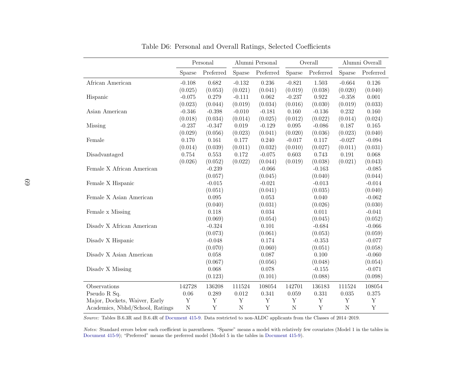<span id="page-68-0"></span>

|                                 |             | Personal  |           | Alumni Personal |             | Overall   | Alumni Overall |           |
|---------------------------------|-------------|-----------|-----------|-----------------|-------------|-----------|----------------|-----------|
|                                 | Sparse      | Preferred | Sparse    | Preferred       | Sparse      | Preferred | Sparse         | Preferred |
| African American                | $-0.108$    | 0.682     | $-0.132$  | 0.236           | $-0.821$    | 1.503     | $-0.664$       | 0.126     |
|                                 | (0.025)     | (0.053)   | (0.021)   | (0.041)         | (0.019)     | (0.038)   | (0.020)        | (0.040)   |
| Hispanic                        | $-0.075$    | 0.279     | $-0.111$  | 0.062           | $-0.237$    | 0.922     | $-0.358$       | $0.001\,$ |
|                                 | (0.023)     | (0.044)   | (0.019)   | (0.034)         | (0.016)     | (0.030)   | (0.019)        | (0.033)   |
| Asian American                  | $-0.346$    | $-0.398$  | $-0.010$  | $-0.181$        | 0.160       | $-0.136$  | 0.232          | 0.160     |
|                                 | (0.018)     | (0.034)   | (0.014)   | (0.025)         | (0.012)     | (0.022)   | (0.014)        | (0.024)   |
| Missing                         | $-0.237$    | $-0.347$  | 0.019     | $-0.129$        | $0.095\,$   | $-0.086$  | 0.187          | 0.165     |
|                                 | (0.029)     | (0.056)   | (0.023)   | (0.041)         | (0.020)     | (0.036)   | (0.023)        | (0.040)   |
| Female                          | 0.170       | 0.161     | $0.177\,$ | 0.240           | $-0.017$    | 0.117     | $-0.027$       | $-0.094$  |
|                                 | (0.014)     | (0.039)   | (0.011)   | (0.032)         | (0.010)     | (0.027)   | (0.011)        | (0.031)   |
| Disadvantaged                   | 0.754       | 0.553     | 0.172     | $-0.075$        | 0.603       | 0.743     | 0.191          | 0.068     |
|                                 | (0.026)     | (0.052)   | (0.022)   | (0.044)         | (0.019)     | (0.038)   | (0.021)        | (0.043)   |
| Female X African American       |             | $-0.239$  |           | $-0.066$        |             | $-0.163$  |                | $-0.085$  |
|                                 |             | (0.057)   |           | (0.045)         |             | (0.040)   |                | (0.044)   |
| Female X Hispanic               |             | $-0.015$  |           | $-0.021$        |             | $-0.013$  |                | $-0.014$  |
|                                 |             | (0.051)   |           | (0.041)         |             | (0.035)   |                | (0.040)   |
| Female X Asian American         |             | 0.095     |           | 0.053           |             | 0.040     |                | $-0.062$  |
|                                 |             | (0.040)   |           | (0.031)         |             | (0.026)   |                | (0.030)   |
| Female x Missing                |             | 0.118     |           | 0.034           |             | 0.011     |                | $-0.041$  |
|                                 |             | (0.069)   |           | (0.054)         |             | (0.045)   |                | (0.052)   |
| Disadv X African American       |             | $-0.324$  |           | 0.101           |             | $-0.684$  |                | $-0.066$  |
|                                 |             | (0.073)   |           | (0.061)         |             | (0.053)   |                | (0.059)   |
| Disadv X Hispanic               |             | $-0.048$  |           | 0.174           |             | $-0.353$  |                | $-0.077$  |
|                                 |             | (0.070)   |           | (0.060)         |             | (0.051)   |                | (0.058)   |
| Disadv X Asian American         |             | 0.058     |           | 0.087           |             | 0.100     |                | $-0.060$  |
|                                 |             | (0.067)   |           | (0.056)         |             | (0.048)   |                | (0.054)   |
| Disadv X Missing                |             | 0.068     |           | 0.078           |             | $-0.155$  |                | $-0.071$  |
|                                 |             | (0.123)   |           | (0.101)         |             | (0.088)   |                | (0.098)   |
| Observations                    | 142728      | 136208    | 111524    | 108054          | 142701      | 136183    | 111524         | 108054    |
| Pseudo R Sq.                    | $0.06\,$    | 0.289     | $0.012\,$ | 0.341           | 0.059       | 0.331     | 0.035          | $0.375\,$ |
| Major, Dockets, Waiver, Early   | Y           | Y         | Y         | Y               | $\mathbf Y$ | Y         | Y              | Y         |
| Academics, Nbhd/School, Ratings | $\mathbf N$ | Y         | ${\rm N}$ | Y               | ${\rm N}$   | Y         | $\overline{N}$ | Y         |

<span id="page-68-1"></span>Table D6: Personal and Overall Ratings, Selected Coefficients

Source: Tables B.6.3R and B.6.4R of [Document](#page-37-1) 415-9. Data restricted to non-ALDC applicants from the Classes of 2014–2019.

Notes: Standard errors below each coefficient in parentheses. "Sparse" means <sup>a</sup> model with relatively few covariates (Model <sup>1</sup> in the tables in[Document](#page-37-1) 415-9); "Preferred" means the preferred model (Model <sup>5</sup> in the tables in [Document](#page-37-1) 415-9).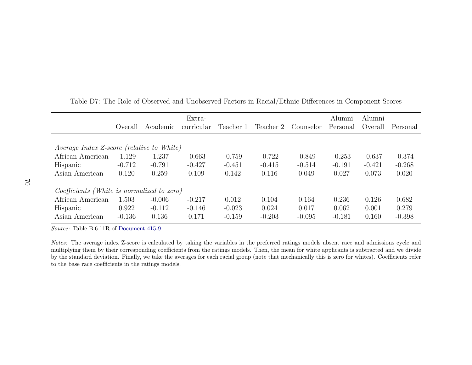|                                            |                     |          | Extra-     |           |           |           | Alumni   | Alumni              |          |
|--------------------------------------------|---------------------|----------|------------|-----------|-----------|-----------|----------|---------------------|----------|
|                                            | ( <i>c</i> ) verall | Academic | curricular | Teacher 1 | Teacher 2 | Counselor | Personal | ( <i>c</i> ) verall | Personal |
|                                            |                     |          |            |           |           |           |          |                     |          |
| Average Index Z-score (relative to White)  |                     |          |            |           |           |           |          |                     |          |
| African American                           | $-1.129$            | $-1.237$ | $-0.663$   | $-0.759$  | $-0.722$  | $-0.849$  | $-0.253$ | $-0.637$            | $-0.374$ |
| Hispanic                                   | $-0.712$            | $-0.791$ | $-0.427$   | $-0.451$  | $-0.415$  | $-0.514$  | $-0.191$ | $-0.421$            | $-0.268$ |
| Asian American                             | 0.120               | 0.259    | 0.109      | 0.142     | 0.116     | 0.049     | 0.027    | 0.073               | 0.020    |
| Coefficients (White is normalized to zero) |                     |          |            |           |           |           |          |                     |          |
| African American                           | 1.503               | $-0.006$ | $-0.217$   | 0.012     | 0.104     | 0.164     | 0.236    | 0.126               | 0.682    |
| Hispanic                                   | 0.922               | $-0.112$ | $-0.146$   | $-0.023$  | 0.024     | 0.017     | 0.062    | 0.001               | 0.279    |
| Asian American                             | $-0.136$            | 0.136    | 0.171      | $-0.159$  | $-0.203$  | $-0.095$  | $-0.181$ | 0.160               | $-0.398$ |

<span id="page-69-0"></span>Table D7: The Role of Observed and Unobserved Factors in Racial/Ethnic Differences in Component Scores

Source: Table B.6.11R of [Document](#page-37-1) 415-9.

Notes: The average index Z-score is calculated by taking the variables in the preferred ratings models absent race and admissions cycle and multiplying them by their corresponding coefficients from the ratings models. Then, the mean for white applicants is subtracted and we divide by the standard deviation. Finally, we take the averages for each racial group (note that mechanically this is zero for whites). Coefficients referto the base race coefficients in the ratings models.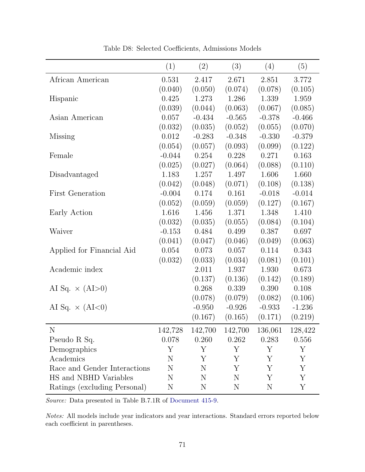<span id="page-70-0"></span>

|                              | (1)      | (2)         | (3)      | (4)      | (5)      |
|------------------------------|----------|-------------|----------|----------|----------|
| African American             | 0.531    | 2.417       | 2.671    | 2.851    | 3.772    |
|                              | (0.040)  | (0.050)     | (0.074)  | (0.078)  | (0.105)  |
| Hispanic                     | 0.425    | 1.273       | 1.286    | 1.339    | 1.959    |
|                              | (0.039)  | (0.044)     | (0.063)  | (0.067)  | (0.085)  |
| Asian American               | 0.057    | $-0.434$    | $-0.565$ | $-0.378$ | $-0.466$ |
|                              | (0.032)  | (0.035)     | (0.052)  | (0.055)  | (0.070)  |
| <b>Missing</b>               | 0.012    | $-0.283$    | $-0.348$ | $-0.330$ | $-0.379$ |
|                              | (0.054)  | (0.057)     | (0.093)  | (0.099)  | (0.122)  |
| Female                       | $-0.044$ | 0.254       | 0.228    | 0.271    | 0.163    |
|                              | (0.025)  | (0.027)     | (0.064)  | (0.088)  | (0.110)  |
| Disadvantaged                | 1.183    | 1.257       | 1.497    | 1.606    | 1.660    |
|                              | (0.042)  | (0.048)     | (0.071)  | (0.108)  | (0.138)  |
| <b>First Generation</b>      | $-0.004$ | 0.174       | 0.161    | $-0.018$ | $-0.014$ |
|                              | (0.052)  | (0.059)     | (0.059)  | (0.127)  | (0.167)  |
| Early Action                 | 1.616    | 1.456       | 1.371    | 1.348    | 1.410    |
|                              | (0.032)  | (0.035)     | (0.055)  | (0.084)  | (0.104)  |
| Waiver                       | $-0.153$ | 0.484       | 0.499    | 0.387    | 0.697    |
|                              | (0.041)  | (0.047)     | (0.046)  | (0.049)  | (0.063)  |
| Applied for Financial Aid    | 0.054    | 0.073       | 0.057    | 0.114    | 0.343    |
|                              | (0.032)  | (0.033)     | (0.034)  | (0.081)  | (0.101)  |
| Academic index               |          | 2.011       | 1.937    | 1.930    | 0.673    |
|                              |          | (0.137)     | (0.136)  | (0.142)  | (0.189)  |
| AI Sq. $\times$ (AI > 0)     |          | 0.268       | 0.339    | 0.390    | 0.108    |
|                              |          | (0.078)     | (0.079)  | (0.082)  | (0.106)  |
| AI Sq. $\times$ (AI<0)       |          | $-0.950$    | $-0.926$ | $-0.933$ | $-1.236$ |
|                              |          | (0.167)     | (0.165)  | (0.171)  | (0.219)  |
| N                            | 142,728  | 142,700     | 142,700  | 136,061  | 128,422  |
| Pseudo R Sq.                 | 0.078    | 0.260       | 0.262    | 0.283    | 0.556    |
| Demographics                 | Υ        | Y           | Y        | Y        | Y        |
| Academics                    | N        | Υ           | Υ        | Υ        | Υ        |
| Race and Gender Interactions | N        | N           | Υ        | Y        | Υ        |
| HS and NBHD Variables        | N        | $\mathbf N$ | N        | Y        | Y        |
| Ratings (excluding Personal) | N        | N           | N        | N        | Υ        |

Table D8: Selected Coefficients, Admissions Models

Source: Data presented in Table B.7.1R of [Document 415-9.](#page-37-0)

Notes: All models include year indicators and year interactions. Standard errors reported below each coefficient in parentheses.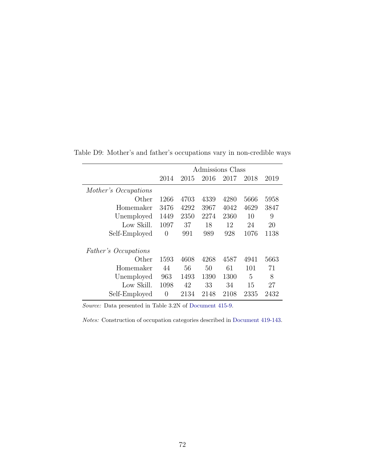|                      | Admissions Class |      |      |      |      |      |  |  |  |
|----------------------|------------------|------|------|------|------|------|--|--|--|
|                      | 2014             | 2015 | 2016 | 2017 | 2018 | 2019 |  |  |  |
| Mother's Occupations |                  |      |      |      |      |      |  |  |  |
| Other                | 1266             | 4703 | 4339 | 4280 | 5666 | 5958 |  |  |  |
| Homemaker            | 3476             | 4292 | 3967 | 4042 | 4629 | 3847 |  |  |  |
| Unemployed           | 1449             | 2350 | 2274 | 2360 | 10   | 9    |  |  |  |
| Low Skill.           | 1097             | 37   | 18   | 12   | 24   | 20   |  |  |  |
| Self-Employed        | 0                | 991  | 989  | 928  | 1076 | 1138 |  |  |  |
| Father's Occupations |                  |      |      |      |      |      |  |  |  |
| Other                | 1593             | 4608 | 4268 | 4587 | 4941 | 5663 |  |  |  |
| Homemaker            | 44               | 56   | 50   | 61   | 101  | 71   |  |  |  |
| Unemployed           | 963              | 1493 | 1390 | 1300 | 5    | 8    |  |  |  |
| Low Skill.           | 1098             | 42   | 33   | 34   | 15   | 27   |  |  |  |
| Self-Employed        | $\theta$         | 2134 | 2148 | 2108 | 2335 | 2432 |  |  |  |

<span id="page-71-1"></span><span id="page-71-0"></span>Table D9: Mother's and father's occupations vary in non-credible ways

Source: Data presented in Table 3.2N of [Document 415-9.](#page-37-0)

Notes: Construction of occupation categories described in [Document 419-143.](#page-37-5)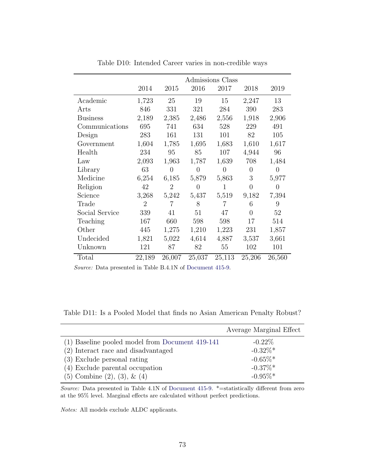|                 | Admissions Class |                |                |                |                |          |
|-----------------|------------------|----------------|----------------|----------------|----------------|----------|
|                 | 2014             | 2015           | 2016           | 2017           | 2018           | 2019     |
| Academic        | 1,723            | 25             | 19             | 15             | 2,247          | 13       |
| Arts            | 846              | 331            | 321            | 284            | 390            | 283      |
| <b>Business</b> | 2,189            | 2,385          | 2,486          | 2,556          | 1,918          | 2,906    |
| Communications  | 695              | 741            | 634            | 528            | 229            | 491      |
| Design          | 283              | 161            | 131            | 101            | 82             | 105      |
| Government      | 1,604            | 1,785          | 1,695          | 1,683          | 1,610          | 1,617    |
| Health          | 234              | 95             | 85             | 107            | 4,944          | 96       |
| Law             | 2,093            | 1,963          | 1,787          | 1,639          | 708            | 1,484    |
| Library         | 63               | $\overline{0}$ | $\overline{0}$ | $\overline{0}$ | $\overline{0}$ | 0        |
| Medicine        | 6,254            | 6,185          | 5,879          | 5,863          | 3              | 5,977    |
| Religion        | 42               | $\overline{2}$ | $\theta$       | 1              | $\overline{0}$ | $\theta$ |
| Science         | 3,268            | 5,242          | 5,437          | 5,519          | 9,182          | 7,394    |
| Trade           | $\overline{2}$   | $\overline{7}$ | 8              | 7              | 6              | 9        |
| Social Service  | 339              | 41             | 51             | 47             | $\overline{0}$ | 52       |
| Teaching        | 167              | 660            | 598            | 598            | 17             | 514      |
| Other           | 445              | 1,275          | 1,210          | 1,223          | 231            | 1,857    |
| Undecided       | 1,821            | 5,022          | 4,614          | 4,887          | 3,537          | 3,661    |
| Unknown         | 121              | 87             | 82             | 55             | 102            | 101      |
| Total           | 22,189           | 26,007         | 25,037         | 25,113         | 25,206         | 26,560   |

Table D10: Intended Career varies in non-credible ways

Source: Data presented in Table B.4.1N of [Document 415-9.](#page-37-0)

Table D11: Is a Pooled Model that finds no Asian American Penalty Robust?

|                                                 | Average Marginal Effect |
|-------------------------------------------------|-------------------------|
| (1) Baseline pooled model from Document 419-141 | $-0.22\%$               |
| (2) Interact race and disadvantaged             | $-0.32\%$ *             |
| (3) Exclude personal rating                     | $-0.65\%*$              |
| (4) Exclude parental occupation                 | $-0.37\%$ *             |
| $(5)$ Combine $(2), (3), \& (4)$                | $-0.95\%$ <sup>*</sup>  |

Source: Data presented in Table 4.1N of [Document 415-9.](#page-37-0) \*= statistically different from zero at the 95% level. Marginal effects are calculated without perfect predictions.

Notes: All models exclude ALDC applicants.